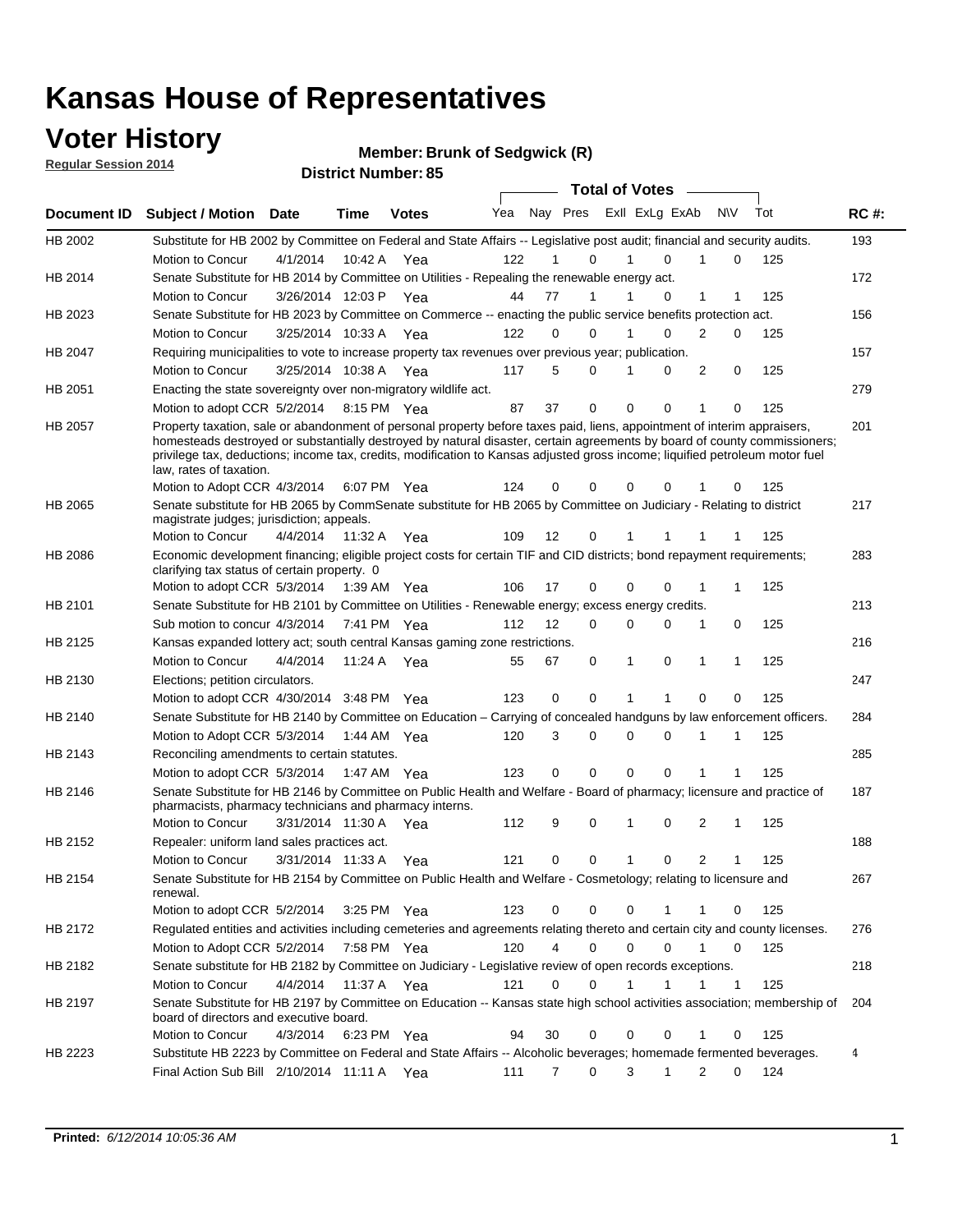### **Voter History**

**Regular Session 2014**

**Member: Brunk of Sedgwick (R)** 

|                |                                                                                                                                                                                                                                                                                                                                                                                                                  |                      |             |              |     |          |   | <b>Total of Votes</b> |              |                |              |     |             |
|----------------|------------------------------------------------------------------------------------------------------------------------------------------------------------------------------------------------------------------------------------------------------------------------------------------------------------------------------------------------------------------------------------------------------------------|----------------------|-------------|--------------|-----|----------|---|-----------------------|--------------|----------------|--------------|-----|-------------|
|                | Document ID Subject / Motion Date                                                                                                                                                                                                                                                                                                                                                                                |                      | Time        | <b>Votes</b> | Yea | Nay Pres |   | Exll ExLg ExAb        |              | N\V            |              | Tot | <b>RC#:</b> |
| HB 2002        | Substitute for HB 2002 by Committee on Federal and State Affairs -- Legislative post audit; financial and security audits.                                                                                                                                                                                                                                                                                       |                      |             |              |     |          |   |                       |              |                |              |     | 193         |
|                | Motion to Concur                                                                                                                                                                                                                                                                                                                                                                                                 | 4/1/2014             | 10:42 A     | Yea          | 122 | 1        | 0 | 1                     | $\Omega$     | 1              | 0            | 125 |             |
| HB 2014        | Senate Substitute for HB 2014 by Committee on Utilities - Repealing the renewable energy act.                                                                                                                                                                                                                                                                                                                    |                      |             |              |     |          |   |                       |              |                |              |     | 172         |
|                | Motion to Concur                                                                                                                                                                                                                                                                                                                                                                                                 | 3/26/2014 12:03 P    |             | Yea          | 44  | 77       | 1 | 1                     | 0            | 1              | 1            | 125 |             |
| HB 2023        | Senate Substitute for HB 2023 by Committee on Commerce -- enacting the public service benefits protection act.                                                                                                                                                                                                                                                                                                   |                      |             |              |     |          |   |                       |              |                |              |     | 156         |
|                | Motion to Concur                                                                                                                                                                                                                                                                                                                                                                                                 | 3/25/2014 10:33 A    |             | Yea          | 122 | 0        | 0 | 1                     | $\Omega$     | $\overline{2}$ | 0            | 125 |             |
| HB 2047        | Requiring municipalities to vote to increase property tax revenues over previous year; publication.                                                                                                                                                                                                                                                                                                              |                      |             |              |     |          |   |                       |              |                |              |     | 157         |
|                | Motion to Concur                                                                                                                                                                                                                                                                                                                                                                                                 | 3/25/2014 10:38 A    |             | Yea          | 117 | 5        | 0 | 1                     | 0            | 2              | 0            | 125 |             |
| HB 2051        | Enacting the state sovereignty over non-migratory wildlife act.                                                                                                                                                                                                                                                                                                                                                  |                      |             |              |     |          |   |                       |              |                |              |     | 279         |
|                | Motion to adopt CCR 5/2/2014 8:15 PM Yea                                                                                                                                                                                                                                                                                                                                                                         |                      |             |              | 87  | 37       | 0 | $\mathbf 0$           | 0            | 1              | 0            | 125 |             |
| <b>HB 2057</b> | Property taxation, sale or abandonment of personal property before taxes paid, liens, appointment of interim appraisers,<br>homesteads destroyed or substantially destroyed by natural disaster, certain agreements by board of county commissioners;<br>privilege tax, deductions; income tax, credits, modification to Kansas adjusted gross income; liquified petroleum motor fuel<br>law, rates of taxation. |                      |             |              |     |          |   |                       |              |                |              |     | 201         |
|                | Motion to Adopt CCR 4/3/2014                                                                                                                                                                                                                                                                                                                                                                                     |                      |             | 6:07 PM Yea  | 124 | 0        | 0 | 0                     | $\Omega$     |                | 0            | 125 |             |
| HB 2065        | Senate substitute for HB 2065 by CommSenate substitute for HB 2065 by Committee on Judiciary - Relating to district<br>magistrate judges; jurisdiction; appeals.                                                                                                                                                                                                                                                 |                      |             |              |     |          |   |                       |              |                |              |     | 217         |
|                | Motion to Concur                                                                                                                                                                                                                                                                                                                                                                                                 | 4/4/2014 11:32 A Yea |             |              | 109 | 12       | 0 | 1                     |              |                | 1            | 125 |             |
| <b>HB 2086</b> | Economic development financing; eligible project costs for certain TIF and CID districts; bond repayment requirements;<br>clarifying tax status of certain property. 0                                                                                                                                                                                                                                           |                      |             |              |     |          |   |                       |              |                |              |     | 283         |
|                | Motion to adopt CCR 5/3/2014 1:39 AM Yea                                                                                                                                                                                                                                                                                                                                                                         |                      |             |              | 106 | 17       | 0 | 0                     | 0            | 1              | 1            | 125 |             |
| HB 2101        | Senate Substitute for HB 2101 by Committee on Utilities - Renewable energy; excess energy credits.                                                                                                                                                                                                                                                                                                               |                      |             |              |     |          |   |                       |              |                |              |     | 213         |
|                | Sub motion to concur 4/3/2014 7:41 PM Yea                                                                                                                                                                                                                                                                                                                                                                        |                      |             |              | 112 | 12       | 0 | 0                     | 0            | 1              | 0            | 125 |             |
| HB 2125        | Kansas expanded lottery act; south central Kansas gaming zone restrictions.                                                                                                                                                                                                                                                                                                                                      |                      |             |              |     |          |   |                       |              |                |              |     | 216         |
|                | Motion to Concur                                                                                                                                                                                                                                                                                                                                                                                                 | 4/4/2014             |             | 11:24 A Yea  | 55  | 67       | 0 | $\mathbf{1}$          | 0            | 1              | 1            | 125 |             |
| HB 2130        | Elections; petition circulators.                                                                                                                                                                                                                                                                                                                                                                                 |                      |             |              |     |          |   |                       |              |                |              |     | 247         |
|                | Motion to adopt CCR 4/30/2014 3:48 PM Yea                                                                                                                                                                                                                                                                                                                                                                        |                      |             |              | 123 | 0        | 0 | 1                     | 1            | 0              | 0            | 125 |             |
| HB 2140        | Senate Substitute for HB 2140 by Committee on Education – Carrying of concealed handguns by law enforcement officers.                                                                                                                                                                                                                                                                                            |                      |             |              |     |          |   |                       |              |                |              |     | 284         |
|                | Motion to Adopt CCR 5/3/2014 1:44 AM Yea                                                                                                                                                                                                                                                                                                                                                                         |                      |             |              | 120 | 3        | 0 | 0                     | $\Omega$     | 1              | 1            | 125 |             |
| HB 2143        | Reconciling amendments to certain statutes.                                                                                                                                                                                                                                                                                                                                                                      |                      |             |              |     |          |   |                       |              |                |              |     | 285         |
|                | Motion to adopt CCR 5/3/2014 1:47 AM Yea                                                                                                                                                                                                                                                                                                                                                                         |                      |             |              | 123 | 0        | 0 | $\mathbf 0$           | $\mathbf 0$  | 1              | 1            | 125 |             |
| HB 2146        | Senate Substitute for HB 2146 by Committee on Public Health and Welfare - Board of pharmacy; licensure and practice of<br>pharmacists, pharmacy technicians and pharmacy interns.                                                                                                                                                                                                                                |                      |             |              |     |          |   |                       |              |                |              |     | 187         |
|                | Motion to Concur                                                                                                                                                                                                                                                                                                                                                                                                 | 3/31/2014 11:30 A    |             | Yea          | 112 | 9        | 0 | 1                     | 0            | 2              | 1            | 125 |             |
| HB 2152        | Repealer: uniform land sales practices act.                                                                                                                                                                                                                                                                                                                                                                      |                      |             |              |     |          |   |                       |              |                |              |     | 188         |
|                | Motion to Concur                                                                                                                                                                                                                                                                                                                                                                                                 | 3/31/2014 11:33 A    |             | Yea          | 121 | 0        | 0 | $\mathbf{1}$          | 0            | 2              | $\mathbf{1}$ | 125 |             |
| HB 2154        | Senate Substitute for HB 2154 by Committee on Public Health and Welfare - Cosmetology; relating to licensure and<br>renewal.                                                                                                                                                                                                                                                                                     |                      |             |              |     |          |   |                       |              |                |              |     | 267         |
|                | Motion to adopt CCR 5/2/2014 3:25 PM Yea                                                                                                                                                                                                                                                                                                                                                                         |                      |             |              | 123 | 0        | 0 | 0                     | 1            | 1              | 0            | 125 |             |
| HB 2172        | Regulated entities and activities including cemeteries and agreements relating thereto and certain city and county licenses.                                                                                                                                                                                                                                                                                     |                      |             |              |     |          |   |                       |              |                |              |     | 276         |
|                | Motion to Adopt CCR 5/2/2014                                                                                                                                                                                                                                                                                                                                                                                     |                      | 7:58 PM Yea |              | 120 | 4        | 0 | 0                     | $\Omega$     |                | $\Omega$     | 125 |             |
| HB 2182        | Senate substitute for HB 2182 by Committee on Judiciary - Legislative review of open records exceptions.                                                                                                                                                                                                                                                                                                         |                      |             |              |     |          |   |                       |              |                |              |     | 218         |
|                | Motion to Concur                                                                                                                                                                                                                                                                                                                                                                                                 | 4/4/2014 11:37 A Yea |             |              | 121 | $\Omega$ | 0 | 1                     | $\mathbf{1}$ |                | 1            | 125 |             |
| HB 2197        | Senate Substitute for HB 2197 by Committee on Education -- Kansas state high school activities association; membership of<br>board of directors and executive board.                                                                                                                                                                                                                                             |                      |             |              |     |          |   |                       |              |                |              |     | 204         |
|                | Motion to Concur                                                                                                                                                                                                                                                                                                                                                                                                 | 4/3/2014             |             | 6:23 PM Yea  | 94  | 30       | 0 | 0                     | 0            | 1              | 0            | 125 |             |
| HB 2223        | Substitute HB 2223 by Committee on Federal and State Affairs -- Alcoholic beverages; homemade fermented beverages.                                                                                                                                                                                                                                                                                               |                      |             |              |     |          |   |                       |              |                |              |     | 4           |
|                | Final Action Sub Bill 2/10/2014 11:11 A Yea                                                                                                                                                                                                                                                                                                                                                                      |                      |             |              | 111 | 7        | 0 | 3                     | $\mathbf{1}$ | 2              | 0            | 124 |             |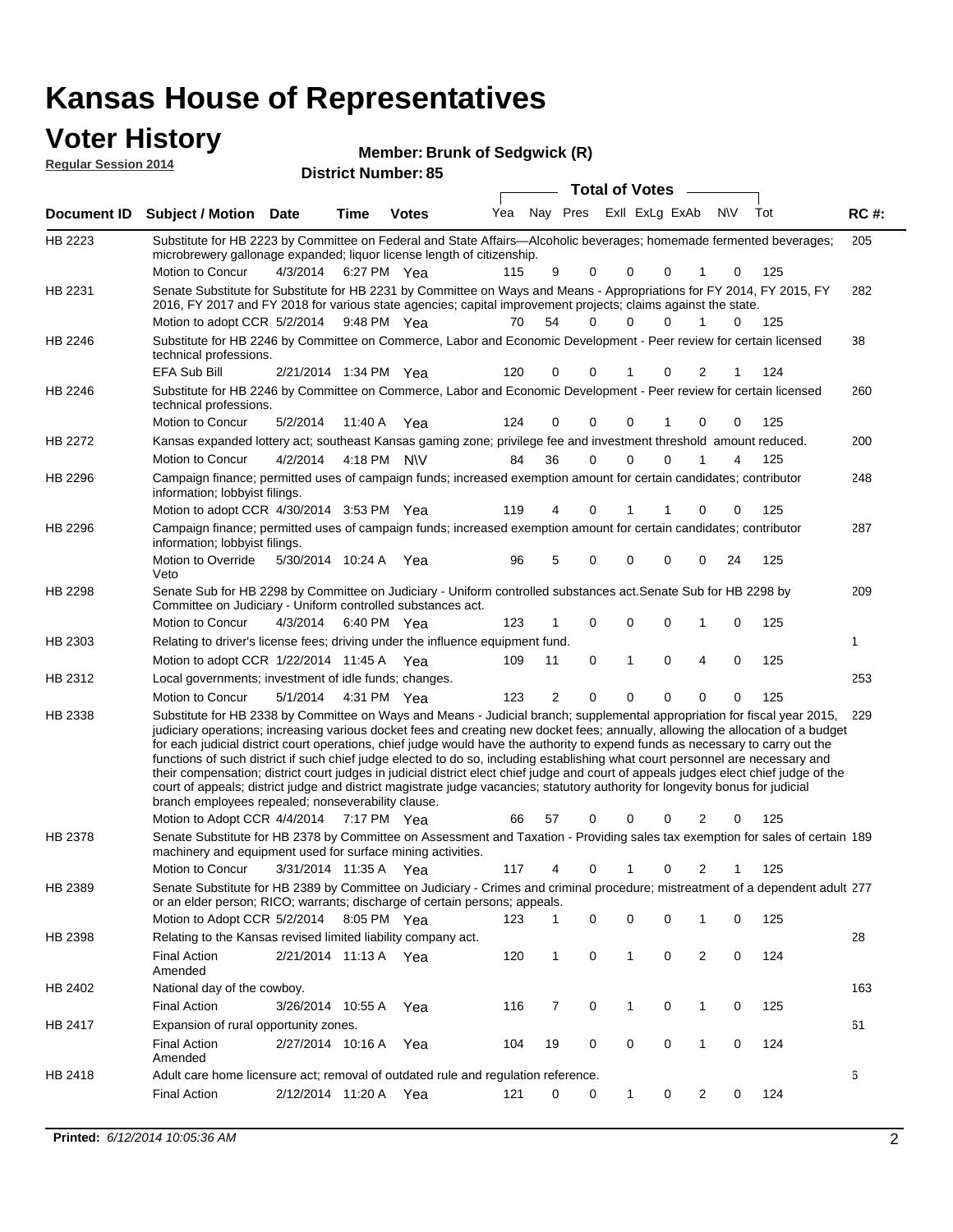#### **Voter History**

| <b>VULGE FILISLUI Y</b><br><b>Regular Session 2014</b> |                                                                                                                                                                                                                                        |          |                   | Member: Brunk of Sedgwick (R)<br><b>District Number: 85</b> |     |          |          |          |                       |                |           |     |             |
|--------------------------------------------------------|----------------------------------------------------------------------------------------------------------------------------------------------------------------------------------------------------------------------------------------|----------|-------------------|-------------------------------------------------------------|-----|----------|----------|----------|-----------------------|----------------|-----------|-----|-------------|
|                                                        |                                                                                                                                                                                                                                        |          |                   |                                                             |     |          |          |          | <b>Total of Votes</b> |                |           |     |             |
| Document <b>ID</b>                                     | <b>Subject / Motion</b>                                                                                                                                                                                                                | Date     | Time              | <b>Votes</b>                                                | Yea |          | Nay Pres |          |                       | Exll ExLg ExAb | <b>NV</b> | Tot | <b>RC#:</b> |
| HB 2223                                                | Substitute for HB 2223 by Committee on Federal and State Affairs—Alcoholic beverages; homemade fermented beverages;<br>microbrewery gallonage expanded; liquor license length of citizenship.                                          |          |                   |                                                             |     |          |          |          |                       |                |           |     | 205         |
|                                                        | Motion to Concur                                                                                                                                                                                                                       | 4/3/2014 | 6:27 PM Yea       |                                                             | 115 | 9        | 0        | $\Omega$ |                       | $\Omega$       | $\Omega$  | 125 |             |
| HB 2231                                                | Senate Substitute for Substitute for HB 2231 by Committee on Ways and Means - Appropriations for FY 2014, FY 2015, FY<br>2016, FY 2017 and FY 2018 for various state agencies; capital improvement projects; claims against the state. |          |                   |                                                             |     |          |          |          |                       |                |           |     | 282         |
|                                                        | Motion to adopt CCR 5/2/2014 9:48 PM Yea                                                                                                                                                                                               |          |                   |                                                             | 70  | 54       | 0        | $\Omega$ |                       | 0              | $\Omega$  | 125 |             |
| HB 2246                                                | Substitute for HB 2246 by Committee on Commerce, Labor and Economic Development - Peer review for certain licensed<br>technical professions.                                                                                           |          |                   |                                                             |     |          |          |          |                       |                |           |     | 38          |
|                                                        | EFA Sub Bill                                                                                                                                                                                                                           |          | 2/21/2014 1:34 PM | Yea                                                         | 120 | $\Omega$ | $\Omega$ |          |                       | $\Omega$       |           | 124 |             |
|                                                        |                                                                                                                                                                                                                                        |          |                   |                                                             |     |          |          |          |                       |                |           |     |             |

|         | technical professions.                                                                                                                                                                                                                                                                                                                                                                                                                                                                                                                                                                                                                                                                                                                                                                                                                                              |                       |             |     |     |                |             |              |             |                |             |     |     |
|---------|---------------------------------------------------------------------------------------------------------------------------------------------------------------------------------------------------------------------------------------------------------------------------------------------------------------------------------------------------------------------------------------------------------------------------------------------------------------------------------------------------------------------------------------------------------------------------------------------------------------------------------------------------------------------------------------------------------------------------------------------------------------------------------------------------------------------------------------------------------------------|-----------------------|-------------|-----|-----|----------------|-------------|--------------|-------------|----------------|-------------|-----|-----|
|         | <b>EFA Sub Bill</b>                                                                                                                                                                                                                                                                                                                                                                                                                                                                                                                                                                                                                                                                                                                                                                                                                                                 | 2/21/2014 1:34 PM Yea |             |     | 120 | 0              | 0           |              | 0           | 2              | 1           | 124 |     |
| HB 2246 | Substitute for HB 2246 by Committee on Commerce, Labor and Economic Development - Peer review for certain licensed<br>technical professions.                                                                                                                                                                                                                                                                                                                                                                                                                                                                                                                                                                                                                                                                                                                        |                       |             |     |     |                |             |              |             |                |             |     | 260 |
|         | Motion to Concur                                                                                                                                                                                                                                                                                                                                                                                                                                                                                                                                                                                                                                                                                                                                                                                                                                                    | 5/2/2014              | 11:40 A     | Yea | 124 | $\Omega$       | $\Omega$    | 0            |             | 0              | 0           | 125 |     |
| HB 2272 | Kansas expanded lottery act; southeast Kansas gaming zone; privilege fee and investment threshold amount reduced.                                                                                                                                                                                                                                                                                                                                                                                                                                                                                                                                                                                                                                                                                                                                                   |                       |             |     |     |                |             |              |             |                |             |     | 200 |
|         | Motion to Concur                                                                                                                                                                                                                                                                                                                                                                                                                                                                                                                                                                                                                                                                                                                                                                                                                                                    | 4/2/2014              | 4:18 PM N\V |     | 84  | 36             | $\Omega$    | $\Omega$     | $\Omega$    | 1              | 4           | 125 |     |
| HB 2296 | Campaign finance; permitted uses of campaign funds; increased exemption amount for certain candidates; contributor<br>information; lobbyist filings.                                                                                                                                                                                                                                                                                                                                                                                                                                                                                                                                                                                                                                                                                                                |                       |             |     |     |                |             |              |             |                |             |     | 248 |
|         | Motion to adopt CCR 4/30/2014 3:53 PM Yea                                                                                                                                                                                                                                                                                                                                                                                                                                                                                                                                                                                                                                                                                                                                                                                                                           |                       |             |     | 119 | 4              | $\Omega$    | 1            |             | 0              | 0           | 125 |     |
| HB 2296 | Campaign finance; permitted uses of campaign funds; increased exemption amount for certain candidates; contributor<br>information; lobbyist filings.                                                                                                                                                                                                                                                                                                                                                                                                                                                                                                                                                                                                                                                                                                                |                       |             |     |     |                |             |              |             |                |             |     | 287 |
|         | Motion to Override<br>Veto                                                                                                                                                                                                                                                                                                                                                                                                                                                                                                                                                                                                                                                                                                                                                                                                                                          | 5/30/2014 10:24 A Yea |             |     | 96  | 5              | $\Omega$    | $\Omega$     | 0           | $\Omega$       | 24          | 125 |     |
| HB 2298 | Senate Sub for HB 2298 by Committee on Judiciary - Uniform controlled substances act. Senate Sub for HB 2298 by<br>Committee on Judiciary - Uniform controlled substances act.                                                                                                                                                                                                                                                                                                                                                                                                                                                                                                                                                                                                                                                                                      |                       |             |     |     |                |             |              |             |                |             |     | 209 |
|         | Motion to Concur                                                                                                                                                                                                                                                                                                                                                                                                                                                                                                                                                                                                                                                                                                                                                                                                                                                    | 4/3/2014              | 6:40 PM Yea |     | 123 | 1              | 0           | $\mathbf 0$  | 0           | 1              | 0           | 125 |     |
| HB 2303 | Relating to driver's license fees; driving under the influence equipment fund.                                                                                                                                                                                                                                                                                                                                                                                                                                                                                                                                                                                                                                                                                                                                                                                      |                       |             |     |     |                |             |              |             |                |             |     | 1   |
|         | Motion to adopt CCR 1/22/2014 11:45 A Yea                                                                                                                                                                                                                                                                                                                                                                                                                                                                                                                                                                                                                                                                                                                                                                                                                           |                       |             |     | 109 | 11             | $\mathbf 0$ | $\mathbf{1}$ | 0           | 4              | $\mathbf 0$ | 125 |     |
| HB 2312 | Local governments; investment of idle funds; changes.                                                                                                                                                                                                                                                                                                                                                                                                                                                                                                                                                                                                                                                                                                                                                                                                               |                       |             |     |     |                |             |              |             |                |             |     | 253 |
|         | <b>Motion to Concur</b>                                                                                                                                                                                                                                                                                                                                                                                                                                                                                                                                                                                                                                                                                                                                                                                                                                             | 5/1/2014              | 4:31 PM Yea |     | 123 | $\overline{2}$ | $\Omega$    | $\Omega$     | 0           | 0              | 0           | 125 |     |
| HB 2338 | Substitute for HB 2338 by Committee on Ways and Means - Judicial branch; supplemental appropriation for fiscal year 2015,<br>judiciary operations; increasing various docket fees and creating new docket fees; annually, allowing the allocation of a budget<br>for each judicial district court operations, chief judge would have the authority to expend funds as necessary to carry out the<br>functions of such district if such chief judge elected to do so, including establishing what court personnel are necessary and<br>their compensation; district court judges in judicial district elect chief judge and court of appeals judges elect chief judge of the<br>court of appeals; district judge and district magistrate judge vacancies; statutory authority for longevity bonus for judicial<br>branch employees repealed; nonseverability clause. |                       |             |     |     |                |             |              |             |                |             |     | 229 |
|         | Motion to Adopt CCR 4/4/2014                                                                                                                                                                                                                                                                                                                                                                                                                                                                                                                                                                                                                                                                                                                                                                                                                                        |                       | 7:17 PM Yea |     | 66  | 57             | $\Omega$    | $\Omega$     | 0           | 2              | 0           | 125 |     |
| HB 2378 | Senate Substitute for HB 2378 by Committee on Assessment and Taxation - Providing sales tax exemption for sales of certain 189<br>machinery and equipment used for surface mining activities.                                                                                                                                                                                                                                                                                                                                                                                                                                                                                                                                                                                                                                                                       |                       |             |     |     |                |             |              |             |                |             |     |     |
|         | Motion to Concur                                                                                                                                                                                                                                                                                                                                                                                                                                                                                                                                                                                                                                                                                                                                                                                                                                                    | 3/31/2014 11:35 A Yea |             |     | 117 | 4              | $\Omega$    | 1            | $\Omega$    | $\overline{2}$ | 1           | 125 |     |
| HB 2389 | Senate Substitute for HB 2389 by Committee on Judiciary - Crimes and criminal procedure; mistreatment of a dependent adult 277<br>or an elder person; RICO; warrants; discharge of certain persons; appeals.                                                                                                                                                                                                                                                                                                                                                                                                                                                                                                                                                                                                                                                        |                       |             |     |     |                |             |              |             |                |             |     |     |
|         | Motion to Adopt CCR 5/2/2014 8:05 PM Yea                                                                                                                                                                                                                                                                                                                                                                                                                                                                                                                                                                                                                                                                                                                                                                                                                            |                       |             |     | 123 | $\mathbf{1}$   | $\mathbf 0$ | $\mathbf 0$  | $\mathbf 0$ | 1              | 0           | 125 |     |
| HB 2398 | Relating to the Kansas revised limited liability company act.                                                                                                                                                                                                                                                                                                                                                                                                                                                                                                                                                                                                                                                                                                                                                                                                       |                       |             |     |     |                |             |              |             |                |             |     | 28  |
|         | <b>Final Action</b><br>Amended                                                                                                                                                                                                                                                                                                                                                                                                                                                                                                                                                                                                                                                                                                                                                                                                                                      | 2/21/2014 11:13 A Yea |             |     | 120 | $\mathbf{1}$   | $\mathbf 0$ | 1            | 0           | 2              | 0           | 124 |     |
| HB 2402 | National day of the cowboy.                                                                                                                                                                                                                                                                                                                                                                                                                                                                                                                                                                                                                                                                                                                                                                                                                                         |                       |             |     |     |                |             |              |             |                |             |     | 163 |
|         | <b>Final Action</b>                                                                                                                                                                                                                                                                                                                                                                                                                                                                                                                                                                                                                                                                                                                                                                                                                                                 | 3/26/2014 10:55 A     |             | Yea | 116 | $\overline{7}$ | $\mathbf 0$ | $\mathbf{1}$ | $\mathbf 0$ | 1              | 0           | 125 |     |
| HB 2417 | Expansion of rural opportunity zones.                                                                                                                                                                                                                                                                                                                                                                                                                                                                                                                                                                                                                                                                                                                                                                                                                               |                       |             |     |     |                |             |              |             |                |             |     | 61  |
|         | <b>Final Action</b><br>Amended                                                                                                                                                                                                                                                                                                                                                                                                                                                                                                                                                                                                                                                                                                                                                                                                                                      | 2/27/2014 10:16 A     |             | Yea | 104 | 19             | $\Omega$    | $\Omega$     | $\Omega$    | 1              | 0           | 124 |     |
| HB 2418 | Adult care home licensure act; removal of outdated rule and regulation reference.                                                                                                                                                                                                                                                                                                                                                                                                                                                                                                                                                                                                                                                                                                                                                                                   |                       |             |     |     |                |             |              |             |                |             |     | 6   |

2/12/2014 Final Action Yea 124

121 0 0 1 0 2 0 124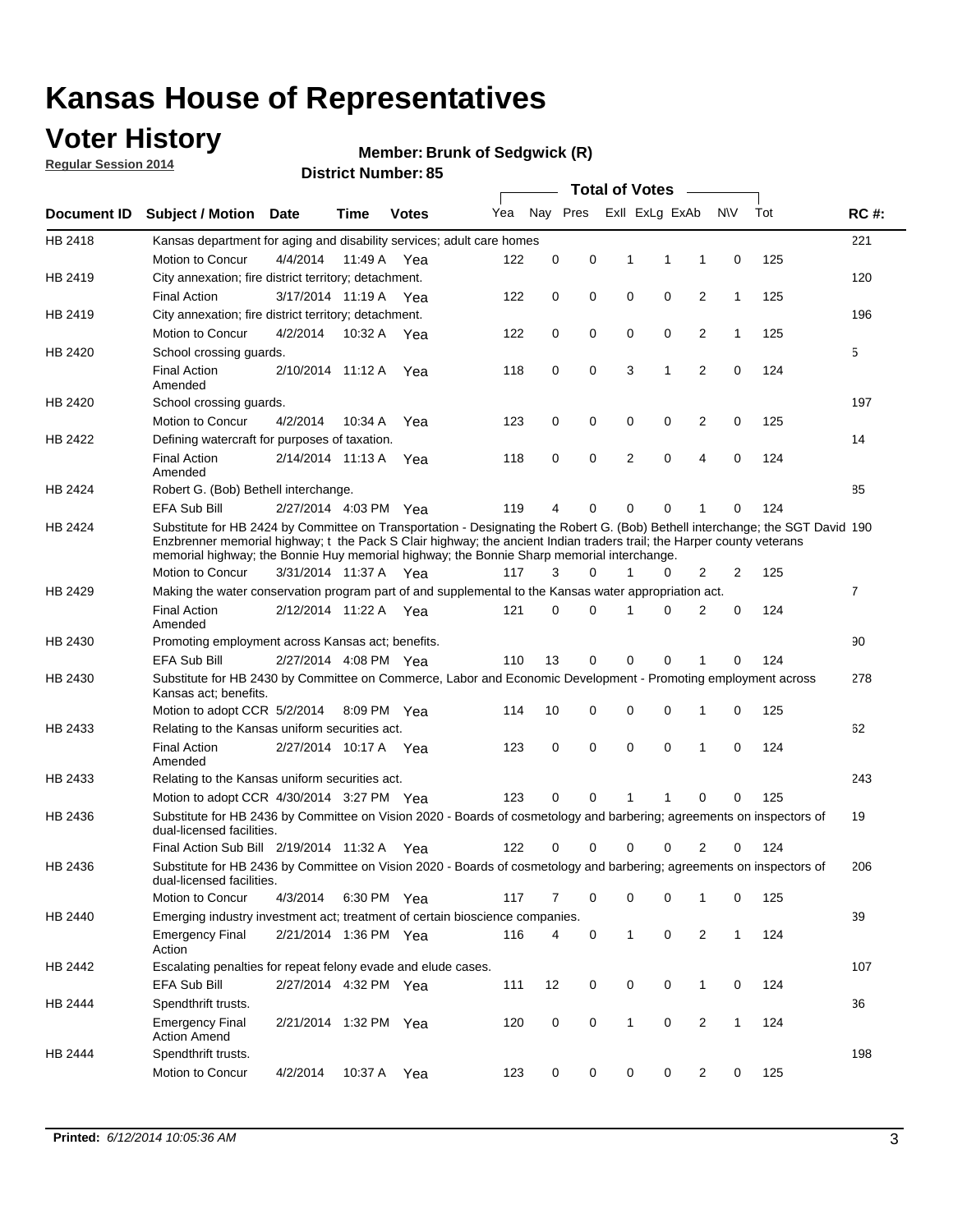## **Voter History**

**Regular Session 2014**

#### **Member: Brunk of Sedgwick (R)**

|             |                                                                                                                                                                                                                                                                                                                                                      |                       |             | DISTRICT MAILINGL 03 |     |          |          |              | <b>Total of Votes</b> |                |              |     |                |
|-------------|------------------------------------------------------------------------------------------------------------------------------------------------------------------------------------------------------------------------------------------------------------------------------------------------------------------------------------------------------|-----------------------|-------------|----------------------|-----|----------|----------|--------------|-----------------------|----------------|--------------|-----|----------------|
| Document ID | <b>Subject / Motion</b>                                                                                                                                                                                                                                                                                                                              | Date                  | Time        | <b>Votes</b>         | Yea |          | Nay Pres |              | Exll ExLg ExAb        |                | N\V          | Tot | <b>RC#:</b>    |
| HB 2418     | Kansas department for aging and disability services; adult care homes                                                                                                                                                                                                                                                                                |                       |             |                      |     |          |          |              |                       |                |              |     | 221            |
|             | <b>Motion to Concur</b>                                                                                                                                                                                                                                                                                                                              | 4/4/2014              | 11:49 A     | Yea                  | 122 | 0        | 0        | 1            | 1                     | 1              | 0            | 125 |                |
| HB 2419     | City annexation; fire district territory; detachment.                                                                                                                                                                                                                                                                                                |                       |             |                      |     |          |          |              |                       |                |              |     | 120            |
|             | <b>Final Action</b>                                                                                                                                                                                                                                                                                                                                  | 3/17/2014 11:19 A     |             | Yea                  | 122 | 0        | 0        | 0            | 0                     | $\overline{2}$ | $\mathbf{1}$ | 125 |                |
| HB 2419     | City annexation; fire district territory; detachment.                                                                                                                                                                                                                                                                                                |                       |             |                      |     |          |          |              |                       |                |              |     | 196            |
|             | Motion to Concur                                                                                                                                                                                                                                                                                                                                     | 4/2/2014              | 10:32 A     | Yea                  | 122 | 0        | 0        | 0            | 0                     | $\overline{2}$ | 1            | 125 |                |
| HB 2420     | School crossing quards.                                                                                                                                                                                                                                                                                                                              |                       |             |                      |     |          |          |              |                       |                |              |     | 5              |
|             | <b>Final Action</b><br>Amended                                                                                                                                                                                                                                                                                                                       | 2/10/2014 11:12 A     |             | Yea                  | 118 | 0        | 0        | 3            | 1                     | $\overline{2}$ | 0            | 124 |                |
| HB 2420     | School crossing guards.                                                                                                                                                                                                                                                                                                                              |                       |             |                      |     |          |          |              |                       |                |              |     | 197            |
|             | Motion to Concur                                                                                                                                                                                                                                                                                                                                     | 4/2/2014              | 10:34 A     | Yea                  | 123 | 0        | 0        | 0            | 0                     | 2              | 0            | 125 |                |
| HB 2422     | Defining watercraft for purposes of taxation.                                                                                                                                                                                                                                                                                                        |                       |             |                      |     |          |          |              |                       |                |              |     | 14             |
|             | <b>Final Action</b><br>Amended                                                                                                                                                                                                                                                                                                                       | 2/14/2014 11:13 A     |             | Yea                  | 118 | 0        | 0        | 2            | $\mathbf 0$           | $\overline{4}$ | 0            | 124 |                |
| HB 2424     | Robert G. (Bob) Bethell interchange.                                                                                                                                                                                                                                                                                                                 |                       |             |                      |     |          |          |              |                       |                |              |     | 85             |
|             | <b>EFA Sub Bill</b>                                                                                                                                                                                                                                                                                                                                  | 2/27/2014 4:03 PM Yea |             |                      | 119 | 4        | 0        | $\Omega$     | $\Omega$              | 1              | 0            | 124 |                |
| HB 2424     | Substitute for HB 2424 by Committee on Transportation - Designating the Robert G. (Bob) Bethell interchange; the SGT David 190<br>Enzbrenner memorial highway; t the Pack S Clair highway; the ancient Indian traders trail; the Harper county veterans<br>memorial highway; the Bonnie Huy memorial highway; the Bonnie Sharp memorial interchange. |                       |             |                      |     |          |          |              |                       |                |              |     |                |
|             | Motion to Concur                                                                                                                                                                                                                                                                                                                                     | 3/31/2014 11:37 A Yea |             |                      | 117 | 3        | $\Omega$ | 1            | 0                     | $\overline{2}$ | 2            | 125 |                |
| HB 2429     | Making the water conservation program part of and supplemental to the Kansas water appropriation act.                                                                                                                                                                                                                                                |                       |             |                      |     |          |          |              |                       |                |              |     | $\overline{7}$ |
|             | <b>Final Action</b><br>Amended                                                                                                                                                                                                                                                                                                                       | 2/12/2014 11:22 A Yea |             |                      | 121 | $\Omega$ | $\Omega$ | 1            | 0                     | $\overline{2}$ | $\mathbf 0$  | 124 |                |
| HB 2430     | Promoting employment across Kansas act; benefits.                                                                                                                                                                                                                                                                                                    |                       |             |                      |     |          |          |              |                       |                |              |     | 90             |
|             | <b>EFA Sub Bill</b>                                                                                                                                                                                                                                                                                                                                  | 2/27/2014 4:08 PM Yea |             |                      | 110 | 13       | 0        | $\mathbf 0$  | 0                     |                | 0            | 124 |                |
| HB 2430     | Substitute for HB 2430 by Committee on Commerce, Labor and Economic Development - Promoting employment across<br>Kansas act; benefits.                                                                                                                                                                                                               |                       |             |                      |     |          |          |              |                       |                |              |     | 278            |
|             | Motion to adopt CCR 5/2/2014                                                                                                                                                                                                                                                                                                                         |                       | 8:09 PM Yea |                      | 114 | 10       | 0        | 0            | 0                     | 1              | 0            | 125 |                |
| HB 2433     | Relating to the Kansas uniform securities act.                                                                                                                                                                                                                                                                                                       |                       |             |                      |     |          |          |              |                       |                |              |     | 62             |
|             | <b>Final Action</b><br>Amended                                                                                                                                                                                                                                                                                                                       | 2/27/2014 10:17 A Yea |             |                      | 123 | 0        | 0        | $\mathbf 0$  | $\mathbf 0$           | 1              | 0            | 124 |                |
| HB 2433     | Relating to the Kansas uniform securities act.                                                                                                                                                                                                                                                                                                       |                       |             |                      |     |          |          |              |                       |                |              |     | 243            |
|             | Motion to adopt CCR 4/30/2014 3:27 PM Yea                                                                                                                                                                                                                                                                                                            |                       |             |                      | 123 | $\Omega$ | $\Omega$ | 1            | 1                     | $\Omega$       | 0            | 125 |                |
| HB 2436     | Substitute for HB 2436 by Committee on Vision 2020 - Boards of cosmetology and barbering; agreements on inspectors of<br>dual-licensed facilities.                                                                                                                                                                                                   |                       |             |                      |     |          |          |              |                       |                |              |     | 19             |
|             | Final Action Sub Bill 2/19/2014 11:32 A                                                                                                                                                                                                                                                                                                              |                       |             | Yea                  | 122 | ი        | 0        | O            | 0                     | 2              | 0            | 124 |                |
| HB 2436     | Substitute for HB 2436 by Committee on Vision 2020 - Boards of cosmetology and barbering; agreements on inspectors of<br>dual-licensed facilities.                                                                                                                                                                                                   |                       |             |                      |     |          |          |              |                       |                |              |     | 206            |
|             | Motion to Concur                                                                                                                                                                                                                                                                                                                                     | 4/3/2014              | 6:30 PM Yea |                      | 117 | 7        | 0        | 0            | 0                     | 1              | 0            | 125 |                |
| HB 2440     | Emerging industry investment act; treatment of certain bioscience companies.                                                                                                                                                                                                                                                                         |                       |             |                      |     |          |          |              |                       |                |              |     | 39             |
|             | <b>Emergency Final</b><br>Action                                                                                                                                                                                                                                                                                                                     | 2/21/2014 1:36 PM Yea |             |                      | 116 | 4        | 0        | $\mathbf{1}$ | 0                     | 2              | $\mathbf{1}$ | 124 |                |
| HB 2442     | Escalating penalties for repeat felony evade and elude cases.                                                                                                                                                                                                                                                                                        |                       |             |                      |     |          |          |              |                       |                |              |     | 107            |
|             | EFA Sub Bill                                                                                                                                                                                                                                                                                                                                         | 2/27/2014 4:32 PM Yea |             |                      | 111 | 12       | 0        | 0            | 0                     | $\mathbf{1}$   | 0            | 124 |                |
| HB 2444     | Spendthrift trusts.                                                                                                                                                                                                                                                                                                                                  |                       |             |                      |     |          |          |              |                       |                |              |     | 36             |
|             | <b>Emergency Final</b><br><b>Action Amend</b>                                                                                                                                                                                                                                                                                                        | 2/21/2014 1:32 PM Yea |             |                      | 120 | 0        | 0        | $\mathbf{1}$ | 0                     | $\overline{2}$ | $\mathbf{1}$ | 124 |                |
| HB 2444     | Spendthrift trusts.                                                                                                                                                                                                                                                                                                                                  |                       |             |                      |     |          |          |              |                       |                |              |     | 198            |
|             | Motion to Concur                                                                                                                                                                                                                                                                                                                                     | 4/2/2014              | 10:37 A     | Yea                  | 123 | 0        | 0        | 0            | 0                     | $\overline{2}$ | 0            | 125 |                |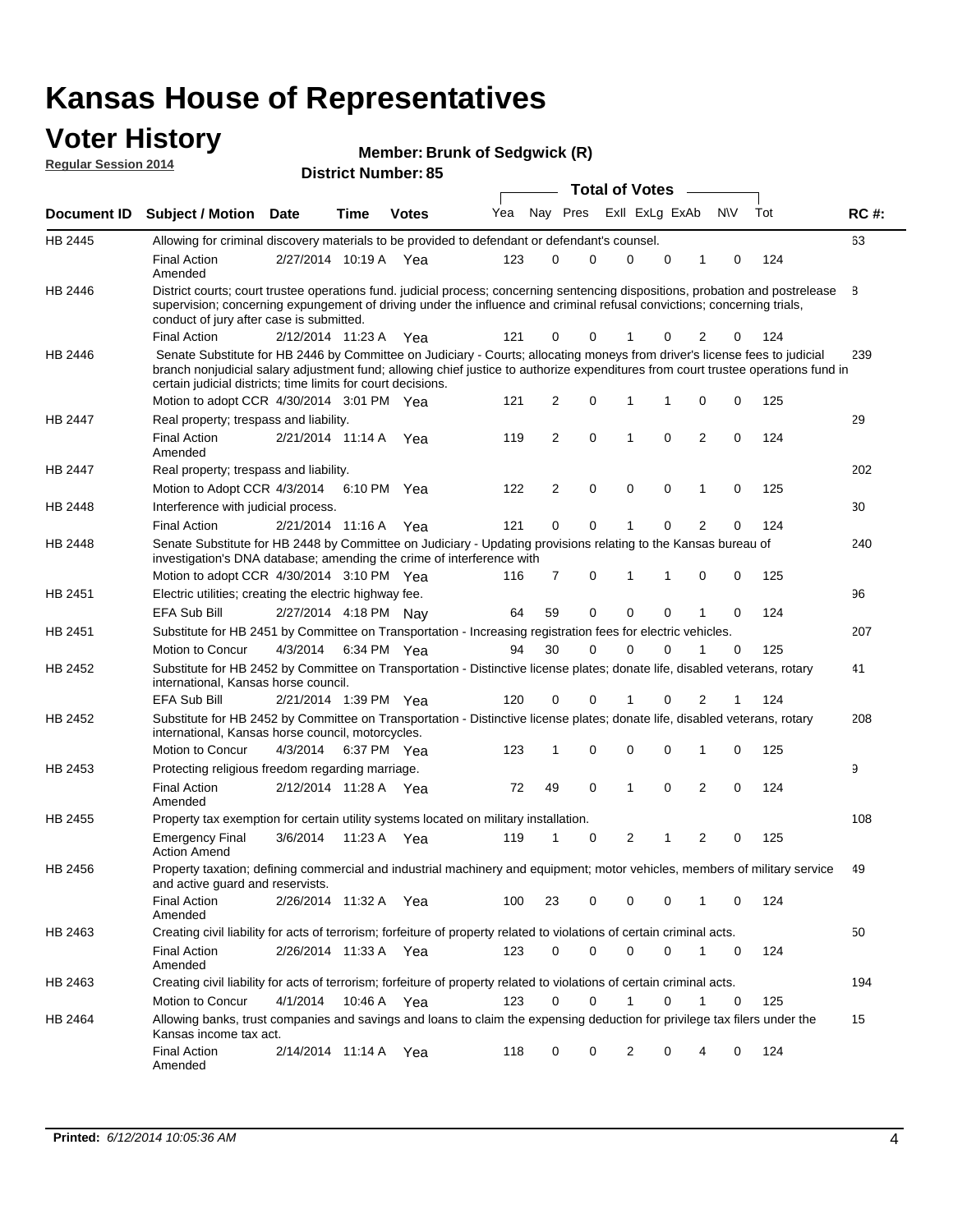#### **Voter History Regular Session 2014**

|  |  | <b>Member: Brunk of Sedgwick (R)</b> |  |
|--|--|--------------------------------------|--|
|--|--|--------------------------------------|--|

|         |                                                                                                                                                                                                                                                                                                                                 |                       |         |              |     |                |          | <b>Total of Votes</b> |             |                |             |     |             |
|---------|---------------------------------------------------------------------------------------------------------------------------------------------------------------------------------------------------------------------------------------------------------------------------------------------------------------------------------|-----------------------|---------|--------------|-----|----------------|----------|-----------------------|-------------|----------------|-------------|-----|-------------|
|         | Document ID Subject / Motion Date                                                                                                                                                                                                                                                                                               |                       | Time    | <b>Votes</b> | Yea |                | Nay Pres | Exll ExLg ExAb        |             |                | <b>NV</b>   | Tot | <b>RC#:</b> |
| HB 2445 | Allowing for criminal discovery materials to be provided to defendant or defendant's counsel.                                                                                                                                                                                                                                   |                       |         |              |     |                |          |                       |             |                |             |     | 63          |
|         | <b>Final Action</b><br>Amended                                                                                                                                                                                                                                                                                                  | 2/27/2014 10:19 A     |         | Yea          | 123 | 0              | 0        | 0                     | 0           | 1              | 0           | 124 |             |
| HB 2446 | District courts; court trustee operations fund. judicial process; concerning sentencing dispositions, probation and postrelease<br>supervision; concerning expungement of driving under the influence and criminal refusal convictions; concerning trials,<br>conduct of jury after case is submitted.                          |                       |         |              |     |                |          |                       |             |                |             |     | 8           |
|         | <b>Final Action</b>                                                                                                                                                                                                                                                                                                             | 2/12/2014 11:23 A Yea |         |              | 121 | 0              | 0        | 1                     | 0           | 2              | 0           | 124 |             |
| HB 2446 | Senate Substitute for HB 2446 by Committee on Judiciary - Courts; allocating moneys from driver's license fees to judicial<br>branch nonjudicial salary adjustment fund; allowing chief justice to authorize expenditures from court trustee operations fund in<br>certain judicial districts; time limits for court decisions. |                       |         |              |     |                |          |                       |             |                |             |     | 239         |
|         | Motion to adopt CCR 4/30/2014 3:01 PM Yea                                                                                                                                                                                                                                                                                       |                       |         |              | 121 | 2              | 0        | 1                     | 1           | 0              | 0           | 125 |             |
| HB 2447 | Real property; trespass and liability.                                                                                                                                                                                                                                                                                          |                       |         |              |     |                |          |                       |             |                |             |     | 29          |
|         | <b>Final Action</b><br>Amended                                                                                                                                                                                                                                                                                                  | 2/21/2014 11:14 A Yea |         |              | 119 | 2              | 0        | 1                     | 0           | 2              | 0           | 124 |             |
| HB 2447 | Real property; trespass and liability.                                                                                                                                                                                                                                                                                          |                       |         |              |     |                |          |                       |             |                |             |     | 202         |
|         | Motion to Adopt CCR 4/3/2014                                                                                                                                                                                                                                                                                                    |                       |         | 6:10 PM Yea  | 122 | 2              | 0        | $\mathbf 0$           | 0           | 1              | 0           | 125 |             |
| HB 2448 | Interference with judicial process.                                                                                                                                                                                                                                                                                             |                       |         |              |     |                |          |                       |             |                |             |     | 30          |
|         | <b>Final Action</b>                                                                                                                                                                                                                                                                                                             | 2/21/2014 11:16 A     |         | Yea          | 121 | 0              | 0        | 1                     | $\Omega$    | $\overline{2}$ | $\Omega$    | 124 |             |
| HB 2448 | Senate Substitute for HB 2448 by Committee on Judiciary - Updating provisions relating to the Kansas bureau of<br>investigation's DNA database; amending the crime of interference with                                                                                                                                         |                       |         |              |     |                |          |                       |             |                |             |     | 240         |
|         | Motion to adopt CCR 4/30/2014 3:10 PM Yea                                                                                                                                                                                                                                                                                       |                       |         |              | 116 | $\overline{7}$ | 0        | 1                     | 1           | 0              | 0           | 125 |             |
| HB 2451 | Electric utilities; creating the electric highway fee.                                                                                                                                                                                                                                                                          |                       |         |              |     |                |          |                       |             |                |             |     | 96          |
|         | <b>EFA Sub Bill</b>                                                                                                                                                                                                                                                                                                             | 2/27/2014 4:18 PM Nay |         |              | 64  | 59             | 0        | 0                     | 0           | 1              | $\mathbf 0$ | 124 |             |
| HB 2451 | Substitute for HB 2451 by Committee on Transportation - Increasing registration fees for electric vehicles.                                                                                                                                                                                                                     |                       |         |              |     |                |          |                       |             |                |             |     | 207         |
|         | Motion to Concur                                                                                                                                                                                                                                                                                                                | 4/3/2014              |         | 6:34 PM Yea  | 94  | 30             | 0        | $\Omega$              | 0           |                | 0           | 125 |             |
| HB 2452 | Substitute for HB 2452 by Committee on Transportation - Distinctive license plates; donate life, disabled veterans, rotary<br>international, Kansas horse council.                                                                                                                                                              |                       |         |              |     |                |          |                       |             |                |             |     | 41          |
|         | <b>EFA Sub Bill</b>                                                                                                                                                                                                                                                                                                             | 2/21/2014 1:39 PM Yea |         |              | 120 | 0              | 0        |                       | 0           | 2              |             | 124 |             |
| HB 2452 | Substitute for HB 2452 by Committee on Transportation - Distinctive license plates; donate life, disabled veterans, rotary<br>international, Kansas horse council, motorcycles.                                                                                                                                                 |                       |         |              |     |                |          |                       |             |                |             |     | 208         |
|         | Motion to Concur                                                                                                                                                                                                                                                                                                                | 4/3/2014              |         | 6:37 PM Yea  | 123 | 1              | 0        | $\mathbf 0$           | $\mathbf 0$ | 1              | $\mathbf 0$ | 125 |             |
| HB 2453 | Protecting religious freedom regarding marriage.                                                                                                                                                                                                                                                                                |                       |         |              |     |                |          |                       |             |                |             |     | 9           |
|         | <b>Final Action</b><br>Amended                                                                                                                                                                                                                                                                                                  | 2/12/2014 11:28 A Yea |         |              | 72  | 49             | 0        | 1                     | $\Omega$    | 2              | 0           | 124 |             |
| HB 2455 | Property tax exemption for certain utility systems located on military installation.                                                                                                                                                                                                                                            |                       |         |              |     |                |          |                       |             |                |             |     | 108         |
|         | <b>Emergency Final</b><br><b>Action Amend</b>                                                                                                                                                                                                                                                                                   | 3/6/2014              | 11:23 A | Yea          | 119 | 1              | 0        | 2                     | 1           | 2              | 0           | 125 |             |
| HB 2456 | Property taxation; defining commercial and industrial machinery and equipment; motor vehicles, members of military service<br>and active guard and reservists.                                                                                                                                                                  |                       |         |              |     |                |          |                       |             |                |             |     | 49          |
|         | <b>Final Action</b><br>Amended                                                                                                                                                                                                                                                                                                  | 2/26/2014 11:32 A Yea |         |              | 100 | 23             | 0        | 0                     | 0           | 1              | 0           | 124 |             |
| HB 2463 | Creating civil liability for acts of terrorism; forfeiture of property related to violations of certain criminal acts.                                                                                                                                                                                                          |                       |         |              |     |                |          |                       |             |                |             |     | 50          |
|         | <b>Final Action</b><br>Amended                                                                                                                                                                                                                                                                                                  | 2/26/2014 11:33 A Yea |         |              | 123 | 0              | 0        | $\mathbf 0$           | 0           | $\mathbf{1}$   | 0           | 124 |             |
| HB 2463 | Creating civil liability for acts of terrorism; forfeiture of property related to violations of certain criminal acts.                                                                                                                                                                                                          |                       |         |              |     |                |          |                       |             |                |             |     | 194         |
|         | Motion to Concur                                                                                                                                                                                                                                                                                                                | 4/1/2014              |         | 10:46 A Yea  | 123 | $\Omega$       | 0        | 1                     | 0           | $\mathbf{1}$   | 0           | 125 |             |
| HB 2464 | Allowing banks, trust companies and savings and loans to claim the expensing deduction for privilege tax filers under the<br>Kansas income tax act.                                                                                                                                                                             |                       |         |              |     |                |          |                       |             |                |             |     | 15          |
|         | Final Action<br>Amended                                                                                                                                                                                                                                                                                                         | 2/14/2014 11:14 A Yea |         |              | 118 | 0              | 0        | 2                     | 0           | 4              | 0           | 124 |             |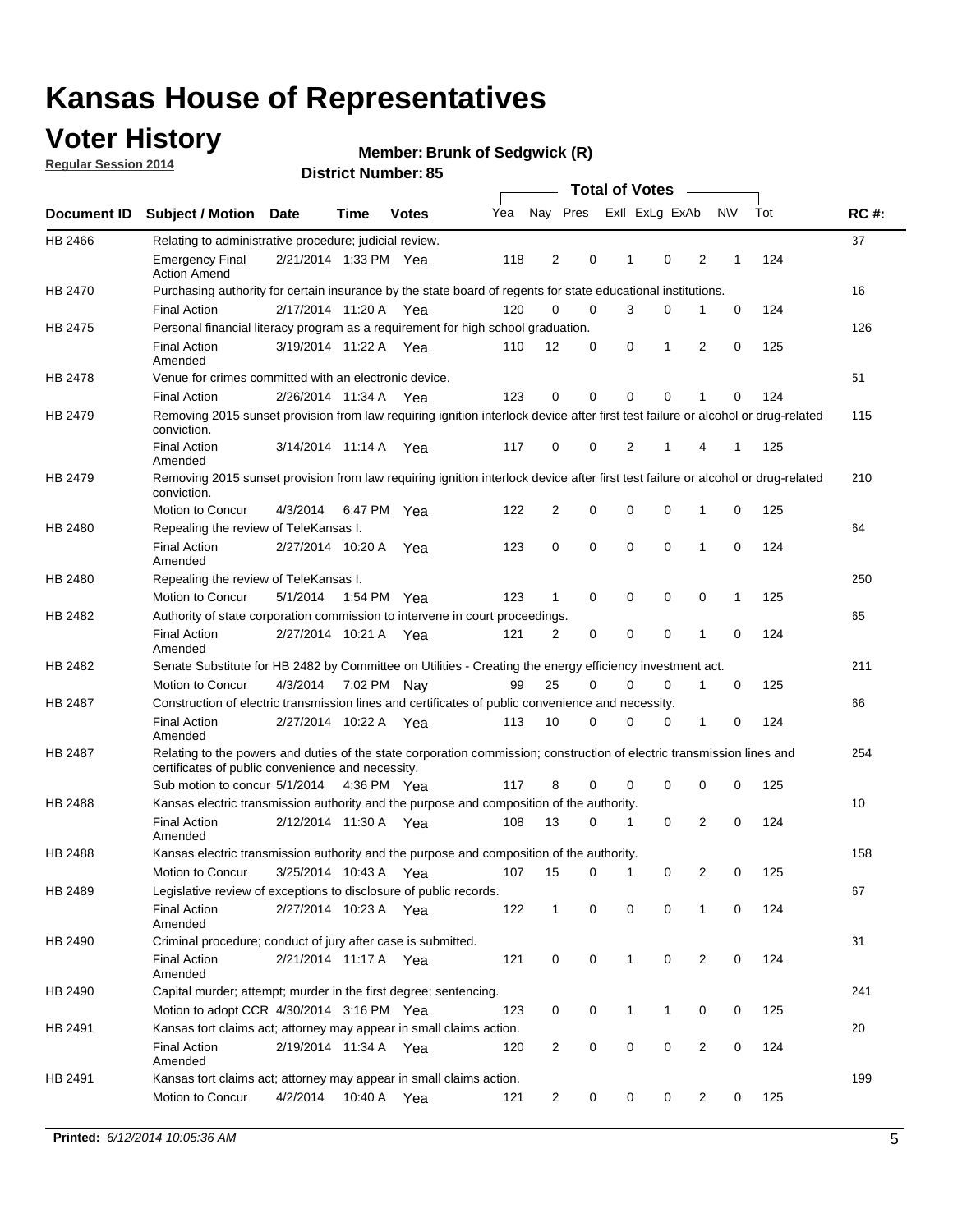## **Voter History**

**Regular Session 2014**

#### **Member: Brunk of Sedgwick (R)**

|                    |                                                                                                                                                                             |                       |             |              |     |                |          |          | <b>Total of Votes</b> |              |                |             |     |             |
|--------------------|-----------------------------------------------------------------------------------------------------------------------------------------------------------------------------|-----------------------|-------------|--------------|-----|----------------|----------|----------|-----------------------|--------------|----------------|-------------|-----|-------------|
| <b>Document ID</b> | <b>Subject / Motion</b>                                                                                                                                                     | <b>Date</b>           | Time        | <b>Votes</b> | Yea |                | Nay Pres |          | Exll ExLg ExAb        |              |                | <b>NV</b>   | Tot | <b>RC#:</b> |
| HB 2466            | Relating to administrative procedure; judicial review.                                                                                                                      |                       |             |              |     |                |          |          |                       |              |                |             |     | 37          |
|                    | <b>Emergency Final</b><br><b>Action Amend</b>                                                                                                                               | 2/21/2014 1:33 PM Yea |             |              | 118 | $\overline{2}$ |          | 0        | 1                     | 0            | 2              | 1           | 124 |             |
| HB 2470            | Purchasing authority for certain insurance by the state board of regents for state educational institutions.                                                                |                       |             |              |     |                |          |          |                       |              |                |             |     | 16          |
|                    | <b>Final Action</b>                                                                                                                                                         | 2/17/2014 11:20 A Yea |             |              | 120 | $\mathbf 0$    |          | 0        | 3                     | 0            | 1              | 0           | 124 |             |
| HB 2475            | Personal financial literacy program as a requirement for high school graduation.                                                                                            |                       |             |              |     |                |          |          |                       |              |                |             |     | 126         |
|                    | <b>Final Action</b><br>Amended                                                                                                                                              | 3/19/2014 11:22 A Yea |             |              | 110 | 12             |          | 0        | 0                     | 1            | 2              | 0           | 125 |             |
| HB 2478            | Venue for crimes committed with an electronic device.                                                                                                                       |                       |             |              |     |                |          |          |                       |              |                |             |     | 51          |
|                    | <b>Final Action</b>                                                                                                                                                         | 2/26/2014 11:34 A     |             | Yea          | 123 | 0              |          | 0        | $\Omega$              | 0            | 1              | 0           | 124 |             |
| HB 2479            | Removing 2015 sunset provision from law requiring ignition interlock device after first test failure or alcohol or drug-related<br>conviction.                              |                       |             |              |     |                |          |          |                       |              |                |             |     | 115         |
|                    | <b>Final Action</b><br>Amended                                                                                                                                              | 3/14/2014 11:14 A     |             | Yea          | 117 | 0              |          | 0        | 2                     | 1            | 4              | 1           | 125 |             |
| HB 2479            | Removing 2015 sunset provision from law requiring ignition interlock device after first test failure or alcohol or drug-related<br>conviction.                              |                       |             |              |     |                |          |          |                       |              |                |             |     | 210         |
|                    | Motion to Concur                                                                                                                                                            | 4/3/2014              | 6:47 PM Yea |              | 122 | 2              |          | 0        | $\mathbf 0$           | 0            | 1              | 0           | 125 |             |
| HB 2480            | Repealing the review of TeleKansas I.                                                                                                                                       |                       |             |              |     |                |          |          |                       |              |                |             |     | 64          |
|                    | <b>Final Action</b><br>Amended                                                                                                                                              | 2/27/2014 10:20 A Yea |             |              | 123 | 0              |          | 0        | $\mathbf 0$           | 0            | 1              | 0           | 124 |             |
| HB 2480            | Repealing the review of TeleKansas I.                                                                                                                                       |                       |             |              |     |                |          |          |                       |              |                |             |     | 250         |
|                    | Motion to Concur                                                                                                                                                            | 5/1/2014              | 1:54 PM Yea |              | 123 | 1              |          | 0        | 0                     | $\mathbf 0$  | 0              | 1           | 125 |             |
| HB 2482            | Authority of state corporation commission to intervene in court proceedings.                                                                                                |                       |             |              |     |                |          |          |                       |              |                |             |     | 65          |
|                    | <b>Final Action</b><br>Amended                                                                                                                                              | 2/27/2014 10:21 A     |             | Yea          | 121 | 2              |          | 0        | 0                     | 0            | 1              | 0           | 124 |             |
| HB 2482            | Senate Substitute for HB 2482 by Committee on Utilities - Creating the energy efficiency investment act.                                                                    |                       |             |              |     |                |          |          |                       |              |                |             |     | 211         |
|                    | Motion to Concur                                                                                                                                                            | 4/3/2014 7:02 PM Nay  |             |              | 99  | 25             |          | $\Omega$ | $\Omega$              | 0            | 1              | 0           | 125 |             |
| HB 2487            | Construction of electric transmission lines and certificates of public convenience and necessity.                                                                           |                       |             |              |     |                |          |          |                       |              |                |             |     | 66          |
|                    | <b>Final Action</b><br>Amended                                                                                                                                              | 2/27/2014 10:22 A Yea |             |              | 113 | 10             |          | 0        | $\Omega$              | 0            | 1              | 0           | 124 |             |
| HB 2487            | Relating to the powers and duties of the state corporation commission; construction of electric transmission lines and<br>certificates of public convenience and necessity. |                       |             |              |     |                |          |          |                       |              |                |             |     | 254         |
|                    | Sub motion to concur 5/1/2014 4:36 PM Yea                                                                                                                                   |                       |             |              | 117 | 8              |          | 0        | 0                     | $\mathbf 0$  | 0              | 0           | 125 |             |
| HB 2488            | Kansas electric transmission authority and the purpose and composition of the authority.                                                                                    |                       |             |              |     |                |          |          |                       |              |                |             |     | 10          |
|                    | <b>Final Action</b><br>Amended                                                                                                                                              | 2/12/2014 11:30 A Yea |             |              | 108 | 13             |          | 0        | 1                     | 0            | 2              | 0           | 124 |             |
| <b>HB 2488</b>     | Kansas electric transmission authority and the purpose and composition of the authority.                                                                                    |                       |             |              |     |                |          |          |                       |              |                |             |     | 158         |
|                    | Motion to Concur                                                                                                                                                            | 3/25/2014 10:43 A     |             | Yea          | 107 | 15             |          | 0        | $\mathbf 1$           | 0            | 2              | 0           | 125 |             |
| HB 2489            | Legislative review of exceptions to disclosure of public records.                                                                                                           |                       |             |              |     |                |          |          |                       |              |                |             |     | 67          |
|                    | <b>Final Action</b><br>Amended                                                                                                                                              | 2/27/2014 10:23 A Yea |             |              | 122 | $\mathbf{1}$   |          | 0        | $\mathbf 0$           | $\mathbf 0$  | 1              | 0           | 124 |             |
| HB 2490            | Criminal procedure; conduct of jury after case is submitted.                                                                                                                |                       |             |              |     |                |          |          |                       |              |                |             |     | 31          |
|                    | <b>Final Action</b><br>Amended                                                                                                                                              | 2/21/2014 11:17 A Yea |             |              | 121 | 0              |          | 0        | $\mathbf{1}$          | $\mathbf 0$  | $\overline{2}$ | $\mathbf 0$ | 124 |             |
| HB 2490            | Capital murder; attempt; murder in the first degree; sentencing.                                                                                                            |                       |             |              |     |                |          |          |                       |              |                |             |     | 241         |
|                    | Motion to adopt CCR 4/30/2014 3:16 PM Yea                                                                                                                                   |                       |             |              | 123 | 0              |          | 0        | $\mathbf{1}$          | $\mathbf{1}$ | 0              | 0           | 125 |             |
| HB 2491            | Kansas tort claims act; attorney may appear in small claims action.                                                                                                         |                       |             |              |     |                |          |          |                       |              |                |             |     | 20          |
|                    | <b>Final Action</b><br>Amended                                                                                                                                              | 2/19/2014 11:34 A Yea |             |              | 120 | 2              |          | 0        | 0                     | 0            | $\overline{2}$ | 0           | 124 |             |
| HB 2491            | Kansas tort claims act; attorney may appear in small claims action.                                                                                                         |                       |             |              |     |                |          |          |                       |              |                |             |     | 199         |
|                    | Motion to Concur                                                                                                                                                            | 4/2/2014              |             | 10:40 A Yea  | 121 | $\overline{2}$ |          | 0        | 0                     | 0            | $\overline{2}$ | 0           | 125 |             |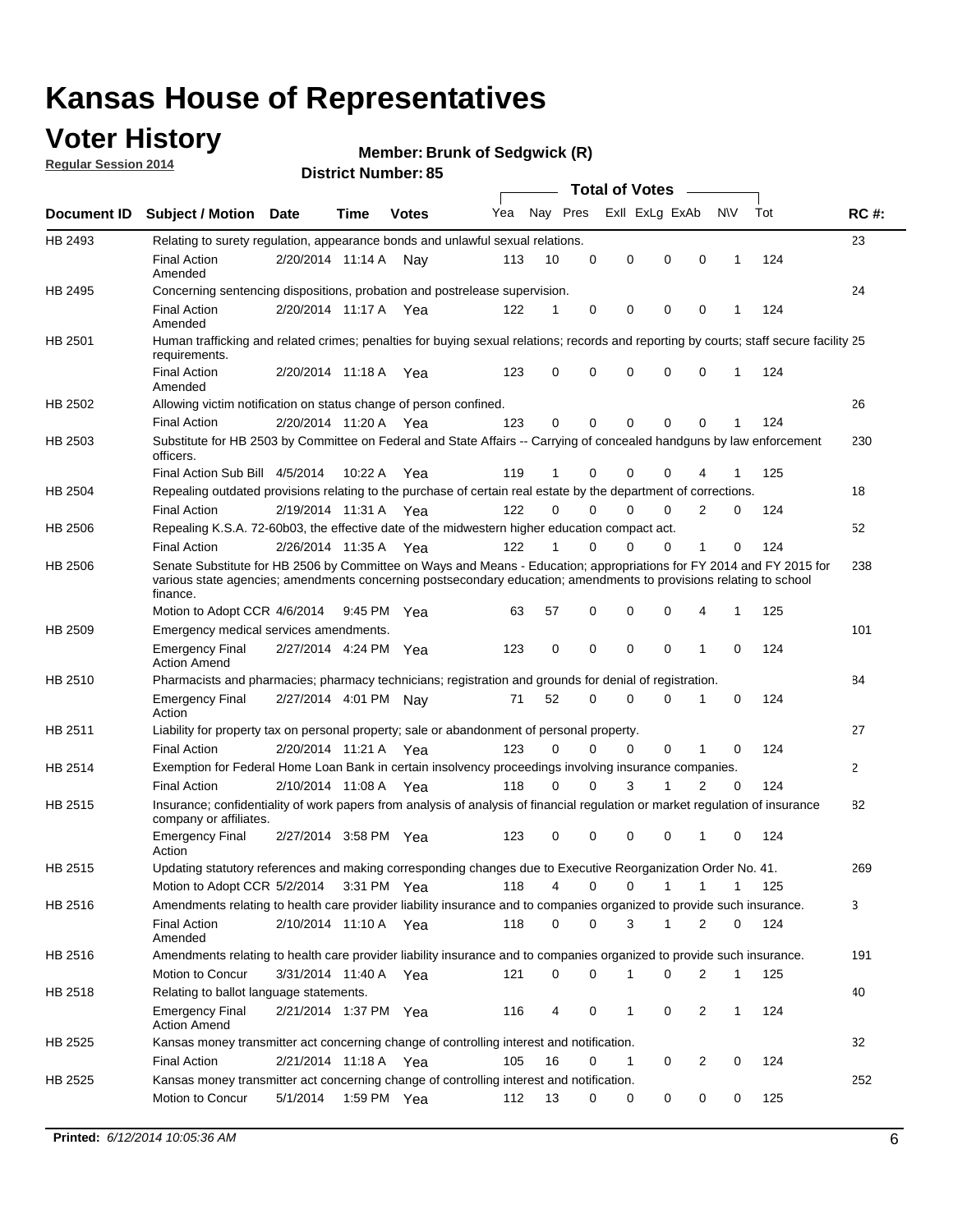## **Voter History**

**Regular Session 2014**

#### **Member: Brunk of Sedgwick (R)**

|                |                                                                                                                                                                                                                                                        |                       |             | DISTILICI MUITIDEL OG |     |          |             | Total of Votes – |             |             |              |     |              |
|----------------|--------------------------------------------------------------------------------------------------------------------------------------------------------------------------------------------------------------------------------------------------------|-----------------------|-------------|-----------------------|-----|----------|-------------|------------------|-------------|-------------|--------------|-----|--------------|
|                | Document ID Subject / Motion Date                                                                                                                                                                                                                      |                       | Time        | <b>Votes</b>          | Yea |          | Nay Pres    | Exll ExLg ExAb   |             |             | <b>NV</b>    | Tot | <b>RC#:</b>  |
| HB 2493        | Relating to surety regulation, appearance bonds and unlawful sexual relations.                                                                                                                                                                         |                       |             |                       |     |          |             |                  |             |             |              |     | 23           |
|                | <b>Final Action</b><br>Amended                                                                                                                                                                                                                         | 2/20/2014 11:14 A Nay |             |                       | 113 | 10       | 0           | $\mathbf 0$      | $\mathbf 0$ | $\mathbf 0$ | $\mathbf 1$  | 124 |              |
| HB 2495        | Concerning sentencing dispositions, probation and postrelease supervision.                                                                                                                                                                             |                       |             |                       |     |          |             |                  |             |             |              |     | 24           |
|                | <b>Final Action</b><br>Amended                                                                                                                                                                                                                         | 2/20/2014 11:17 A     |             | Yea                   | 122 | 1        | 0           | 0                | 0           | 0           | -1           | 124 |              |
| HB 2501        | Human trafficking and related crimes; penalties for buying sexual relations; records and reporting by courts; staff secure facility 25<br>requirements.                                                                                                |                       |             |                       |     |          |             |                  |             |             |              |     |              |
|                | <b>Final Action</b><br>Amended                                                                                                                                                                                                                         | 2/20/2014 11:18 A Yea |             |                       | 123 | 0        | 0           | $\Omega$         | $\Omega$    | 0           | $\mathbf 1$  | 124 |              |
| HB 2502        | Allowing victim notification on status change of person confined.                                                                                                                                                                                      |                       |             |                       |     |          |             |                  |             |             |              |     | 26           |
|                | <b>Final Action</b>                                                                                                                                                                                                                                    | 2/20/2014 11:20 A Yea |             |                       | 123 | 0        | 0           | $\mathbf 0$      | 0           | 0           | 1            | 124 |              |
| HB 2503        | Substitute for HB 2503 by Committee on Federal and State Affairs -- Carrying of concealed handguns by law enforcement<br>officers.                                                                                                                     |                       |             |                       |     |          |             |                  |             |             |              |     | 230          |
|                | Final Action Sub Bill 4/5/2014                                                                                                                                                                                                                         |                       | 10:22 A     | Yea                   | 119 | 1        | 0           | $\Omega$         | 0           |             |              | 125 |              |
| HB 2504        | Repealing outdated provisions relating to the purchase of certain real estate by the department of corrections.                                                                                                                                        |                       |             |                       |     |          |             |                  |             |             |              |     | 18           |
|                | <b>Final Action</b>                                                                                                                                                                                                                                    | 2/19/2014 11:31 A Yea |             |                       | 122 | $\Omega$ | 0           | $\Omega$         | 0           | 2           | 0            | 124 |              |
| <b>HB 2506</b> | Repealing K.S.A. 72-60b03, the effective date of the midwestern higher education compact act.                                                                                                                                                          |                       |             |                       |     |          |             |                  |             |             |              |     | 52           |
|                | <b>Final Action</b>                                                                                                                                                                                                                                    | 2/26/2014 11:35 A Yea |             |                       | 122 | 1        | $\mathbf 0$ | 0                | 0           | 1           | 0            | 124 |              |
| <b>HB 2506</b> | Senate Substitute for HB 2506 by Committee on Ways and Means - Education; appropriations for FY 2014 and FY 2015 for<br>various state agencies; amendments concerning postsecondary education; amendments to provisions relating to school<br>finance. |                       |             |                       |     |          |             |                  |             |             |              |     | 238          |
|                | Motion to Adopt CCR 4/6/2014                                                                                                                                                                                                                           |                       | 9:45 PM Yea |                       | 63  | 57       | $\mathbf 0$ | $\mathbf 0$      | $\Omega$    | 4           | $\mathbf{1}$ | 125 |              |
| HB 2509        | Emergency medical services amendments.                                                                                                                                                                                                                 |                       |             |                       |     |          |             |                  |             |             |              |     | 101          |
|                | <b>Emergency Final</b><br><b>Action Amend</b>                                                                                                                                                                                                          | 2/27/2014 4:24 PM Yea |             |                       | 123 | 0        | $\Omega$    | $\Omega$         | $\Omega$    | 1           | $\Omega$     | 124 |              |
| HB 2510        | Pharmacists and pharmacies; pharmacy technicians; registration and grounds for denial of registration.                                                                                                                                                 |                       |             |                       |     |          |             |                  |             |             |              |     | 84           |
|                | <b>Emergency Final</b><br>Action                                                                                                                                                                                                                       | 2/27/2014 4:01 PM Nay |             |                       | 71  | 52       | 0           | 0                | $\Omega$    | 1           | 0            | 124 |              |
| HB 2511        | Liability for property tax on personal property; sale or abandonment of personal property.                                                                                                                                                             |                       |             |                       |     |          |             |                  |             |             |              |     | 27           |
|                | <b>Final Action</b>                                                                                                                                                                                                                                    | 2/20/2014 11:21 A Yea |             |                       | 123 | 0        | 0           | 0                | 0           | 1           | 0            | 124 |              |
| HB 2514        | Exemption for Federal Home Loan Bank in certain insolvency proceedings involving insurance companies.                                                                                                                                                  |                       |             |                       |     |          |             |                  |             |             |              |     | $\mathbf{2}$ |
|                | <b>Final Action</b>                                                                                                                                                                                                                                    | 2/10/2014 11:08 A Yea |             |                       | 118 | $\Omega$ | 0           | 3                | 1           | 2           | 0            | 124 |              |
| HB 2515        | Insurance; confidentiality of work papers from analysis of analysis of financial regulation or market regulation of insurance<br>company or affiliates.                                                                                                |                       |             |                       |     |          |             |                  |             |             |              |     | 82           |
|                | <b>Emergency Final</b><br>Action                                                                                                                                                                                                                       | 2/27/2014 3:58 PM Yea |             |                       | 123 | 0        | $\Omega$    | $\Omega$         | 0           | -1          | $\Omega$     | 124 |              |
| HB 2515        | Updating statutory references and making corresponding changes due to Executive Reorganization Order No. 41.                                                                                                                                           |                       |             |                       |     |          |             |                  |             |             |              |     | 269          |
|                | Motion to Adopt CCR 5/2/2014 3:31 PM Yea                                                                                                                                                                                                               |                       |             |                       | 118 | 4        | 0           | 0                | 1           | 1           | 1            | 125 |              |
| HB 2516        | Amendments relating to health care provider liability insurance and to companies organized to provide such insurance.                                                                                                                                  |                       |             |                       |     |          |             |                  |             |             |              |     | 3            |
|                | <b>Final Action</b><br>Amended                                                                                                                                                                                                                         | 2/10/2014 11:10 A Yea |             |                       | 118 | 0        | 0           | 3                | 1           | 2           | 0            | 124 |              |
| HB 2516        | Amendments relating to health care provider liability insurance and to companies organized to provide such insurance.                                                                                                                                  |                       |             |                       |     |          |             |                  |             |             |              |     | 191          |
|                | Motion to Concur                                                                                                                                                                                                                                       | 3/31/2014 11:40 A Yea |             |                       | 121 | 0        | 0           | 1                | 0           | 2           | $\mathbf{1}$ | 125 |              |
| HB 2518        | Relating to ballot language statements.                                                                                                                                                                                                                |                       |             |                       |     |          |             |                  |             |             |              |     | 40           |
|                | <b>Emergency Final</b><br><b>Action Amend</b>                                                                                                                                                                                                          | 2/21/2014 1:37 PM Yea |             |                       | 116 | 4        | 0           | 1                | 0           | 2           | 1            | 124 |              |
| HB 2525        | Kansas money transmitter act concerning change of controlling interest and notification.                                                                                                                                                               |                       |             |                       |     |          |             |                  |             |             |              |     | 32           |
|                | <b>Final Action</b>                                                                                                                                                                                                                                    | 2/21/2014 11:18 A     |             | Yea                   | 105 | 16       | 0           | 1                | 0           | 2           | 0            | 124 |              |
| HB 2525        | Kansas money transmitter act concerning change of controlling interest and notification.                                                                                                                                                               |                       |             |                       |     |          |             |                  |             |             |              |     | 252          |
|                | Motion to Concur                                                                                                                                                                                                                                       | 5/1/2014              | 1:59 PM Yea |                       | 112 | 13       | 0           | 0                | 0           | 0           | 0            | 125 |              |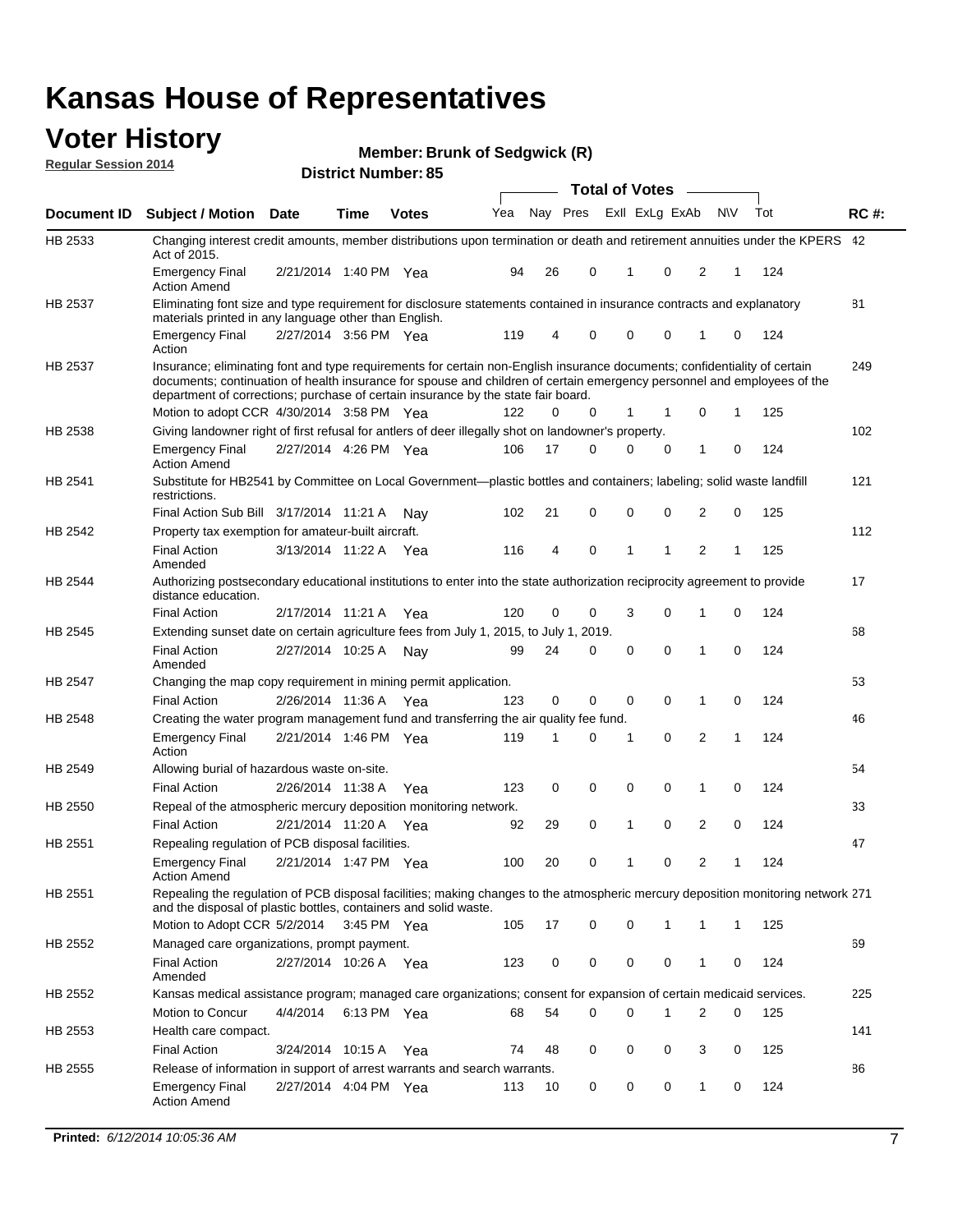#### **Voter History Regular Session 2014**

**Member: Brunk of Sedgwick (R)** 

|                |                                                                                                                                                                                                                                                                                                                                           |                       | ul Ituliinui . |              |     |    | <b>Total of Votes</b>   |              |   |          |     |              |     |             |
|----------------|-------------------------------------------------------------------------------------------------------------------------------------------------------------------------------------------------------------------------------------------------------------------------------------------------------------------------------------------|-----------------------|----------------|--------------|-----|----|-------------------------|--------------|---|----------|-----|--------------|-----|-------------|
| Document ID    | <b>Subject / Motion Date</b>                                                                                                                                                                                                                                                                                                              |                       | <b>Time</b>    | <b>Votes</b> | Yea |    | Nay Pres Exll ExLg ExAb |              |   |          | N\V |              | Tot | <b>RC#:</b> |
| HB 2533        | Changing interest credit amounts, member distributions upon termination or death and retirement annuities under the KPERS 42<br>Act of 2015.                                                                                                                                                                                              |                       |                |              |     |    |                         |              |   |          |     |              |     |             |
|                | <b>Emergency Final</b><br><b>Action Amend</b>                                                                                                                                                                                                                                                                                             | 2/21/2014 1:40 PM Yea |                |              | 94  | 26 | 0                       |              | 1 | 0        | 2   | 1            | 124 |             |
| HB 2537        | Eliminating font size and type requirement for disclosure statements contained in insurance contracts and explanatory                                                                                                                                                                                                                     |                       |                |              |     |    |                         |              |   |          |     |              |     | 81          |
|                | materials printed in any language other than English.<br><b>Emergency Final</b>                                                                                                                                                                                                                                                           | 2/27/2014 3:56 PM Yea |                |              | 119 | 4  | 0                       |              | 0 | 0        | 1   | 0            | 124 |             |
|                | Action                                                                                                                                                                                                                                                                                                                                    |                       |                |              |     |    |                         |              |   |          |     |              |     |             |
| HB 2537        | Insurance; eliminating font and type requirements for certain non-English insurance documents; confidentiality of certain<br>documents; continuation of health insurance for spouse and children of certain emergency personnel and employees of the<br>department of corrections; purchase of certain insurance by the state fair board. |                       |                |              |     |    |                         |              |   |          |     |              |     | 249         |
| HB 2538        | Motion to adopt CCR 4/30/2014 3:58 PM Yea<br>Giving landowner right of first refusal for antlers of deer illegally shot on landowner's property.                                                                                                                                                                                          |                       |                |              | 122 | 0  | 0                       |              | 1 | 1        | 0   | 1            | 125 | 102         |
|                | <b>Emergency Final</b>                                                                                                                                                                                                                                                                                                                    | 2/27/2014 4:26 PM Yea |                |              | 106 | 17 | 0                       |              | 0 | 0        | 1   | 0            | 124 |             |
|                | <b>Action Amend</b>                                                                                                                                                                                                                                                                                                                       |                       |                |              |     |    |                         |              |   |          |     |              |     |             |
| HB 2541        | Substitute for HB2541 by Committee on Local Government—plastic bottles and containers; labeling; solid waste landfill<br>restrictions.                                                                                                                                                                                                    |                       |                |              |     |    |                         |              |   |          |     |              |     | 121         |
|                | Final Action Sub Bill 3/17/2014 11:21 A                                                                                                                                                                                                                                                                                                   |                       |                | Nav          | 102 | 21 | 0                       |              | 0 | 0        | 2   | 0            | 125 |             |
| HB 2542        | Property tax exemption for amateur-built aircraft.                                                                                                                                                                                                                                                                                        |                       |                |              |     |    |                         |              |   |          |     |              |     | 112         |
|                | <b>Final Action</b><br>Amended                                                                                                                                                                                                                                                                                                            | 3/13/2014 11:22 A Yea |                |              | 116 | 4  | 0                       | $\mathbf{1}$ |   | 1        | 2   | 1            | 125 |             |
| <b>HB 2544</b> | Authorizing postsecondary educational institutions to enter into the state authorization reciprocity agreement to provide<br>distance education.                                                                                                                                                                                          |                       |                |              |     |    |                         |              |   |          |     |              |     | 17          |
|                | <b>Final Action</b>                                                                                                                                                                                                                                                                                                                       | 2/17/2014 11:21 A Yea |                |              | 120 | 0  | 0                       |              | 3 | 0        | 1   | 0            | 124 |             |
| HB 2545        | Extending sunset date on certain agriculture fees from July 1, 2015, to July 1, 2019.                                                                                                                                                                                                                                                     |                       |                |              |     |    |                         |              |   |          |     |              |     | 68          |
|                | <b>Final Action</b><br>Amended                                                                                                                                                                                                                                                                                                            | 2/27/2014 10:25 A Nay |                |              | 99  | 24 | 0                       |              | 0 | $\Omega$ | 1   | $\Omega$     | 124 |             |
| HB 2547        | Changing the map copy requirement in mining permit application.                                                                                                                                                                                                                                                                           |                       |                |              |     |    |                         |              |   |          |     |              |     | 53          |
|                | <b>Final Action</b>                                                                                                                                                                                                                                                                                                                       | 2/26/2014 11:36 A     |                | Yea          | 123 | 0  | 0                       |              | 0 | 0        | 1   | 0            | 124 |             |
| HB 2548        | Creating the water program management fund and transferring the air quality fee fund.                                                                                                                                                                                                                                                     |                       |                |              |     |    |                         |              |   |          |     |              |     | 46          |
|                | <b>Emergency Final</b><br>Action                                                                                                                                                                                                                                                                                                          | 2/21/2014 1:46 PM Yea |                |              | 119 | 1  | 0                       | 1            |   | 0        | 2   | 1            | 124 |             |
| HB 2549        | Allowing burial of hazardous waste on-site.                                                                                                                                                                                                                                                                                               |                       |                |              |     |    |                         |              |   |          |     |              |     | 54          |
|                | <b>Final Action</b>                                                                                                                                                                                                                                                                                                                       | 2/26/2014 11:38 A     |                | Yea          | 123 | 0  | 0                       |              | 0 | 0        | 1   | 0            | 124 |             |
| HB 2550        | Repeal of the atmospheric mercury deposition monitoring network.                                                                                                                                                                                                                                                                          |                       |                |              |     |    |                         |              |   |          |     |              |     | 33          |
|                | <b>Final Action</b>                                                                                                                                                                                                                                                                                                                       | 2/21/2014 11:20 A     |                | Yea          | 92  | 29 | 0                       |              | 1 | 0        | 2   | 0            | 124 |             |
| HB 2551        | Repealing regulation of PCB disposal facilities.                                                                                                                                                                                                                                                                                          |                       |                |              |     |    |                         |              |   |          |     |              |     | 47          |
|                | <b>Emergency Final</b><br>Action Amend                                                                                                                                                                                                                                                                                                    | 2/21/2014 1:47 PM Yea |                |              | 100 | 20 | 0                       | 1            |   | 0        | 2   | 1            | 124 |             |
| HB 2551        | Repealing the regulation of PCB disposal facilities; making changes to the atmospheric mercury deposition monitoring network 271<br>and the disposal of plastic bottles, containers and solid waste.                                                                                                                                      |                       |                |              |     |    |                         |              |   |          |     |              |     |             |
|                | Motion to Adopt CCR 5/2/2014                                                                                                                                                                                                                                                                                                              |                       | 3:45 PM Yea    |              | 105 | 17 | 0                       |              | 0 | 1        | 1   | $\mathbf{1}$ | 125 |             |
| HB 2552        | Managed care organizations, prompt payment.                                                                                                                                                                                                                                                                                               |                       |                |              |     |    |                         |              |   |          |     |              |     | 69          |
|                | <b>Final Action</b><br>Amended                                                                                                                                                                                                                                                                                                            | 2/27/2014 10:26 A Yea |                |              | 123 | 0  | 0                       |              | 0 | 0        | 1   | 0            | 124 |             |
| HB 2552        | Kansas medical assistance program; managed care organizations; consent for expansion of certain medicaid services.                                                                                                                                                                                                                        |                       |                |              |     |    |                         |              |   |          |     |              |     | 225         |
|                | Motion to Concur                                                                                                                                                                                                                                                                                                                          | 4/4/2014              | 6:13 PM Yea    |              | 68  | 54 | 0                       |              | 0 | 1        | 2   | 0            | 125 |             |
| HB 2553        | Health care compact.                                                                                                                                                                                                                                                                                                                      |                       |                |              |     |    |                         |              |   |          |     |              |     | 141         |
|                | <b>Final Action</b>                                                                                                                                                                                                                                                                                                                       | 3/24/2014 10:15 A     |                | Yea          | 74  | 48 | 0                       |              | 0 | 0        | 3   | 0            | 125 |             |
| HB 2555        | Release of information in support of arrest warrants and search warrants.                                                                                                                                                                                                                                                                 |                       |                |              |     |    |                         |              |   |          |     |              |     | 86          |
|                | <b>Emergency Final</b><br><b>Action Amend</b>                                                                                                                                                                                                                                                                                             | 2/27/2014 4:04 PM Yea |                |              | 113 | 10 | 0                       |              | 0 | 0        | 1   | 0            | 124 |             |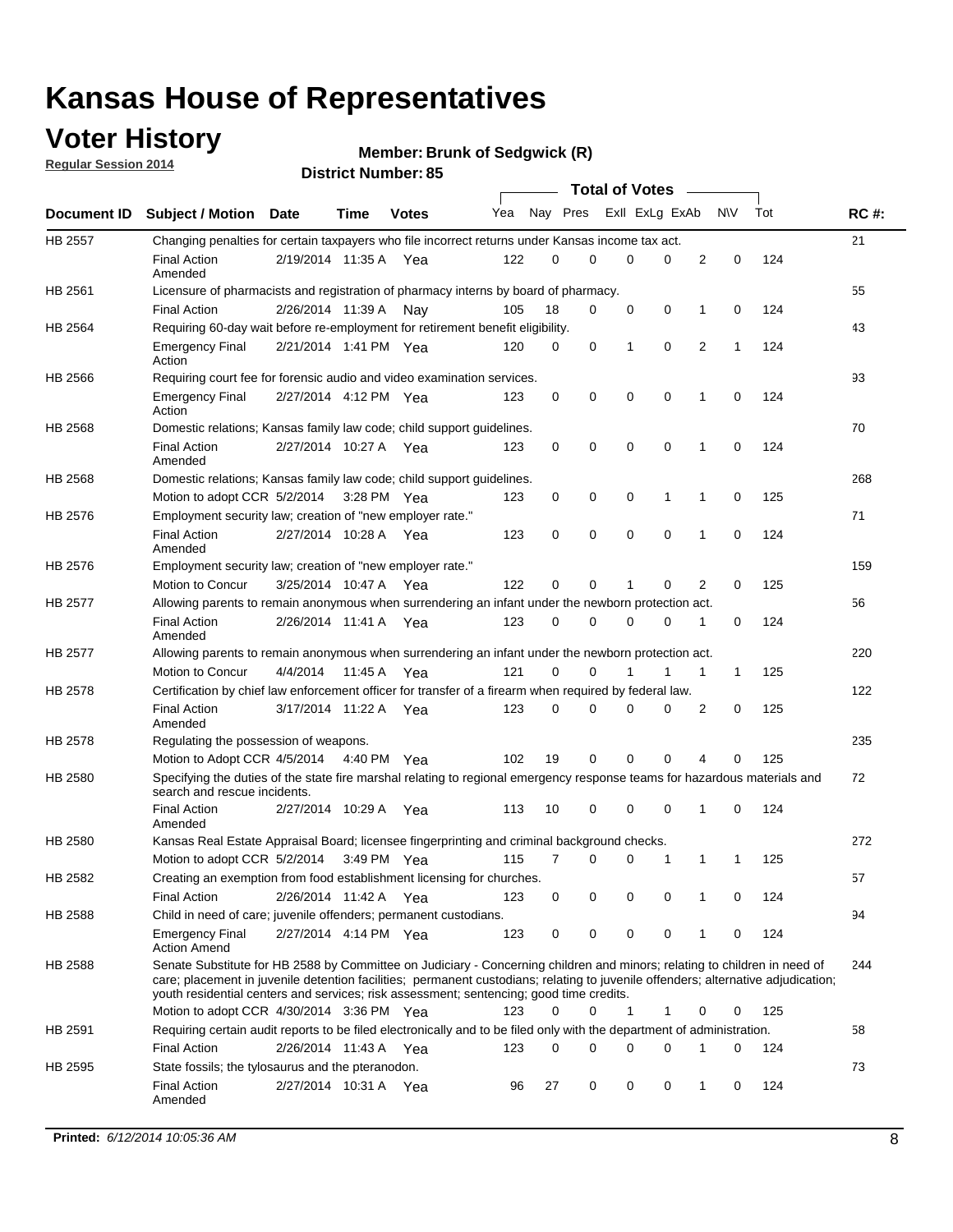## **Voter History**

**Regular Session 2014**

#### **Member: Brunk of Sedgwick (R)**

|                |                                                                                                                                                                                                                                                                                                                                                           |                       |         |              |     |          |   | <b>Total of Votes</b> |          |   |             |     |             |
|----------------|-----------------------------------------------------------------------------------------------------------------------------------------------------------------------------------------------------------------------------------------------------------------------------------------------------------------------------------------------------------|-----------------------|---------|--------------|-----|----------|---|-----------------------|----------|---|-------------|-----|-------------|
|                | Document ID Subject / Motion                                                                                                                                                                                                                                                                                                                              | Date                  | Time    | <b>Votes</b> | Yea | Nay Pres |   | Exll ExLg ExAb        |          |   | <b>NV</b>   | Tot | <b>RC#:</b> |
| HB 2557        | Changing penalties for certain taxpayers who file incorrect returns under Kansas income tax act.                                                                                                                                                                                                                                                          |                       |         |              |     |          |   |                       |          |   |             |     | 21          |
|                | <b>Final Action</b><br>Amended                                                                                                                                                                                                                                                                                                                            | 2/19/2014 11:35 A     |         | Yea          | 122 | 0        | 0 | 0                     | 0        | 2 | 0           | 124 |             |
| HB 2561        | Licensure of pharmacists and registration of pharmacy interns by board of pharmacy.                                                                                                                                                                                                                                                                       |                       |         |              |     |          |   |                       |          |   |             |     | 55          |
|                | <b>Final Action</b>                                                                                                                                                                                                                                                                                                                                       | 2/26/2014 11:39 A     |         | Nav          | 105 | 18       | 0 | 0                     | 0        | 1 | 0           | 124 |             |
| HB 2564        | Requiring 60-day wait before re-employment for retirement benefit eligibility.                                                                                                                                                                                                                                                                            |                       |         |              |     |          |   |                       |          |   |             |     | 43          |
|                | <b>Emergency Final</b><br>Action                                                                                                                                                                                                                                                                                                                          | 2/21/2014 1:41 PM Yea |         |              | 120 | 0        | 0 | 1                     | 0        | 2 | 1           | 124 |             |
| HB 2566        | Requiring court fee for forensic audio and video examination services.                                                                                                                                                                                                                                                                                    |                       |         |              |     |          |   |                       |          |   |             |     | 93          |
|                | <b>Emergency Final</b><br>Action                                                                                                                                                                                                                                                                                                                          | 2/27/2014 4:12 PM Yea |         |              | 123 | 0        | 0 | 0                     | 0        | 1 | $\mathbf 0$ | 124 |             |
| HB 2568        | Domestic relations; Kansas family law code; child support guidelines.                                                                                                                                                                                                                                                                                     |                       |         |              |     |          |   |                       |          |   |             |     | 70          |
|                | <b>Final Action</b><br>Amended                                                                                                                                                                                                                                                                                                                            | 2/27/2014 10:27 A     |         | Yea          | 123 | 0        | 0 | 0                     | 0        | 1 | 0           | 124 |             |
| HB 2568        | Domestic relations; Kansas family law code; child support guidelines.                                                                                                                                                                                                                                                                                     |                       |         |              |     |          |   |                       |          |   |             |     | 268         |
|                | Motion to adopt CCR 5/2/2014 3:28 PM Yea                                                                                                                                                                                                                                                                                                                  |                       |         |              | 123 | 0        | 0 | 0                     | 1        | 1 | $\mathbf 0$ | 125 |             |
| HB 2576        | Employment security law; creation of "new employer rate."                                                                                                                                                                                                                                                                                                 |                       |         |              |     |          |   |                       |          |   |             |     | 71          |
|                | <b>Final Action</b><br>Amended                                                                                                                                                                                                                                                                                                                            | 2/27/2014 10:28 A     |         | Yea          | 123 | 0        | 0 | 0                     | 0        | 1 | $\mathbf 0$ | 124 |             |
| HB 2576        | Employment security law; creation of "new employer rate."                                                                                                                                                                                                                                                                                                 |                       |         |              |     |          |   |                       |          |   |             |     | 159         |
|                | Motion to Concur                                                                                                                                                                                                                                                                                                                                          | 3/25/2014 10:47 A     |         | Yea          | 122 | 0        | 0 | 1                     | 0        | 2 | 0           | 125 |             |
| <b>HB 2577</b> | Allowing parents to remain anonymous when surrendering an infant under the newborn protection act.                                                                                                                                                                                                                                                        |                       |         |              |     |          |   |                       |          |   |             |     | 56          |
|                | <b>Final Action</b><br>Amended                                                                                                                                                                                                                                                                                                                            | 2/26/2014 11:41 A Yea |         |              | 123 | $\Omega$ | 0 | 0                     | 0        | 1 | 0           | 124 |             |
| HB 2577        | Allowing parents to remain anonymous when surrendering an infant under the newborn protection act.                                                                                                                                                                                                                                                        |                       |         |              |     |          |   |                       |          |   |             |     | 220         |
|                | Motion to Concur                                                                                                                                                                                                                                                                                                                                          | 4/4/2014              | 11:45 A | Yea          | 121 | 0        | 0 |                       | 1        | 1 | 1           | 125 |             |
| HB 2578        | Certification by chief law enforcement officer for transfer of a firearm when required by federal law.                                                                                                                                                                                                                                                    |                       |         |              |     |          |   |                       |          |   |             |     | 122         |
|                | <b>Final Action</b><br>Amended                                                                                                                                                                                                                                                                                                                            | 3/17/2014 11:22 A     |         | Yea          | 123 | $\Omega$ | 0 | 0                     | 0        | 2 | 0           | 125 |             |
| HB 2578        | Regulating the possession of weapons.                                                                                                                                                                                                                                                                                                                     |                       |         |              |     |          |   |                       |          |   |             |     | 235         |
|                | Motion to Adopt CCR 4/5/2014 4:40 PM Yea                                                                                                                                                                                                                                                                                                                  |                       |         |              | 102 | 19       | 0 | 0                     | $\Omega$ | 4 | 0           | 125 |             |
| HB 2580        | Specifying the duties of the state fire marshal relating to regional emergency response teams for hazardous materials and<br>search and rescue incidents.                                                                                                                                                                                                 |                       |         |              |     |          |   |                       |          |   |             |     | 72          |
|                | <b>Final Action</b><br>Amended                                                                                                                                                                                                                                                                                                                            | 2/27/2014 10:29 A     |         | Yea          | 113 | 10       | 0 | 0                     | 0        | 1 | 0           | 124 |             |
| HB 2580        | Kansas Real Estate Appraisal Board; licensee fingerprinting and criminal background checks.                                                                                                                                                                                                                                                               |                       |         |              |     |          |   |                       |          |   |             |     | 272         |
|                | Motion to adopt CCR 5/2/2014                                                                                                                                                                                                                                                                                                                              |                       |         | 3:49 PM Yea  | 115 | 7        | 0 | 0                     | 1        | 1 | 1           | 125 |             |
| HB 2582        | Creating an exemption from food establishment licensing for churches.                                                                                                                                                                                                                                                                                     |                       |         |              |     |          |   |                       |          |   |             |     | 57          |
|                | <b>Final Action</b>                                                                                                                                                                                                                                                                                                                                       | 2/26/2014 11:42 A Yea |         |              | 123 | 0        | 0 | 0                     | 0        | 1 | 0           | 124 |             |
| HB 2588        | Child in need of care; juvenile offenders; permanent custodians.                                                                                                                                                                                                                                                                                          |                       |         |              |     |          |   |                       |          |   |             |     | 94          |
|                | <b>Emergency Final</b><br><b>Action Amend</b>                                                                                                                                                                                                                                                                                                             | 2/27/2014 4:14 PM Yea |         |              | 123 | 0        | 0 | 0                     | 0        | 1 | 0           | 124 |             |
| HB 2588        | Senate Substitute for HB 2588 by Committee on Judiciary - Concerning children and minors; relating to children in need of<br>care; placement in juvenile detention facilities; permanent custodians; relating to juvenile offenders; alternative adjudication;<br>youth residential centers and services; risk assessment; sentencing; good time credits. |                       |         |              |     |          |   |                       |          |   |             |     | 244         |
|                | Motion to adopt CCR 4/30/2014 3:36 PM Yea                                                                                                                                                                                                                                                                                                                 |                       |         |              | 123 | 0        | 0 | 1                     | 1        | 0 | 0           | 125 |             |
| HB 2591        | Requiring certain audit reports to be filed electronically and to be filed only with the department of administration.                                                                                                                                                                                                                                    |                       |         |              |     |          |   |                       |          |   |             |     | 58          |
|                | <b>Final Action</b>                                                                                                                                                                                                                                                                                                                                       | 2/26/2014 11:43 A Yea |         |              | 123 | 0        | 0 | 0                     | 0        | 1 | 0           | 124 |             |
| HB 2595        | State fossils; the tylosaurus and the pteranodon.                                                                                                                                                                                                                                                                                                         |                       |         |              |     |          |   |                       |          |   |             |     | 73          |
|                | <b>Final Action</b><br>Amended                                                                                                                                                                                                                                                                                                                            | 2/27/2014 10:31 A Yea |         |              | 96  | 27       | 0 | 0                     | 0        | 1 | 0           | 124 |             |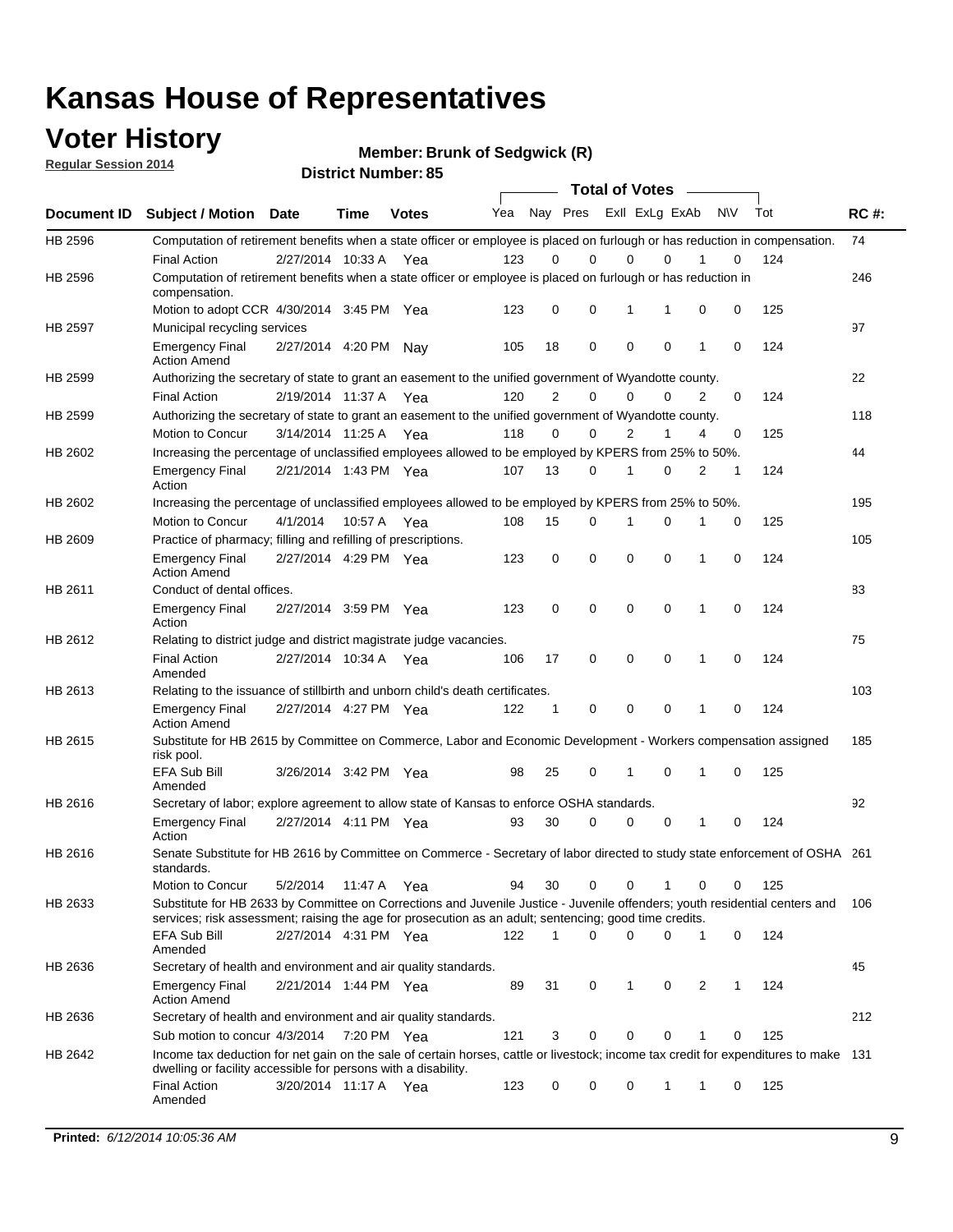### **Voter History**

**Regular Session 2014**

**Member: Brunk of Sedgwick (R)** 

| <b>District Number: 85</b> |  |
|----------------------------|--|
|                            |  |

|             |                                                                                                                                                                                                                                       | <b>Total of Votes</b> |             |              |     |             |                         |             |             |              |           |     |             |
|-------------|---------------------------------------------------------------------------------------------------------------------------------------------------------------------------------------------------------------------------------------|-----------------------|-------------|--------------|-----|-------------|-------------------------|-------------|-------------|--------------|-----------|-----|-------------|
| Document ID | <b>Subject / Motion Date</b>                                                                                                                                                                                                          |                       | Time        | <b>Votes</b> | Yea |             | Nay Pres Exll ExLg ExAb |             |             |              | <b>NV</b> | Tot | <b>RC#:</b> |
| HB 2596     | Computation of retirement benefits when a state officer or employee is placed on furlough or has reduction in compensation.                                                                                                           |                       |             |              |     |             |                         |             |             |              |           |     | 74          |
|             | <b>Final Action</b>                                                                                                                                                                                                                   | 2/27/2014 10:33 A     |             | Yea          | 123 | 0           | 0                       | $\mathbf 0$ | $\Omega$    |              | 0         | 124 |             |
| HB 2596     | Computation of retirement benefits when a state officer or employee is placed on furlough or has reduction in<br>compensation.                                                                                                        |                       |             |              |     |             |                         |             |             |              |           |     | 246         |
|             | Motion to adopt CCR 4/30/2014 3:45 PM Yea                                                                                                                                                                                             |                       |             |              | 123 | 0           | 0                       | 1           | 1           | 0            | 0         | 125 |             |
| HB 2597     | Municipal recycling services                                                                                                                                                                                                          |                       |             |              |     |             |                         |             |             |              |           |     | 97          |
|             | <b>Emergency Final</b><br><b>Action Amend</b>                                                                                                                                                                                         | 2/27/2014 4:20 PM Nay |             |              | 105 | 18          | 0                       | $\mathbf 0$ | 0           | $\mathbf{1}$ | 0         | 124 |             |
| HB 2599     | Authorizing the secretary of state to grant an easement to the unified government of Wyandotte county.                                                                                                                                |                       |             |              |     |             |                         |             |             |              |           |     | 22          |
|             | <b>Final Action</b>                                                                                                                                                                                                                   | 2/19/2014 11:37 A     |             | Yea          | 120 | 2           | 0                       | 0           | $\mathbf 0$ | 2            | 0         | 124 |             |
| HB 2599     | Authorizing the secretary of state to grant an easement to the unified government of Wyandotte county.                                                                                                                                |                       |             |              |     |             |                         |             |             |              |           |     | 118         |
|             | Motion to Concur                                                                                                                                                                                                                      | 3/14/2014 11:25 A     |             | Yea          | 118 | 0           | 0                       | 2           | 1           | 4            | 0         | 125 |             |
| HB 2602     | Increasing the percentage of unclassified employees allowed to be employed by KPERS from 25% to 50%.                                                                                                                                  |                       |             |              |     |             |                         |             |             |              |           |     | 44          |
|             | <b>Emergency Final</b><br>Action                                                                                                                                                                                                      | 2/21/2014 1:43 PM Yea |             |              | 107 | 13          | 0                       | 1           | 0           | 2            | 1         | 124 |             |
| HB 2602     | Increasing the percentage of unclassified employees allowed to be employed by KPERS from 25% to 50%.                                                                                                                                  |                       |             |              |     |             |                         |             |             |              |           |     | 195         |
|             | Motion to Concur                                                                                                                                                                                                                      | 4/1/2014              | 10:57 A     | Yea          | 108 | 15          | 0                       | 1           | $\mathbf 0$ | 1            | 0         | 125 |             |
| HB 2609     | Practice of pharmacy; filling and refilling of prescriptions.                                                                                                                                                                         |                       |             |              |     |             |                         |             |             |              |           |     | 105         |
|             | <b>Emergency Final</b><br><b>Action Amend</b>                                                                                                                                                                                         | 2/27/2014 4:29 PM Yea |             |              | 123 | $\mathbf 0$ | $\mathbf 0$             | $\mathbf 0$ | $\mathbf 0$ | 1            | $\Omega$  | 124 |             |
| HB 2611     | Conduct of dental offices.                                                                                                                                                                                                            |                       |             |              |     |             |                         |             |             |              |           |     | 83          |
|             | <b>Emergency Final</b><br>Action                                                                                                                                                                                                      | 2/27/2014 3:59 PM Yea |             |              | 123 | 0           | 0                       | $\mathbf 0$ | $\mathbf 0$ | 1            | 0         | 124 |             |
| HB 2612     | Relating to district judge and district magistrate judge vacancies.                                                                                                                                                                   |                       |             |              |     |             |                         |             |             |              |           |     | 75          |
|             | <b>Final Action</b><br>Amended                                                                                                                                                                                                        | 2/27/2014 10:34 A     |             | Yea          | 106 | 17          | 0                       | $\mathbf 0$ | $\mathbf 0$ | 1            | 0         | 124 |             |
| HB 2613     | Relating to the issuance of stillbirth and unborn child's death certificates.                                                                                                                                                         |                       |             |              |     |             |                         |             |             |              |           |     | 103         |
|             | <b>Emergency Final</b><br><b>Action Amend</b>                                                                                                                                                                                         | 2/27/2014 4:27 PM Yea |             |              | 122 | $\mathbf 1$ | 0                       | $\mathbf 0$ | 0           | 1            | 0         | 124 |             |
| HB 2615     | Substitute for HB 2615 by Committee on Commerce, Labor and Economic Development - Workers compensation assigned<br>risk pool.                                                                                                         |                       |             |              |     |             |                         |             |             |              |           |     | 185         |
|             | EFA Sub Bill<br>Amended                                                                                                                                                                                                               | 3/26/2014 3:42 PM Yea |             |              | 98  | 25          | 0                       | 1           | 0           | 1            | 0         | 125 |             |
| HB 2616     | Secretary of labor; explore agreement to allow state of Kansas to enforce OSHA standards.                                                                                                                                             |                       |             |              |     |             |                         |             |             |              |           |     | 92          |
|             | <b>Emergency Final</b><br>Action                                                                                                                                                                                                      | 2/27/2014 4:11 PM Yea |             |              | 93  | 30          | $\Omega$                | $\mathbf 0$ | 0           | 1            | 0         | 124 |             |
| HB 2616     | Senate Substitute for HB 2616 by Committee on Commerce - Secretary of labor directed to study state enforcement of OSHA 261<br>standards.                                                                                             |                       |             |              |     |             |                         |             |             |              |           |     |             |
|             | Motion to Concur                                                                                                                                                                                                                      | 5/2/2014 11:47 A      |             | Yea          | 94  | 30          | 0                       | $\mathbf 0$ | 1           | 0            | 0         | 125 |             |
| HB 2633     | Substitute for HB 2633 by Committee on Corrections and Juvenile Justice - Juvenile offenders; youth residential centers and<br>services; risk assessment; raising the age for prosecution as an adult; sentencing; good time credits. |                       |             |              |     |             |                         |             |             |              |           |     | - 106       |
|             | <b>EFA Sub Bill</b><br>Amended                                                                                                                                                                                                        | 2/27/2014 4:31 PM Yea |             |              | 122 | 1           | 0                       | 0           | 0           | 1            | 0         | 124 |             |
| HB 2636     | Secretary of health and environment and air quality standards.                                                                                                                                                                        |                       |             |              |     |             |                         |             |             |              |           |     | 45          |
|             | <b>Emergency Final</b><br><b>Action Amend</b>                                                                                                                                                                                         | 2/21/2014 1:44 PM Yea |             |              | 89  | 31          | 0                       | 1           | 0           | 2            |           | 124 |             |
| HB 2636     | Secretary of health and environment and air quality standards.                                                                                                                                                                        |                       |             |              |     |             |                         |             |             |              |           |     | 212         |
|             | Sub motion to concur 4/3/2014                                                                                                                                                                                                         |                       | 7:20 PM Yea |              | 121 | 3           | 0                       | 0           | 0           | 1            | 0         | 125 |             |
| HB 2642     | Income tax deduction for net gain on the sale of certain horses, cattle or livestock; income tax credit for expenditures to make 131                                                                                                  |                       |             |              |     |             |                         |             |             |              |           |     |             |
|             | dwelling or facility accessible for persons with a disability.<br><b>Final Action</b>                                                                                                                                                 | 3/20/2014 11:17 A Yea |             |              | 123 | 0           | 0                       | 0           | 1           | 1            | 0         | 125 |             |
|             | Amended                                                                                                                                                                                                                               |                       |             |              |     |             |                         |             |             |              |           |     |             |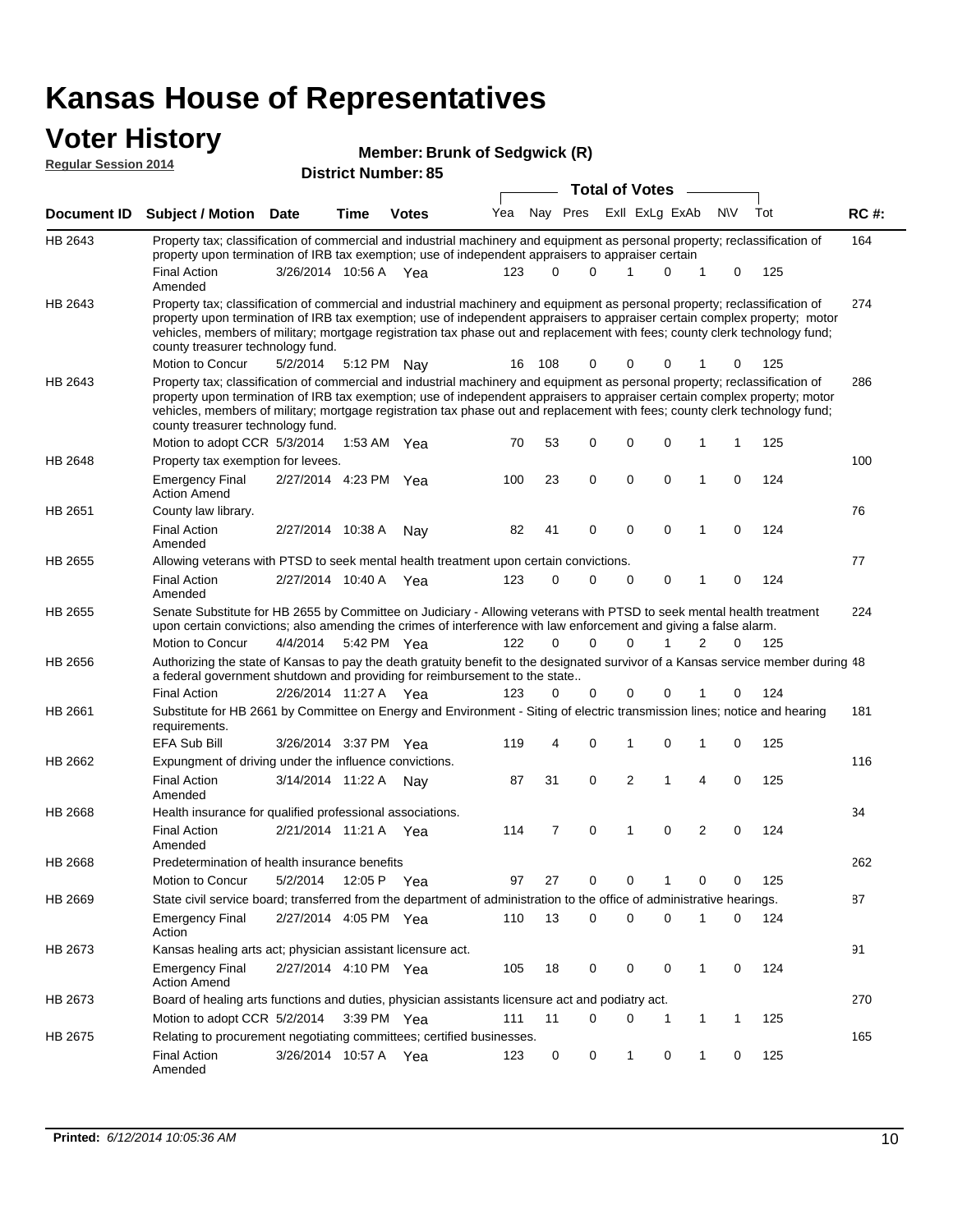#### **Voter History Regular Se**

| <b>VULCI FIISLUI Y</b>      |                                                                                                                     | Member: Brunk of Sedgwick (R) |      |                            |  |  |  |  |                                 |  |     |                 |
|-----------------------------|---------------------------------------------------------------------------------------------------------------------|-------------------------------|------|----------------------------|--|--|--|--|---------------------------------|--|-----|-----------------|
| <b>Regular Session 2014</b> |                                                                                                                     |                               |      | <b>District Number: 85</b> |  |  |  |  | <b>Total of Votes</b>           |  |     |                 |
|                             | Document ID Subject / Motion                                                                                        | <b>Date</b>                   | Time | <b>Votes</b>               |  |  |  |  | Yea Nay Pres ExII ExLg ExAb N\V |  | Tot | <b>RC#:</b>     |
| LID OR 49                   | Report to relaxation of commercial and industrial moobinery and equipment as personal preparty; realgosification of |                               |      |                            |  |  |  |  |                                 |  |     | 1C <sub>A</sub> |

| HB 2643        | Property tax; classification of commercial and industrial machinery and equipment as personal property; reclassification of<br>property upon termination of IRB tax exemption; use of independent appraisers to appraiser certain                                                                                                                                                                                                                             |                       |               |                       |     |                |                |                |                |                |              |     | 164 |
|----------------|---------------------------------------------------------------------------------------------------------------------------------------------------------------------------------------------------------------------------------------------------------------------------------------------------------------------------------------------------------------------------------------------------------------------------------------------------------------|-----------------------|---------------|-----------------------|-----|----------------|----------------|----------------|----------------|----------------|--------------|-----|-----|
|                | <b>Final Action</b><br>Amended                                                                                                                                                                                                                                                                                                                                                                                                                                | 3/26/2014 10:56 A Yea |               |                       | 123 | 0              | 0              |                | 0              |                | 0            | 125 |     |
| HB 2643        | Property tax; classification of commercial and industrial machinery and equipment as personal property; reclassification of<br>property upon termination of IRB tax exemption; use of independent appraisers to appraiser certain complex property; motor<br>vehicles, members of military; mortgage registration tax phase out and replacement with fees; county clerk technology fund;<br>county treasurer technology fund.<br>Motion to Concur             |                       |               |                       |     | 108            | 0              |                | 0              |                | 0            |     | 274 |
|                |                                                                                                                                                                                                                                                                                                                                                                                                                                                               | 5/2/2014              | 5:12 PM Nay   |                       | 16  |                |                | 0              |                |                |              | 125 |     |
| HB 2643        | Property tax; classification of commercial and industrial machinery and equipment as personal property; reclassification of<br>property upon termination of IRB tax exemption; use of independent appraisers to appraiser certain complex property; motor<br>vehicles, members of military; mortgage registration tax phase out and replacement with fees; county clerk technology fund;<br>county treasurer technology fund.<br>Motion to adopt CCR 5/3/2014 |                       | 1:53 AM Yea   |                       | 70  | 53             | 0              | 0              | $\mathbf 0$    | 1              | 1            | 125 | 286 |
| HB 2648        | Property tax exemption for levees.                                                                                                                                                                                                                                                                                                                                                                                                                            |                       |               |                       |     |                |                |                |                |                |              |     | 100 |
|                | <b>Emergency Final</b><br><b>Action Amend</b>                                                                                                                                                                                                                                                                                                                                                                                                                 | 2/27/2014 4:23 PM Yea |               |                       | 100 | 23             | 0              | 0              | $\mathbf 0$    | 1              | 0            | 124 |     |
| HB 2651        | County law library.                                                                                                                                                                                                                                                                                                                                                                                                                                           |                       |               |                       |     |                |                |                |                |                |              |     | 76  |
|                | <b>Final Action</b><br>Amended                                                                                                                                                                                                                                                                                                                                                                                                                                | 2/27/2014 10:38 A     |               | Nay                   | 82  | 41             | 0              | 0              | 0              | 1              | 0            | 124 |     |
| HB 2655        | Allowing veterans with PTSD to seek mental health treatment upon certain convictions.                                                                                                                                                                                                                                                                                                                                                                         |                       |               |                       |     |                |                |                |                |                |              |     | 77  |
|                | <b>Final Action</b><br>Amended                                                                                                                                                                                                                                                                                                                                                                                                                                | 2/27/2014 10:40 A     |               | Yea                   | 123 | 0              | 0              | 0              | 0              | 1              | 0            | 124 |     |
| HB 2655        | Senate Substitute for HB 2655 by Committee on Judiciary - Allowing veterans with PTSD to seek mental health treatment<br>upon certain convictions; also amending the crimes of interference with law enforcement and giving a false alarm.                                                                                                                                                                                                                    |                       |               |                       |     |                |                |                |                |                |              |     | 224 |
|                | Motion to Concur                                                                                                                                                                                                                                                                                                                                                                                                                                              | 4/4/2014              | 5:42 PM Yea   |                       | 122 | 0              | 0              | $\Omega$       | 1              | 2              | 0            | 125 |     |
| HB 2656        | Authorizing the state of Kansas to pay the death gratuity benefit to the designated survivor of a Kansas service member during 48                                                                                                                                                                                                                                                                                                                             |                       |               |                       |     |                |                |                |                |                |              |     |     |
|                | a federal government shutdown and providing for reimbursement to the state                                                                                                                                                                                                                                                                                                                                                                                    |                       |               |                       |     |                |                |                |                |                |              |     |     |
|                | <b>Final Action</b>                                                                                                                                                                                                                                                                                                                                                                                                                                           | 2/26/2014 11:27 A Yea |               |                       | 123 | 0              | 0              | 0              | 0              |                | 0            | 124 |     |
| HB 2661        | Substitute for HB 2661 by Committee on Energy and Environment - Siting of electric transmission lines; notice and hearing<br>requirements.                                                                                                                                                                                                                                                                                                                    |                       |               |                       |     |                |                |                |                |                |              |     | 181 |
|                | <b>EFA Sub Bill</b>                                                                                                                                                                                                                                                                                                                                                                                                                                           | 3/26/2014 3:37 PM Yea |               |                       | 119 | 4              | 0              | 1              | $\mathbf 0$    | 1              | 0            | 125 |     |
| HB 2662        | Expungment of driving under the influence convictions.                                                                                                                                                                                                                                                                                                                                                                                                        |                       |               |                       |     |                |                |                |                |                |              |     | 116 |
|                | <b>Final Action</b><br>Amended                                                                                                                                                                                                                                                                                                                                                                                                                                | 3/14/2014 11:22 A     |               | Nav                   | 87  | 31             | 0              | 2              | 1              | 4              | 0            | 125 |     |
| HB 2668        | Health insurance for qualified professional associations.                                                                                                                                                                                                                                                                                                                                                                                                     |                       |               |                       |     |                |                |                |                |                |              |     | 34  |
|                | <b>Final Action</b><br>Amended                                                                                                                                                                                                                                                                                                                                                                                                                                | 2/21/2014 11:21 A Yea |               |                       | 114 | $\overline{7}$ | 0              | 1              | 0              | 2              | 0            | 124 |     |
| <b>HB 2668</b> | Predetermination of health insurance benefits                                                                                                                                                                                                                                                                                                                                                                                                                 |                       |               |                       |     |                |                |                |                |                |              |     | 262 |
|                | <b>Motion to Concur</b>                                                                                                                                                                                                                                                                                                                                                                                                                                       | 5/2/2014              | 12:05 P       | Yea                   | 97  | 27             | 0              | 0              |                | 0              | 0            | 125 |     |
| HB 2669        | State civil service board; transferred from the department of administration to the office of administrative hearings.                                                                                                                                                                                                                                                                                                                                        |                       |               |                       |     |                |                |                |                |                |              |     | 87  |
|                | <b>Emergency Final</b><br>Action                                                                                                                                                                                                                                                                                                                                                                                                                              |                       |               | 2/27/2014 4:05 PM Yea |     | 110 13         | $\overline{0}$ | $\overline{0}$ | $\overline{0}$ | $\overline{1}$ | $\mathbf{0}$ | 124 |     |
| HB 2673        | Kansas healing arts act; physician assistant licensure act.                                                                                                                                                                                                                                                                                                                                                                                                   |                       |               |                       |     |                |                |                |                |                |              |     | 91  |
|                | <b>Emergency Final</b><br><b>Action Amend</b>                                                                                                                                                                                                                                                                                                                                                                                                                 | 2/27/2014 4:10 PM Yea |               |                       | 105 | 18             | 0              | 0              | 0              | 1              | 0            | 124 |     |
| HB 2673        | Board of healing arts functions and duties, physician assistants licensure act and podiatry act.                                                                                                                                                                                                                                                                                                                                                              |                       |               |                       |     |                |                |                |                |                |              |     | 270 |
|                | Motion to adopt CCR 5/2/2014                                                                                                                                                                                                                                                                                                                                                                                                                                  |                       | $3:39$ PM Yea |                       | 111 | 11             | 0              | 0              | 1              | 1              | 1            | 125 |     |
| HB 2675        | Relating to procurement negotiating committees; certified businesses.                                                                                                                                                                                                                                                                                                                                                                                         |                       |               |                       |     |                |                |                |                |                |              |     | 165 |
|                | <b>Final Action</b><br>Amended                                                                                                                                                                                                                                                                                                                                                                                                                                | 3/26/2014 10:57 A     |               | Yea                   | 123 | 0              | 0              | 1              | 0              | 1              | 0            | 125 |     |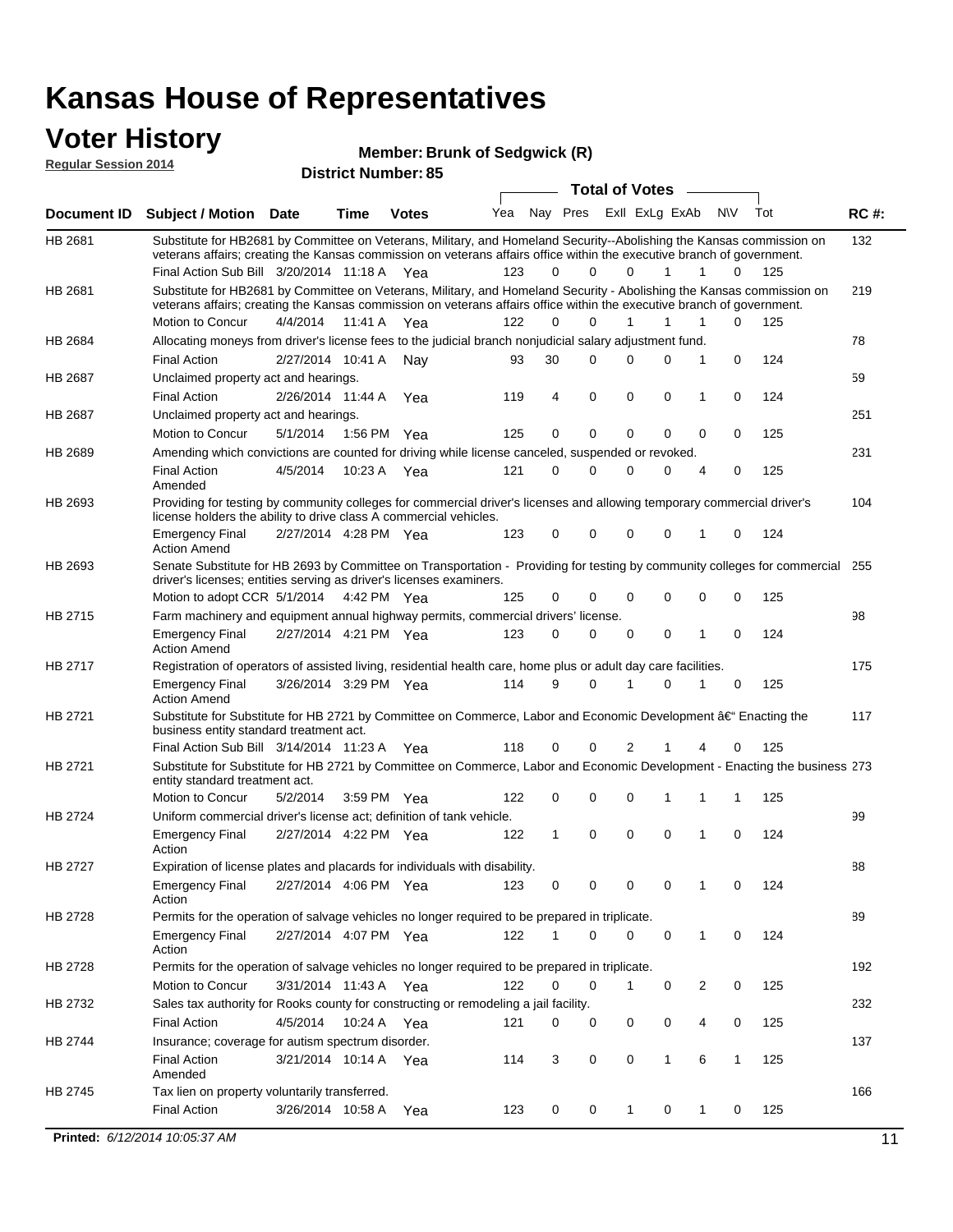#### **Voter History Regular Session 2014**

**Member: Brunk of Sedgwick (R)** 

| <b>Total of Votes</b><br>Nay Pres ExII ExLg ExAb<br>Yea<br>N\V<br>Tot<br><b>RC#:</b><br><b>Subject / Motion Date</b><br><b>Time</b><br><b>Votes</b><br>132<br>Substitute for HB2681 by Committee on Veterans, Military, and Homeland Security--Abolishing the Kansas commission on<br>veterans affairs; creating the Kansas commission on veterans affairs office within the executive branch of government.<br>Final Action Sub Bill 3/20/2014 11:18 A Yea<br>123<br>$\Omega$<br>0<br>125<br>0<br>1<br>1<br>0<br>HB 2681<br>Substitute for HB2681 by Committee on Veterans, Military, and Homeland Security - Abolishing the Kansas commission on<br>219<br>veterans affairs; creating the Kansas commission on veterans affairs office within the executive branch of government.<br>Motion to Concur<br>4/4/2014<br>11:41 A<br>122<br>0<br>$\Omega$<br>1<br>1<br>0<br>125<br>1<br>Yea<br>Allocating moneys from driver's license fees to the judicial branch nonjudicial salary adjustment fund.<br>78<br>HB 2684<br>124<br><b>Final Action</b><br>2/27/2014 10:41 A<br>30<br>$\Omega$<br>0<br>0<br>1<br>0<br>93<br>Nav<br>59<br>HB 2687<br>Unclaimed property act and hearings.<br>$\mathbf 0$<br>0<br><b>Final Action</b><br>2/26/2014 11:44 A<br>119<br>4<br>0<br>0<br>124<br>Yea<br>1<br><b>HB 2687</b><br>Unclaimed property act and hearings.<br>251<br>0<br>$\mathbf 0$<br>0<br>125<br>Motion to Concur<br>5/1/2014<br>1:56 PM Yea<br>125<br>0<br>0<br>0<br>231<br><b>HB 2689</b><br>Amending which convictions are counted for driving while license canceled, suspended or revoked.<br><b>Final Action</b><br>4/5/2014<br>10:23 A<br>121<br>0<br>0<br>0<br>0<br>4<br>0<br>125<br>Yea<br>Amended<br>Providing for testing by community colleges for commercial driver's licenses and allowing temporary commercial driver's<br>HB 2693<br>104<br>license holders the ability to drive class A commercial vehicles.<br>2/27/2014 4:28 PM Yea<br>123<br>0<br>0<br>0<br>0<br>0<br>124<br><b>Emergency Final</b><br>1<br><b>Action Amend</b><br>Senate Substitute for HB 2693 by Committee on Transportation - Providing for testing by community colleges for commercial<br>HB 2693<br>255<br>driver's licenses; entities serving as driver's licenses examiners.<br>Motion to adopt CCR 5/1/2014<br>0<br>0<br>125<br>4:42 PM Yea<br>125<br>0<br>0<br>0<br>0<br>HB 2715<br>98<br>Farm machinery and equipment annual highway permits, commercial drivers' license.<br>2/27/2014 4:21 PM Yea<br>123<br>0<br>$\Omega$<br>0<br>0<br>124<br><b>Emergency Final</b><br>0<br>1<br><b>Action Amend</b><br>175<br>HB 2717<br>Registration of operators of assisted living, residential health care, home plus or adult day care facilities.<br>3/26/2014 3:29 PM Yea<br>114<br>9<br>$\Omega$<br>0<br>125<br><b>Emergency Final</b><br>1<br>0<br><b>Action Amend</b><br>HB 2721<br>Substitute for Substitute for HB 2721 by Committee on Commerce, Labor and Economic Development †Enacting the<br>117<br>business entity standard treatment act.<br>Final Action Sub Bill 3/14/2014 11:23 A Yea<br>118<br>0<br>0<br>2<br>0<br>125<br>1<br>4<br>HB 2721<br>Substitute for Substitute for HB 2721 by Committee on Commerce, Labor and Economic Development - Enacting the business 273<br>entity standard treatment act.<br>Motion to Concur<br>5/2/2014<br>122<br>0<br>0<br>125<br>3:59 PM Yea<br>0<br>1<br>1<br>1<br><b>HB 2724</b><br>99<br>Uniform commercial driver's license act; definition of tank vehicle.<br>2/27/2014 4:22 PM Yea<br>0<br>0<br>0<br>124<br><b>Emergency Final</b><br>122<br>1<br>1<br>0<br>Action<br>HB 2727<br>Expiration of license plates and placards for individuals with disability.<br>88<br><b>Emergency Final</b><br>2/27/2014 4:06 PM Yea<br>123<br>0<br>0<br>124<br>0<br>0<br>1<br>0<br>Action<br>89<br>Permits for the operation of salvage vehicles no longer required to be prepared in triplicate.<br>2/27/2014 4:07 PM Yea<br>122<br>$\Omega$<br>0<br>0<br>124<br><b>Emergency Final</b><br>1<br>0<br>1<br>Action<br>192<br>HB 2728<br>Permits for the operation of salvage vehicles no longer required to be prepared in triplicate.<br>Motion to Concur<br>3/31/2014 11:43 A Yea<br>122<br>0<br>0<br>0<br>2<br>0<br>125<br>1<br>Sales tax authority for Rooks county for constructing or remodeling a jail facility.<br>232<br>HB 2732<br><b>Final Action</b><br>4/5/2014<br>10:24 A Yea<br>0<br>0<br>0<br>125<br>121<br>0<br>0<br>4<br>Insurance; coverage for autism spectrum disorder.<br>137<br>HB 2744<br><b>Final Action</b><br>3/21/2014 10:14 A Yea<br>114<br>3<br>0<br>0<br>1<br>6<br>$\mathbf{1}$<br>125<br>Amended<br>166<br>HB 2745<br>Tax lien on property voluntarily transferred.<br><b>Final Action</b><br>3/26/2014 10:58 A<br>0<br>0<br>125<br>123<br>$\mathbf{1}$<br>0<br>1<br>0<br>Yea<br>Printed: 6/12/2014 10:05:37 AM<br>11 | noguidi ocoololi 4014 |  | <b>District Number: 85</b> |  |  |  |  |  |
|-----------------------------------------------------------------------------------------------------------------------------------------------------------------------------------------------------------------------------------------------------------------------------------------------------------------------------------------------------------------------------------------------------------------------------------------------------------------------------------------------------------------------------------------------------------------------------------------------------------------------------------------------------------------------------------------------------------------------------------------------------------------------------------------------------------------------------------------------------------------------------------------------------------------------------------------------------------------------------------------------------------------------------------------------------------------------------------------------------------------------------------------------------------------------------------------------------------------------------------------------------------------------------------------------------------------------------------------------------------------------------------------------------------------------------------------------------------------------------------------------------------------------------------------------------------------------------------------------------------------------------------------------------------------------------------------------------------------------------------------------------------------------------------------------------------------------------------------------------------------------------------------------------------------------------------------------------------------------------------------------------------------------------------------------------------------------------------------------------------------------------------------------------------------------------------------------------------------------------------------------------------------------------------------------------------------------------------------------------------------------------------------------------------------------------------------------------------------------------------------------------------------------------------------------------------------------------------------------------------------------------------------------------------------------------------------------------------------------------------------------------------------------------------------------------------------------------------------------------------------------------------------------------------------------------------------------------------------------------------------------------------------------------------------------------------------------------------------------------------------------------------------------------------------------------------------------------------------------------------------------------------------------------------------------------------------------------------------------------------------------------------------------------------------------------------------------------------------------------------------------------------------------------------------------------------------------------------------------------------------------------------------------------------------------------------------------------------------------------------------------------------------------------------------------------------------------------------------------------------------------------------------------------------------------------------------------------------------------------------------------------------------------------------------------------------------------------------------------------------------------------------------------------------------------------------------------------------------------------------------------------------------------------------------------------------------------------------------------------------------------------------------------------------------------------------------------------------------------------------------------------------------------------------------------------------------------------------------------------------------------------------------------------------------------------------------------------------------------------------------------------------------------------------------------------------------------------------------------------------------------------------------------|-----------------------|--|----------------------------|--|--|--|--|--|
|                                                                                                                                                                                                                                                                                                                                                                                                                                                                                                                                                                                                                                                                                                                                                                                                                                                                                                                                                                                                                                                                                                                                                                                                                                                                                                                                                                                                                                                                                                                                                                                                                                                                                                                                                                                                                                                                                                                                                                                                                                                                                                                                                                                                                                                                                                                                                                                                                                                                                                                                                                                                                                                                                                                                                                                                                                                                                                                                                                                                                                                                                                                                                                                                                                                                                                                                                                                                                                                                                                                                                                                                                                                                                                                                                                                                                                                                                                                                                                                                                                                                                                                                                                                                                                                                                                                                                                                                                                                                                                                                                                                                                                                                                                                                                                                                                                                                                               |                       |  |                            |  |  |  |  |  |
|                                                                                                                                                                                                                                                                                                                                                                                                                                                                                                                                                                                                                                                                                                                                                                                                                                                                                                                                                                                                                                                                                                                                                                                                                                                                                                                                                                                                                                                                                                                                                                                                                                                                                                                                                                                                                                                                                                                                                                                                                                                                                                                                                                                                                                                                                                                                                                                                                                                                                                                                                                                                                                                                                                                                                                                                                                                                                                                                                                                                                                                                                                                                                                                                                                                                                                                                                                                                                                                                                                                                                                                                                                                                                                                                                                                                                                                                                                                                                                                                                                                                                                                                                                                                                                                                                                                                                                                                                                                                                                                                                                                                                                                                                                                                                                                                                                                                                               | <b>Document ID</b>    |  |                            |  |  |  |  |  |
|                                                                                                                                                                                                                                                                                                                                                                                                                                                                                                                                                                                                                                                                                                                                                                                                                                                                                                                                                                                                                                                                                                                                                                                                                                                                                                                                                                                                                                                                                                                                                                                                                                                                                                                                                                                                                                                                                                                                                                                                                                                                                                                                                                                                                                                                                                                                                                                                                                                                                                                                                                                                                                                                                                                                                                                                                                                                                                                                                                                                                                                                                                                                                                                                                                                                                                                                                                                                                                                                                                                                                                                                                                                                                                                                                                                                                                                                                                                                                                                                                                                                                                                                                                                                                                                                                                                                                                                                                                                                                                                                                                                                                                                                                                                                                                                                                                                                                               | HB 2681               |  |                            |  |  |  |  |  |
|                                                                                                                                                                                                                                                                                                                                                                                                                                                                                                                                                                                                                                                                                                                                                                                                                                                                                                                                                                                                                                                                                                                                                                                                                                                                                                                                                                                                                                                                                                                                                                                                                                                                                                                                                                                                                                                                                                                                                                                                                                                                                                                                                                                                                                                                                                                                                                                                                                                                                                                                                                                                                                                                                                                                                                                                                                                                                                                                                                                                                                                                                                                                                                                                                                                                                                                                                                                                                                                                                                                                                                                                                                                                                                                                                                                                                                                                                                                                                                                                                                                                                                                                                                                                                                                                                                                                                                                                                                                                                                                                                                                                                                                                                                                                                                                                                                                                                               |                       |  |                            |  |  |  |  |  |
|                                                                                                                                                                                                                                                                                                                                                                                                                                                                                                                                                                                                                                                                                                                                                                                                                                                                                                                                                                                                                                                                                                                                                                                                                                                                                                                                                                                                                                                                                                                                                                                                                                                                                                                                                                                                                                                                                                                                                                                                                                                                                                                                                                                                                                                                                                                                                                                                                                                                                                                                                                                                                                                                                                                                                                                                                                                                                                                                                                                                                                                                                                                                                                                                                                                                                                                                                                                                                                                                                                                                                                                                                                                                                                                                                                                                                                                                                                                                                                                                                                                                                                                                                                                                                                                                                                                                                                                                                                                                                                                                                                                                                                                                                                                                                                                                                                                                                               |                       |  |                            |  |  |  |  |  |
|                                                                                                                                                                                                                                                                                                                                                                                                                                                                                                                                                                                                                                                                                                                                                                                                                                                                                                                                                                                                                                                                                                                                                                                                                                                                                                                                                                                                                                                                                                                                                                                                                                                                                                                                                                                                                                                                                                                                                                                                                                                                                                                                                                                                                                                                                                                                                                                                                                                                                                                                                                                                                                                                                                                                                                                                                                                                                                                                                                                                                                                                                                                                                                                                                                                                                                                                                                                                                                                                                                                                                                                                                                                                                                                                                                                                                                                                                                                                                                                                                                                                                                                                                                                                                                                                                                                                                                                                                                                                                                                                                                                                                                                                                                                                                                                                                                                                                               |                       |  |                            |  |  |  |  |  |
|                                                                                                                                                                                                                                                                                                                                                                                                                                                                                                                                                                                                                                                                                                                                                                                                                                                                                                                                                                                                                                                                                                                                                                                                                                                                                                                                                                                                                                                                                                                                                                                                                                                                                                                                                                                                                                                                                                                                                                                                                                                                                                                                                                                                                                                                                                                                                                                                                                                                                                                                                                                                                                                                                                                                                                                                                                                                                                                                                                                                                                                                                                                                                                                                                                                                                                                                                                                                                                                                                                                                                                                                                                                                                                                                                                                                                                                                                                                                                                                                                                                                                                                                                                                                                                                                                                                                                                                                                                                                                                                                                                                                                                                                                                                                                                                                                                                                                               |                       |  |                            |  |  |  |  |  |
|                                                                                                                                                                                                                                                                                                                                                                                                                                                                                                                                                                                                                                                                                                                                                                                                                                                                                                                                                                                                                                                                                                                                                                                                                                                                                                                                                                                                                                                                                                                                                                                                                                                                                                                                                                                                                                                                                                                                                                                                                                                                                                                                                                                                                                                                                                                                                                                                                                                                                                                                                                                                                                                                                                                                                                                                                                                                                                                                                                                                                                                                                                                                                                                                                                                                                                                                                                                                                                                                                                                                                                                                                                                                                                                                                                                                                                                                                                                                                                                                                                                                                                                                                                                                                                                                                                                                                                                                                                                                                                                                                                                                                                                                                                                                                                                                                                                                                               |                       |  |                            |  |  |  |  |  |
|                                                                                                                                                                                                                                                                                                                                                                                                                                                                                                                                                                                                                                                                                                                                                                                                                                                                                                                                                                                                                                                                                                                                                                                                                                                                                                                                                                                                                                                                                                                                                                                                                                                                                                                                                                                                                                                                                                                                                                                                                                                                                                                                                                                                                                                                                                                                                                                                                                                                                                                                                                                                                                                                                                                                                                                                                                                                                                                                                                                                                                                                                                                                                                                                                                                                                                                                                                                                                                                                                                                                                                                                                                                                                                                                                                                                                                                                                                                                                                                                                                                                                                                                                                                                                                                                                                                                                                                                                                                                                                                                                                                                                                                                                                                                                                                                                                                                                               |                       |  |                            |  |  |  |  |  |
|                                                                                                                                                                                                                                                                                                                                                                                                                                                                                                                                                                                                                                                                                                                                                                                                                                                                                                                                                                                                                                                                                                                                                                                                                                                                                                                                                                                                                                                                                                                                                                                                                                                                                                                                                                                                                                                                                                                                                                                                                                                                                                                                                                                                                                                                                                                                                                                                                                                                                                                                                                                                                                                                                                                                                                                                                                                                                                                                                                                                                                                                                                                                                                                                                                                                                                                                                                                                                                                                                                                                                                                                                                                                                                                                                                                                                                                                                                                                                                                                                                                                                                                                                                                                                                                                                                                                                                                                                                                                                                                                                                                                                                                                                                                                                                                                                                                                                               |                       |  |                            |  |  |  |  |  |
|                                                                                                                                                                                                                                                                                                                                                                                                                                                                                                                                                                                                                                                                                                                                                                                                                                                                                                                                                                                                                                                                                                                                                                                                                                                                                                                                                                                                                                                                                                                                                                                                                                                                                                                                                                                                                                                                                                                                                                                                                                                                                                                                                                                                                                                                                                                                                                                                                                                                                                                                                                                                                                                                                                                                                                                                                                                                                                                                                                                                                                                                                                                                                                                                                                                                                                                                                                                                                                                                                                                                                                                                                                                                                                                                                                                                                                                                                                                                                                                                                                                                                                                                                                                                                                                                                                                                                                                                                                                                                                                                                                                                                                                                                                                                                                                                                                                                                               |                       |  |                            |  |  |  |  |  |
|                                                                                                                                                                                                                                                                                                                                                                                                                                                                                                                                                                                                                                                                                                                                                                                                                                                                                                                                                                                                                                                                                                                                                                                                                                                                                                                                                                                                                                                                                                                                                                                                                                                                                                                                                                                                                                                                                                                                                                                                                                                                                                                                                                                                                                                                                                                                                                                                                                                                                                                                                                                                                                                                                                                                                                                                                                                                                                                                                                                                                                                                                                                                                                                                                                                                                                                                                                                                                                                                                                                                                                                                                                                                                                                                                                                                                                                                                                                                                                                                                                                                                                                                                                                                                                                                                                                                                                                                                                                                                                                                                                                                                                                                                                                                                                                                                                                                                               |                       |  |                            |  |  |  |  |  |
|                                                                                                                                                                                                                                                                                                                                                                                                                                                                                                                                                                                                                                                                                                                                                                                                                                                                                                                                                                                                                                                                                                                                                                                                                                                                                                                                                                                                                                                                                                                                                                                                                                                                                                                                                                                                                                                                                                                                                                                                                                                                                                                                                                                                                                                                                                                                                                                                                                                                                                                                                                                                                                                                                                                                                                                                                                                                                                                                                                                                                                                                                                                                                                                                                                                                                                                                                                                                                                                                                                                                                                                                                                                                                                                                                                                                                                                                                                                                                                                                                                                                                                                                                                                                                                                                                                                                                                                                                                                                                                                                                                                                                                                                                                                                                                                                                                                                                               |                       |  |                            |  |  |  |  |  |
|                                                                                                                                                                                                                                                                                                                                                                                                                                                                                                                                                                                                                                                                                                                                                                                                                                                                                                                                                                                                                                                                                                                                                                                                                                                                                                                                                                                                                                                                                                                                                                                                                                                                                                                                                                                                                                                                                                                                                                                                                                                                                                                                                                                                                                                                                                                                                                                                                                                                                                                                                                                                                                                                                                                                                                                                                                                                                                                                                                                                                                                                                                                                                                                                                                                                                                                                                                                                                                                                                                                                                                                                                                                                                                                                                                                                                                                                                                                                                                                                                                                                                                                                                                                                                                                                                                                                                                                                                                                                                                                                                                                                                                                                                                                                                                                                                                                                                               |                       |  |                            |  |  |  |  |  |
|                                                                                                                                                                                                                                                                                                                                                                                                                                                                                                                                                                                                                                                                                                                                                                                                                                                                                                                                                                                                                                                                                                                                                                                                                                                                                                                                                                                                                                                                                                                                                                                                                                                                                                                                                                                                                                                                                                                                                                                                                                                                                                                                                                                                                                                                                                                                                                                                                                                                                                                                                                                                                                                                                                                                                                                                                                                                                                                                                                                                                                                                                                                                                                                                                                                                                                                                                                                                                                                                                                                                                                                                                                                                                                                                                                                                                                                                                                                                                                                                                                                                                                                                                                                                                                                                                                                                                                                                                                                                                                                                                                                                                                                                                                                                                                                                                                                                                               |                       |  |                            |  |  |  |  |  |
|                                                                                                                                                                                                                                                                                                                                                                                                                                                                                                                                                                                                                                                                                                                                                                                                                                                                                                                                                                                                                                                                                                                                                                                                                                                                                                                                                                                                                                                                                                                                                                                                                                                                                                                                                                                                                                                                                                                                                                                                                                                                                                                                                                                                                                                                                                                                                                                                                                                                                                                                                                                                                                                                                                                                                                                                                                                                                                                                                                                                                                                                                                                                                                                                                                                                                                                                                                                                                                                                                                                                                                                                                                                                                                                                                                                                                                                                                                                                                                                                                                                                                                                                                                                                                                                                                                                                                                                                                                                                                                                                                                                                                                                                                                                                                                                                                                                                                               |                       |  |                            |  |  |  |  |  |
|                                                                                                                                                                                                                                                                                                                                                                                                                                                                                                                                                                                                                                                                                                                                                                                                                                                                                                                                                                                                                                                                                                                                                                                                                                                                                                                                                                                                                                                                                                                                                                                                                                                                                                                                                                                                                                                                                                                                                                                                                                                                                                                                                                                                                                                                                                                                                                                                                                                                                                                                                                                                                                                                                                                                                                                                                                                                                                                                                                                                                                                                                                                                                                                                                                                                                                                                                                                                                                                                                                                                                                                                                                                                                                                                                                                                                                                                                                                                                                                                                                                                                                                                                                                                                                                                                                                                                                                                                                                                                                                                                                                                                                                                                                                                                                                                                                                                                               |                       |  |                            |  |  |  |  |  |
|                                                                                                                                                                                                                                                                                                                                                                                                                                                                                                                                                                                                                                                                                                                                                                                                                                                                                                                                                                                                                                                                                                                                                                                                                                                                                                                                                                                                                                                                                                                                                                                                                                                                                                                                                                                                                                                                                                                                                                                                                                                                                                                                                                                                                                                                                                                                                                                                                                                                                                                                                                                                                                                                                                                                                                                                                                                                                                                                                                                                                                                                                                                                                                                                                                                                                                                                                                                                                                                                                                                                                                                                                                                                                                                                                                                                                                                                                                                                                                                                                                                                                                                                                                                                                                                                                                                                                                                                                                                                                                                                                                                                                                                                                                                                                                                                                                                                                               |                       |  |                            |  |  |  |  |  |
|                                                                                                                                                                                                                                                                                                                                                                                                                                                                                                                                                                                                                                                                                                                                                                                                                                                                                                                                                                                                                                                                                                                                                                                                                                                                                                                                                                                                                                                                                                                                                                                                                                                                                                                                                                                                                                                                                                                                                                                                                                                                                                                                                                                                                                                                                                                                                                                                                                                                                                                                                                                                                                                                                                                                                                                                                                                                                                                                                                                                                                                                                                                                                                                                                                                                                                                                                                                                                                                                                                                                                                                                                                                                                                                                                                                                                                                                                                                                                                                                                                                                                                                                                                                                                                                                                                                                                                                                                                                                                                                                                                                                                                                                                                                                                                                                                                                                                               |                       |  |                            |  |  |  |  |  |
|                                                                                                                                                                                                                                                                                                                                                                                                                                                                                                                                                                                                                                                                                                                                                                                                                                                                                                                                                                                                                                                                                                                                                                                                                                                                                                                                                                                                                                                                                                                                                                                                                                                                                                                                                                                                                                                                                                                                                                                                                                                                                                                                                                                                                                                                                                                                                                                                                                                                                                                                                                                                                                                                                                                                                                                                                                                                                                                                                                                                                                                                                                                                                                                                                                                                                                                                                                                                                                                                                                                                                                                                                                                                                                                                                                                                                                                                                                                                                                                                                                                                                                                                                                                                                                                                                                                                                                                                                                                                                                                                                                                                                                                                                                                                                                                                                                                                                               |                       |  |                            |  |  |  |  |  |
|                                                                                                                                                                                                                                                                                                                                                                                                                                                                                                                                                                                                                                                                                                                                                                                                                                                                                                                                                                                                                                                                                                                                                                                                                                                                                                                                                                                                                                                                                                                                                                                                                                                                                                                                                                                                                                                                                                                                                                                                                                                                                                                                                                                                                                                                                                                                                                                                                                                                                                                                                                                                                                                                                                                                                                                                                                                                                                                                                                                                                                                                                                                                                                                                                                                                                                                                                                                                                                                                                                                                                                                                                                                                                                                                                                                                                                                                                                                                                                                                                                                                                                                                                                                                                                                                                                                                                                                                                                                                                                                                                                                                                                                                                                                                                                                                                                                                                               |                       |  |                            |  |  |  |  |  |
|                                                                                                                                                                                                                                                                                                                                                                                                                                                                                                                                                                                                                                                                                                                                                                                                                                                                                                                                                                                                                                                                                                                                                                                                                                                                                                                                                                                                                                                                                                                                                                                                                                                                                                                                                                                                                                                                                                                                                                                                                                                                                                                                                                                                                                                                                                                                                                                                                                                                                                                                                                                                                                                                                                                                                                                                                                                                                                                                                                                                                                                                                                                                                                                                                                                                                                                                                                                                                                                                                                                                                                                                                                                                                                                                                                                                                                                                                                                                                                                                                                                                                                                                                                                                                                                                                                                                                                                                                                                                                                                                                                                                                                                                                                                                                                                                                                                                                               |                       |  |                            |  |  |  |  |  |
|                                                                                                                                                                                                                                                                                                                                                                                                                                                                                                                                                                                                                                                                                                                                                                                                                                                                                                                                                                                                                                                                                                                                                                                                                                                                                                                                                                                                                                                                                                                                                                                                                                                                                                                                                                                                                                                                                                                                                                                                                                                                                                                                                                                                                                                                                                                                                                                                                                                                                                                                                                                                                                                                                                                                                                                                                                                                                                                                                                                                                                                                                                                                                                                                                                                                                                                                                                                                                                                                                                                                                                                                                                                                                                                                                                                                                                                                                                                                                                                                                                                                                                                                                                                                                                                                                                                                                                                                                                                                                                                                                                                                                                                                                                                                                                                                                                                                                               |                       |  |                            |  |  |  |  |  |
|                                                                                                                                                                                                                                                                                                                                                                                                                                                                                                                                                                                                                                                                                                                                                                                                                                                                                                                                                                                                                                                                                                                                                                                                                                                                                                                                                                                                                                                                                                                                                                                                                                                                                                                                                                                                                                                                                                                                                                                                                                                                                                                                                                                                                                                                                                                                                                                                                                                                                                                                                                                                                                                                                                                                                                                                                                                                                                                                                                                                                                                                                                                                                                                                                                                                                                                                                                                                                                                                                                                                                                                                                                                                                                                                                                                                                                                                                                                                                                                                                                                                                                                                                                                                                                                                                                                                                                                                                                                                                                                                                                                                                                                                                                                                                                                                                                                                                               |                       |  |                            |  |  |  |  |  |
|                                                                                                                                                                                                                                                                                                                                                                                                                                                                                                                                                                                                                                                                                                                                                                                                                                                                                                                                                                                                                                                                                                                                                                                                                                                                                                                                                                                                                                                                                                                                                                                                                                                                                                                                                                                                                                                                                                                                                                                                                                                                                                                                                                                                                                                                                                                                                                                                                                                                                                                                                                                                                                                                                                                                                                                                                                                                                                                                                                                                                                                                                                                                                                                                                                                                                                                                                                                                                                                                                                                                                                                                                                                                                                                                                                                                                                                                                                                                                                                                                                                                                                                                                                                                                                                                                                                                                                                                                                                                                                                                                                                                                                                                                                                                                                                                                                                                                               |                       |  |                            |  |  |  |  |  |
|                                                                                                                                                                                                                                                                                                                                                                                                                                                                                                                                                                                                                                                                                                                                                                                                                                                                                                                                                                                                                                                                                                                                                                                                                                                                                                                                                                                                                                                                                                                                                                                                                                                                                                                                                                                                                                                                                                                                                                                                                                                                                                                                                                                                                                                                                                                                                                                                                                                                                                                                                                                                                                                                                                                                                                                                                                                                                                                                                                                                                                                                                                                                                                                                                                                                                                                                                                                                                                                                                                                                                                                                                                                                                                                                                                                                                                                                                                                                                                                                                                                                                                                                                                                                                                                                                                                                                                                                                                                                                                                                                                                                                                                                                                                                                                                                                                                                                               |                       |  |                            |  |  |  |  |  |
|                                                                                                                                                                                                                                                                                                                                                                                                                                                                                                                                                                                                                                                                                                                                                                                                                                                                                                                                                                                                                                                                                                                                                                                                                                                                                                                                                                                                                                                                                                                                                                                                                                                                                                                                                                                                                                                                                                                                                                                                                                                                                                                                                                                                                                                                                                                                                                                                                                                                                                                                                                                                                                                                                                                                                                                                                                                                                                                                                                                                                                                                                                                                                                                                                                                                                                                                                                                                                                                                                                                                                                                                                                                                                                                                                                                                                                                                                                                                                                                                                                                                                                                                                                                                                                                                                                                                                                                                                                                                                                                                                                                                                                                                                                                                                                                                                                                                                               |                       |  |                            |  |  |  |  |  |
|                                                                                                                                                                                                                                                                                                                                                                                                                                                                                                                                                                                                                                                                                                                                                                                                                                                                                                                                                                                                                                                                                                                                                                                                                                                                                                                                                                                                                                                                                                                                                                                                                                                                                                                                                                                                                                                                                                                                                                                                                                                                                                                                                                                                                                                                                                                                                                                                                                                                                                                                                                                                                                                                                                                                                                                                                                                                                                                                                                                                                                                                                                                                                                                                                                                                                                                                                                                                                                                                                                                                                                                                                                                                                                                                                                                                                                                                                                                                                                                                                                                                                                                                                                                                                                                                                                                                                                                                                                                                                                                                                                                                                                                                                                                                                                                                                                                                                               | HB 2728               |  |                            |  |  |  |  |  |
|                                                                                                                                                                                                                                                                                                                                                                                                                                                                                                                                                                                                                                                                                                                                                                                                                                                                                                                                                                                                                                                                                                                                                                                                                                                                                                                                                                                                                                                                                                                                                                                                                                                                                                                                                                                                                                                                                                                                                                                                                                                                                                                                                                                                                                                                                                                                                                                                                                                                                                                                                                                                                                                                                                                                                                                                                                                                                                                                                                                                                                                                                                                                                                                                                                                                                                                                                                                                                                                                                                                                                                                                                                                                                                                                                                                                                                                                                                                                                                                                                                                                                                                                                                                                                                                                                                                                                                                                                                                                                                                                                                                                                                                                                                                                                                                                                                                                                               |                       |  |                            |  |  |  |  |  |
|                                                                                                                                                                                                                                                                                                                                                                                                                                                                                                                                                                                                                                                                                                                                                                                                                                                                                                                                                                                                                                                                                                                                                                                                                                                                                                                                                                                                                                                                                                                                                                                                                                                                                                                                                                                                                                                                                                                                                                                                                                                                                                                                                                                                                                                                                                                                                                                                                                                                                                                                                                                                                                                                                                                                                                                                                                                                                                                                                                                                                                                                                                                                                                                                                                                                                                                                                                                                                                                                                                                                                                                                                                                                                                                                                                                                                                                                                                                                                                                                                                                                                                                                                                                                                                                                                                                                                                                                                                                                                                                                                                                                                                                                                                                                                                                                                                                                                               |                       |  |                            |  |  |  |  |  |
|                                                                                                                                                                                                                                                                                                                                                                                                                                                                                                                                                                                                                                                                                                                                                                                                                                                                                                                                                                                                                                                                                                                                                                                                                                                                                                                                                                                                                                                                                                                                                                                                                                                                                                                                                                                                                                                                                                                                                                                                                                                                                                                                                                                                                                                                                                                                                                                                                                                                                                                                                                                                                                                                                                                                                                                                                                                                                                                                                                                                                                                                                                                                                                                                                                                                                                                                                                                                                                                                                                                                                                                                                                                                                                                                                                                                                                                                                                                                                                                                                                                                                                                                                                                                                                                                                                                                                                                                                                                                                                                                                                                                                                                                                                                                                                                                                                                                                               |                       |  |                            |  |  |  |  |  |
|                                                                                                                                                                                                                                                                                                                                                                                                                                                                                                                                                                                                                                                                                                                                                                                                                                                                                                                                                                                                                                                                                                                                                                                                                                                                                                                                                                                                                                                                                                                                                                                                                                                                                                                                                                                                                                                                                                                                                                                                                                                                                                                                                                                                                                                                                                                                                                                                                                                                                                                                                                                                                                                                                                                                                                                                                                                                                                                                                                                                                                                                                                                                                                                                                                                                                                                                                                                                                                                                                                                                                                                                                                                                                                                                                                                                                                                                                                                                                                                                                                                                                                                                                                                                                                                                                                                                                                                                                                                                                                                                                                                                                                                                                                                                                                                                                                                                                               |                       |  |                            |  |  |  |  |  |
|                                                                                                                                                                                                                                                                                                                                                                                                                                                                                                                                                                                                                                                                                                                                                                                                                                                                                                                                                                                                                                                                                                                                                                                                                                                                                                                                                                                                                                                                                                                                                                                                                                                                                                                                                                                                                                                                                                                                                                                                                                                                                                                                                                                                                                                                                                                                                                                                                                                                                                                                                                                                                                                                                                                                                                                                                                                                                                                                                                                                                                                                                                                                                                                                                                                                                                                                                                                                                                                                                                                                                                                                                                                                                                                                                                                                                                                                                                                                                                                                                                                                                                                                                                                                                                                                                                                                                                                                                                                                                                                                                                                                                                                                                                                                                                                                                                                                                               |                       |  |                            |  |  |  |  |  |
|                                                                                                                                                                                                                                                                                                                                                                                                                                                                                                                                                                                                                                                                                                                                                                                                                                                                                                                                                                                                                                                                                                                                                                                                                                                                                                                                                                                                                                                                                                                                                                                                                                                                                                                                                                                                                                                                                                                                                                                                                                                                                                                                                                                                                                                                                                                                                                                                                                                                                                                                                                                                                                                                                                                                                                                                                                                                                                                                                                                                                                                                                                                                                                                                                                                                                                                                                                                                                                                                                                                                                                                                                                                                                                                                                                                                                                                                                                                                                                                                                                                                                                                                                                                                                                                                                                                                                                                                                                                                                                                                                                                                                                                                                                                                                                                                                                                                                               |                       |  |                            |  |  |  |  |  |
|                                                                                                                                                                                                                                                                                                                                                                                                                                                                                                                                                                                                                                                                                                                                                                                                                                                                                                                                                                                                                                                                                                                                                                                                                                                                                                                                                                                                                                                                                                                                                                                                                                                                                                                                                                                                                                                                                                                                                                                                                                                                                                                                                                                                                                                                                                                                                                                                                                                                                                                                                                                                                                                                                                                                                                                                                                                                                                                                                                                                                                                                                                                                                                                                                                                                                                                                                                                                                                                                                                                                                                                                                                                                                                                                                                                                                                                                                                                                                                                                                                                                                                                                                                                                                                                                                                                                                                                                                                                                                                                                                                                                                                                                                                                                                                                                                                                                                               |                       |  |                            |  |  |  |  |  |
|                                                                                                                                                                                                                                                                                                                                                                                                                                                                                                                                                                                                                                                                                                                                                                                                                                                                                                                                                                                                                                                                                                                                                                                                                                                                                                                                                                                                                                                                                                                                                                                                                                                                                                                                                                                                                                                                                                                                                                                                                                                                                                                                                                                                                                                                                                                                                                                                                                                                                                                                                                                                                                                                                                                                                                                                                                                                                                                                                                                                                                                                                                                                                                                                                                                                                                                                                                                                                                                                                                                                                                                                                                                                                                                                                                                                                                                                                                                                                                                                                                                                                                                                                                                                                                                                                                                                                                                                                                                                                                                                                                                                                                                                                                                                                                                                                                                                                               |                       |  |                            |  |  |  |  |  |
|                                                                                                                                                                                                                                                                                                                                                                                                                                                                                                                                                                                                                                                                                                                                                                                                                                                                                                                                                                                                                                                                                                                                                                                                                                                                                                                                                                                                                                                                                                                                                                                                                                                                                                                                                                                                                                                                                                                                                                                                                                                                                                                                                                                                                                                                                                                                                                                                                                                                                                                                                                                                                                                                                                                                                                                                                                                                                                                                                                                                                                                                                                                                                                                                                                                                                                                                                                                                                                                                                                                                                                                                                                                                                                                                                                                                                                                                                                                                                                                                                                                                                                                                                                                                                                                                                                                                                                                                                                                                                                                                                                                                                                                                                                                                                                                                                                                                                               |                       |  |                            |  |  |  |  |  |
|                                                                                                                                                                                                                                                                                                                                                                                                                                                                                                                                                                                                                                                                                                                                                                                                                                                                                                                                                                                                                                                                                                                                                                                                                                                                                                                                                                                                                                                                                                                                                                                                                                                                                                                                                                                                                                                                                                                                                                                                                                                                                                                                                                                                                                                                                                                                                                                                                                                                                                                                                                                                                                                                                                                                                                                                                                                                                                                                                                                                                                                                                                                                                                                                                                                                                                                                                                                                                                                                                                                                                                                                                                                                                                                                                                                                                                                                                                                                                                                                                                                                                                                                                                                                                                                                                                                                                                                                                                                                                                                                                                                                                                                                                                                                                                                                                                                                                               |                       |  |                            |  |  |  |  |  |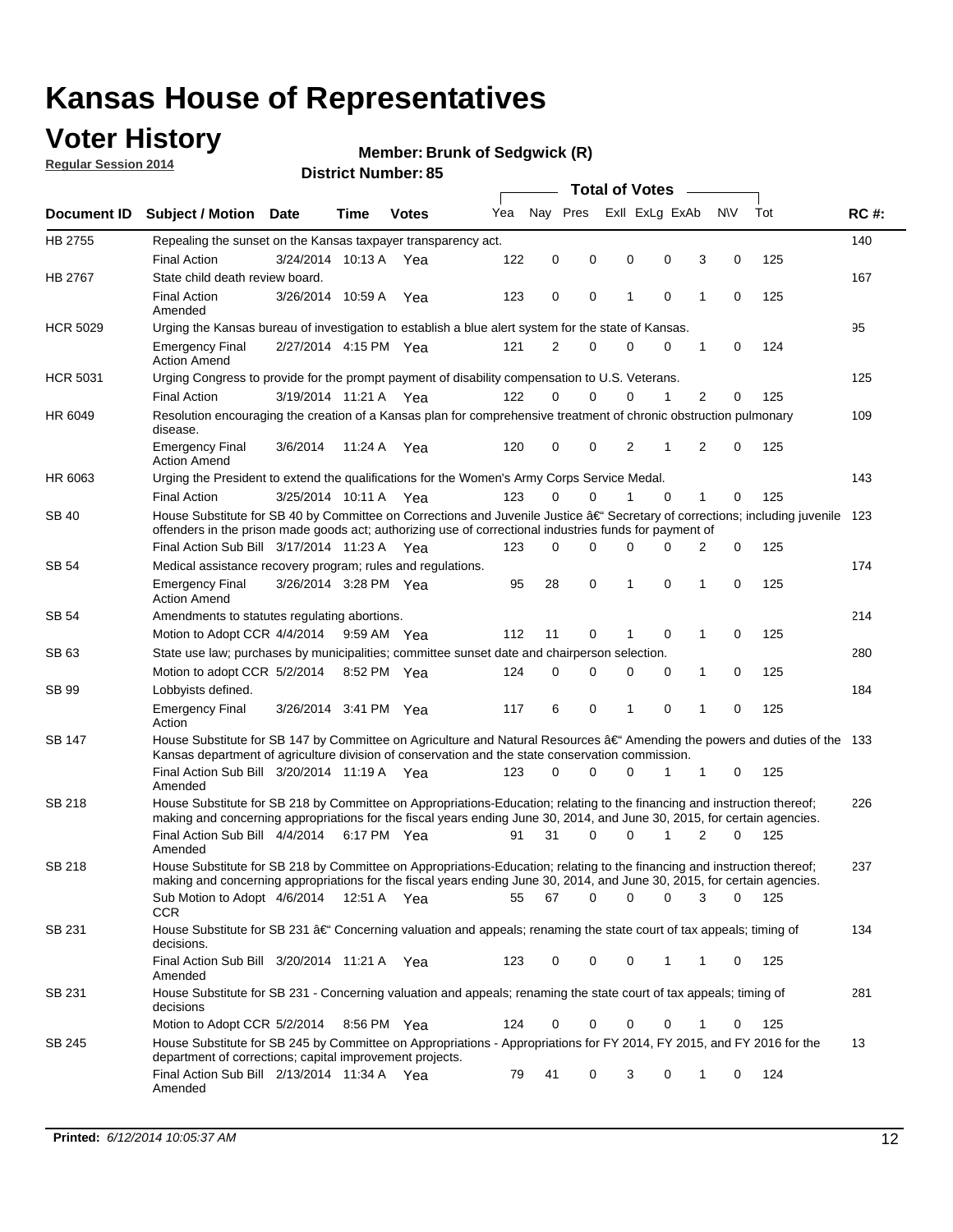## **Voter History**

**Regular Session 2014**

#### **Member: Brunk of Sedgwick (R)**

|                 |                                                                                                                                                                                                                                                      |                       |             |              |     |             |          | <b>Total of Votes</b> |             |           |             |     |             |
|-----------------|------------------------------------------------------------------------------------------------------------------------------------------------------------------------------------------------------------------------------------------------------|-----------------------|-------------|--------------|-----|-------------|----------|-----------------------|-------------|-----------|-------------|-----|-------------|
| Document ID     | <b>Subject / Motion Date</b>                                                                                                                                                                                                                         |                       | Time        | <b>Votes</b> | Yea | Nav Pres    |          | Exll ExLg ExAb        |             | <b>NV</b> |             | Tot | <b>RC#:</b> |
| HB 2755         | Repealing the sunset on the Kansas taxpayer transparency act.                                                                                                                                                                                        |                       |             |              |     |             |          |                       |             |           |             |     | 140         |
|                 | <b>Final Action</b>                                                                                                                                                                                                                                  | 3/24/2014 10:13 A     |             | Yea          | 122 | $\mathbf 0$ | 0        | 0                     | 0           | 3         | 0           | 125 |             |
| HB 2767         | State child death review board.                                                                                                                                                                                                                      |                       |             |              |     |             |          |                       |             |           |             |     | 167         |
|                 | <b>Final Action</b><br>Amended                                                                                                                                                                                                                       | 3/26/2014 10:59 A     |             | Yea          | 123 | 0           | 0        | 1                     | $\mathbf 0$ | 1         | $\mathbf 0$ | 125 |             |
| <b>HCR 5029</b> | Urging the Kansas bureau of investigation to establish a blue alert system for the state of Kansas.                                                                                                                                                  |                       |             |              |     |             |          |                       |             |           |             |     | 95          |
|                 | <b>Emergency Final</b><br><b>Action Amend</b>                                                                                                                                                                                                        | 2/27/2014 4:15 PM Yea |             |              | 121 | 2           | 0        | $\mathbf 0$           | 0           | 1         | 0           | 124 |             |
| <b>HCR 5031</b> | Urging Congress to provide for the prompt payment of disability compensation to U.S. Veterans.                                                                                                                                                       |                       |             |              |     |             |          |                       |             |           |             |     | 125         |
|                 | <b>Final Action</b>                                                                                                                                                                                                                                  | 3/19/2014 11:21 A Yea |             |              | 122 | $\Omega$    | $\Omega$ | 0                     | 1           | 2         | 0           | 125 |             |
| HR 6049         | Resolution encouraging the creation of a Kansas plan for comprehensive treatment of chronic obstruction pulmonary<br>disease.                                                                                                                        |                       |             |              |     |             |          |                       |             |           |             |     | 109         |
|                 | <b>Emergency Final</b><br><b>Action Amend</b>                                                                                                                                                                                                        | 3/6/2014              | 11:24 A     | Yea          | 120 | $\mathbf 0$ | 0        | 2                     | 1           | 2         | $\mathbf 0$ | 125 |             |
| HR 6063         | Urging the President to extend the qualifications for the Women's Army Corps Service Medal.                                                                                                                                                          |                       |             |              |     |             |          |                       |             |           |             |     | 143         |
|                 | <b>Final Action</b>                                                                                                                                                                                                                                  | 3/25/2014 10:11 A Yea |             |              | 123 | 0           | $\Omega$ | 1                     | $\Omega$    | 1         | 0           | 125 |             |
| <b>SB 40</b>    | House Substitute for SB 40 by Committee on Corrections and Juvenile Justice †Secretary of corrections; including juvenile<br>offenders in the prison made goods act; authorizing use of correctional industries funds for payment of                 |                       |             |              |     |             |          |                       |             |           |             |     | 123         |
|                 | Final Action Sub Bill 3/17/2014 11:23 A Yea                                                                                                                                                                                                          |                       |             |              | 123 | 0           | 0        | 0                     | 0           | 2         | 0           | 125 |             |
| <b>SB 54</b>    | Medical assistance recovery program; rules and regulations.                                                                                                                                                                                          |                       |             |              |     |             |          |                       |             |           |             |     | 174         |
|                 | <b>Emergency Final</b><br><b>Action Amend</b>                                                                                                                                                                                                        | 3/26/2014 3:28 PM Yea |             |              | 95  | 28          | 0        | 1                     | 0           | 1         | $\mathbf 0$ | 125 |             |
| <b>SB 54</b>    | Amendments to statutes regulating abortions.                                                                                                                                                                                                         |                       |             |              |     |             |          |                       |             |           |             |     | 214         |
|                 | Motion to Adopt CCR 4/4/2014                                                                                                                                                                                                                         |                       | 9:59 AM Yea |              | 112 | 11          | 0        |                       | 0           | 1         | 0           | 125 |             |
| SB 63           | State use law; purchases by municipalities; committee sunset date and chairperson selection.                                                                                                                                                         |                       |             |              |     |             |          |                       |             |           |             |     | 280         |
|                 | Motion to adopt CCR 5/2/2014                                                                                                                                                                                                                         |                       | 8:52 PM Yea |              | 124 | $\mathbf 0$ | 0        | 0                     | 0           | 1         | 0           | 125 |             |
| SB 99           | Lobbyists defined.                                                                                                                                                                                                                                   |                       |             |              |     |             |          |                       |             |           |             |     | 184         |
|                 | <b>Emergency Final</b><br>Action                                                                                                                                                                                                                     | 3/26/2014 3:41 PM Yea |             |              | 117 | 6           | 0        | 1                     | 0           | 1         | $\mathbf 0$ | 125 |             |
| SB 147          | House Substitute for SB 147 by Committee on Agriculture and Natural Resources †Amending the powers and duties of the 133<br>Kansas department of agriculture division of conservation and the state conservation commission.                         |                       |             |              |     |             |          |                       |             |           |             |     |             |
|                 | Final Action Sub Bill 3/20/2014 11:19 A Yea<br>Amended                                                                                                                                                                                               |                       |             |              | 123 | $\Omega$    | 0        | 0                     | 1           | 1         | 0           | 125 |             |
| <b>SB 218</b>   | House Substitute for SB 218 by Committee on Appropriations-Education; relating to the financing and instruction thereof;<br>making and concerning appropriations for the fiscal years ending June 30, 2014, and June 30, 2015, for certain agencies. |                       |             |              |     |             |          |                       |             |           |             |     | 226         |
|                 | Final Action Sub Bill 4/4/2014<br>Amended                                                                                                                                                                                                            |                       | 6:17 PM Yea |              | 91  | 31          | 0        | $\Omega$              | 1           | 2         | $\Omega$    | 125 |             |
| <b>SB 218</b>   | House Substitute for SB 218 by Committee on Appropriations-Education; relating to the financing and instruction thereof;                                                                                                                             |                       |             |              |     |             |          |                       |             |           |             |     | 237         |
|                 | making and concerning appropriations for the fiscal years ending June 30, 2014, and June 30, 2015, for certain agencies.<br>Sub Motion to Adopt 4/6/2014 12:51 A Yea                                                                                 |                       |             |              | 55  | 67          | 0        | 0                     | 0           | 3         | 0           | 125 |             |
| SB 231          | <b>CCR</b><br>House Substitute for SB 231 †Concerning valuation and appeals; renaming the state court of tax appeals; timing of<br>decisions.                                                                                                        |                       |             |              |     |             |          |                       |             |           |             |     | 134         |
|                 | Final Action Sub Bill 3/20/2014 11:21 A Yea<br>Amended                                                                                                                                                                                               |                       |             |              | 123 | 0           | 0        | 0                     | 1           | 1         | 0           | 125 |             |
| SB 231          | House Substitute for SB 231 - Concerning valuation and appeals; renaming the state court of tax appeals; timing of<br>decisions                                                                                                                      |                       |             |              |     |             |          |                       |             |           |             |     | 281         |
|                 | Motion to Adopt CCR 5/2/2014                                                                                                                                                                                                                         |                       | 8:56 PM Yea |              | 124 | 0           | 0        | 0                     | 0           | 1         | 0           | 125 |             |
| SB 245          | House Substitute for SB 245 by Committee on Appropriations - Appropriations for FY 2014, FY 2015, and FY 2016 for the<br>department of corrections; capital improvement projects.                                                                    |                       |             |              |     |             |          |                       |             |           |             |     | 13          |
|                 | Final Action Sub Bill 2/13/2014 11:34 A Yea<br>Amended                                                                                                                                                                                               |                       |             |              | 79  | 41          | 0        | 3                     | 0           | 1         | 0           | 124 |             |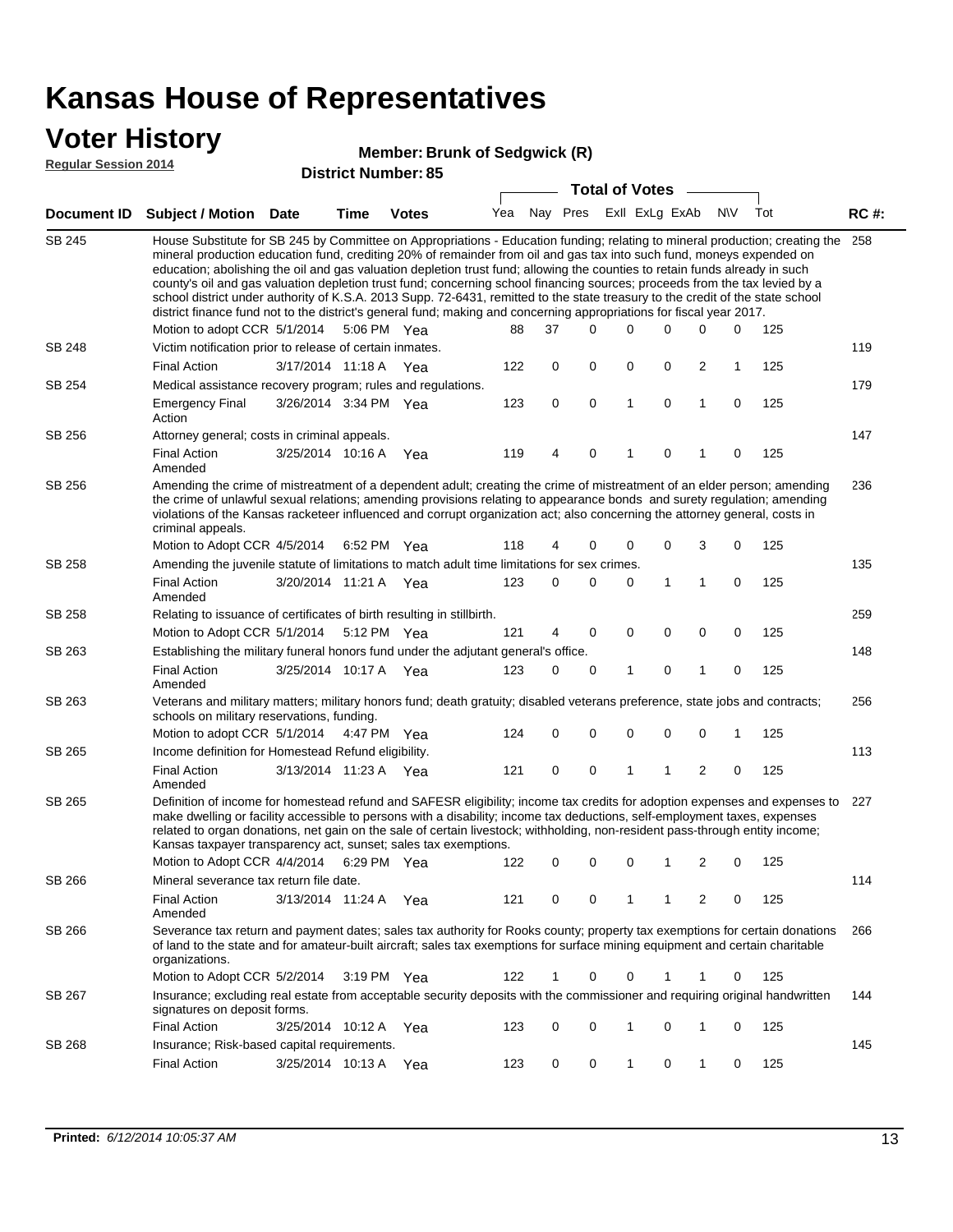### **Voter History**

#### **Member: Brunk of Sedgwick (R)**

**Regular Session 2014**

|               |                                                                                                                                                                                                                                                                                                                                                                                                                                                                                                                                                                                                                                                                                                                                                                                                                   |                       |             | טט ו שעווווטנו שו ווסוש |     |    |             | <b>Total of Votes</b> |                             |                         |             |     |             |
|---------------|-------------------------------------------------------------------------------------------------------------------------------------------------------------------------------------------------------------------------------------------------------------------------------------------------------------------------------------------------------------------------------------------------------------------------------------------------------------------------------------------------------------------------------------------------------------------------------------------------------------------------------------------------------------------------------------------------------------------------------------------------------------------------------------------------------------------|-----------------------|-------------|-------------------------|-----|----|-------------|-----------------------|-----------------------------|-------------------------|-------------|-----|-------------|
| Document ID   | <b>Subject / Motion Date</b>                                                                                                                                                                                                                                                                                                                                                                                                                                                                                                                                                                                                                                                                                                                                                                                      |                       | <b>Time</b> | <b>Votes</b>            |     |    |             |                       | Yea Nay Pres ExII ExLg ExAb |                         | <b>NV</b>   | Tot | <b>RC#:</b> |
| <b>SB 245</b> | House Substitute for SB 245 by Committee on Appropriations - Education funding; relating to mineral production; creating the 258<br>mineral production education fund, crediting 20% of remainder from oil and gas tax into such fund, moneys expended on<br>education; abolishing the oil and gas valuation depletion trust fund; allowing the counties to retain funds already in such<br>county's oil and gas valuation depletion trust fund; concerning school financing sources; proceeds from the tax levied by a<br>school district under authority of K.S.A. 2013 Supp. 72-6431, remitted to the state treasury to the credit of the state school<br>district finance fund not to the district's general fund; making and concerning appropriations for fiscal year 2017.<br>Motion to adopt CCR 5/1/2014 |                       | 5:06 PM Yea |                         | 88  | 37 | $\Omega$    | 0                     | 0                           | 0                       | 0           | 125 |             |
| SB 248        | Victim notification prior to release of certain inmates.                                                                                                                                                                                                                                                                                                                                                                                                                                                                                                                                                                                                                                                                                                                                                          |                       |             |                         |     |    |             |                       |                             |                         |             |     | 119         |
|               | <b>Final Action</b>                                                                                                                                                                                                                                                                                                                                                                                                                                                                                                                                                                                                                                                                                                                                                                                               | 3/17/2014 11:18 A     |             | Yea                     | 122 | 0  | 0           | 0                     | 0                           | 2                       | 1           | 125 |             |
| SB 254        | Medical assistance recovery program; rules and regulations.                                                                                                                                                                                                                                                                                                                                                                                                                                                                                                                                                                                                                                                                                                                                                       |                       |             |                         |     |    |             |                       |                             |                         |             |     | 179         |
|               | <b>Emergency Final</b><br>Action                                                                                                                                                                                                                                                                                                                                                                                                                                                                                                                                                                                                                                                                                                                                                                                  | 3/26/2014 3:34 PM Yea |             |                         | 123 | 0  | $\mathbf 0$ | 1                     | $\mathbf 0$                 | 1                       | 0           | 125 |             |
| SB 256        | Attorney general; costs in criminal appeals.                                                                                                                                                                                                                                                                                                                                                                                                                                                                                                                                                                                                                                                                                                                                                                      |                       |             |                         |     |    |             |                       |                             |                         |             |     | 147         |
|               | <b>Final Action</b><br>Amended                                                                                                                                                                                                                                                                                                                                                                                                                                                                                                                                                                                                                                                                                                                                                                                    | 3/25/2014 10:16 A     |             | Yea                     | 119 | 4  | $\mathbf 0$ | 1                     | 0                           | 1                       | 0           | 125 |             |
| SB 256        | Amending the crime of mistreatment of a dependent adult; creating the crime of mistreatment of an elder person; amending<br>the crime of unlawful sexual relations; amending provisions relating to appearance bonds and surety regulation; amending<br>violations of the Kansas racketeer influenced and corrupt organization act; also concerning the attorney general, costs in<br>criminal appeals.<br>Motion to Adopt CCR 4/5/2014 6:52 PM Yea                                                                                                                                                                                                                                                                                                                                                               |                       |             |                         | 118 | 4  | 0           |                       |                             |                         | 0           |     | 236         |
| <b>SB 258</b> | Amending the juvenile statute of limitations to match adult time limitations for sex crimes.                                                                                                                                                                                                                                                                                                                                                                                                                                                                                                                                                                                                                                                                                                                      |                       |             |                         |     |    |             | 0                     | 0                           | 3                       |             | 125 | 135         |
|               | <b>Final Action</b><br>Amended                                                                                                                                                                                                                                                                                                                                                                                                                                                                                                                                                                                                                                                                                                                                                                                    | 3/20/2014 11:21 A Yea |             |                         | 123 | 0  | 0           | 0                     | 1                           | $\mathbf{1}$            | 0           | 125 |             |
| <b>SB 258</b> | Relating to issuance of certificates of birth resulting in stillbirth.                                                                                                                                                                                                                                                                                                                                                                                                                                                                                                                                                                                                                                                                                                                                            |                       |             |                         |     |    |             |                       |                             |                         |             |     | 259         |
|               | Motion to Adopt CCR 5/1/2014 5:12 PM Yea                                                                                                                                                                                                                                                                                                                                                                                                                                                                                                                                                                                                                                                                                                                                                                          |                       |             |                         | 121 | 4  | 0           | 0                     | 0                           | 0                       | 0           | 125 |             |
| SB 263        | Establishing the military funeral honors fund under the adjutant general's office.                                                                                                                                                                                                                                                                                                                                                                                                                                                                                                                                                                                                                                                                                                                                |                       |             |                         |     |    |             |                       |                             |                         |             |     | 148         |
|               | <b>Final Action</b><br>Amended                                                                                                                                                                                                                                                                                                                                                                                                                                                                                                                                                                                                                                                                                                                                                                                    | 3/25/2014 10:17 A Yea |             |                         | 123 | 0  | 0           | 1                     | 0                           | $\mathbf{1}$            | $\mathbf 0$ | 125 |             |
| SB 263        | Veterans and military matters; military honors fund; death gratuity; disabled veterans preference, state jobs and contracts;<br>schools on military reservations, funding.                                                                                                                                                                                                                                                                                                                                                                                                                                                                                                                                                                                                                                        |                       |             |                         |     |    |             |                       |                             |                         |             |     | 256         |
|               | Motion to adopt CCR 5/1/2014 4:47 PM Yea                                                                                                                                                                                                                                                                                                                                                                                                                                                                                                                                                                                                                                                                                                                                                                          |                       |             |                         | 124 | 0  | 0           | 0                     | 0                           | $\mathbf 0$             | 1           | 125 |             |
| SB 265        | Income definition for Homestead Refund eligibility.                                                                                                                                                                                                                                                                                                                                                                                                                                                                                                                                                                                                                                                                                                                                                               |                       |             |                         |     |    |             |                       |                             |                         |             |     | 113         |
|               | <b>Final Action</b><br>Amended                                                                                                                                                                                                                                                                                                                                                                                                                                                                                                                                                                                                                                                                                                                                                                                    | 3/13/2014 11:23 A Yea |             |                         | 121 | 0  | 0           | 1                     | 1                           | $\overline{\mathbf{c}}$ | 0           | 125 |             |
| SB 265        | Definition of income for homestead refund and SAFESR eligibility; income tax credits for adoption expenses and expenses to<br>make dwelling or facility accessible to persons with a disability; income tax deductions, self-employment taxes, expenses<br>related to organ donations, net gain on the sale of certain livestock; withholding, non-resident pass-through entity income;<br>Kansas taxpayer transparency act, sunset; sales tax exemptions.<br>Motion to Adopt CCR 4/4/2014 6:29 PM Yea                                                                                                                                                                                                                                                                                                            |                       |             |                         | 122 | 0  | 0           | 0                     | 1                           | 2                       | 0           | 125 | 227         |
| SB 266        | Mineral severance tax return file date.                                                                                                                                                                                                                                                                                                                                                                                                                                                                                                                                                                                                                                                                                                                                                                           |                       |             |                         |     |    |             |                       |                             |                         |             |     | 114         |
|               | <b>Final Action</b><br>Amended                                                                                                                                                                                                                                                                                                                                                                                                                                                                                                                                                                                                                                                                                                                                                                                    | 3/13/2014 11:24 A     |             | Yea                     | 121 | 0  | 0           | 1                     | 1                           | 2                       | 0           | 125 |             |
| SB 266        | Severance tax return and payment dates; sales tax authority for Rooks county; property tax exemptions for certain donations<br>of land to the state and for amateur-built aircraft; sales tax exemptions for surface mining equipment and certain charitable<br>organizations.                                                                                                                                                                                                                                                                                                                                                                                                                                                                                                                                    |                       |             |                         |     |    |             |                       |                             |                         |             |     | 266         |
|               | Motion to Adopt CCR 5/2/2014                                                                                                                                                                                                                                                                                                                                                                                                                                                                                                                                                                                                                                                                                                                                                                                      |                       | 3:19 PM Yea |                         | 122 | 1  | 0           | 0                     |                             | 1                       | 0           | 125 |             |
| SB 267        | Insurance; excluding real estate from acceptable security deposits with the commissioner and requiring original handwritten<br>signatures on deposit forms.                                                                                                                                                                                                                                                                                                                                                                                                                                                                                                                                                                                                                                                       |                       |             |                         |     |    |             |                       |                             |                         |             |     | 144         |
|               | <b>Final Action</b>                                                                                                                                                                                                                                                                                                                                                                                                                                                                                                                                                                                                                                                                                                                                                                                               | 3/25/2014 10:12 A     |             | Yea                     | 123 | 0  | 0           | 1                     | 0                           | 1                       | $\mathbf 0$ | 125 |             |
| SB 268        | Insurance; Risk-based capital requirements.                                                                                                                                                                                                                                                                                                                                                                                                                                                                                                                                                                                                                                                                                                                                                                       |                       |             |                         |     |    |             |                       |                             |                         |             |     | 145         |
|               | <b>Final Action</b>                                                                                                                                                                                                                                                                                                                                                                                                                                                                                                                                                                                                                                                                                                                                                                                               | 3/25/2014 10:13 A     |             | Yea                     | 123 | 0  | 0           | 1                     | 0                           | 1                       | 0           | 125 |             |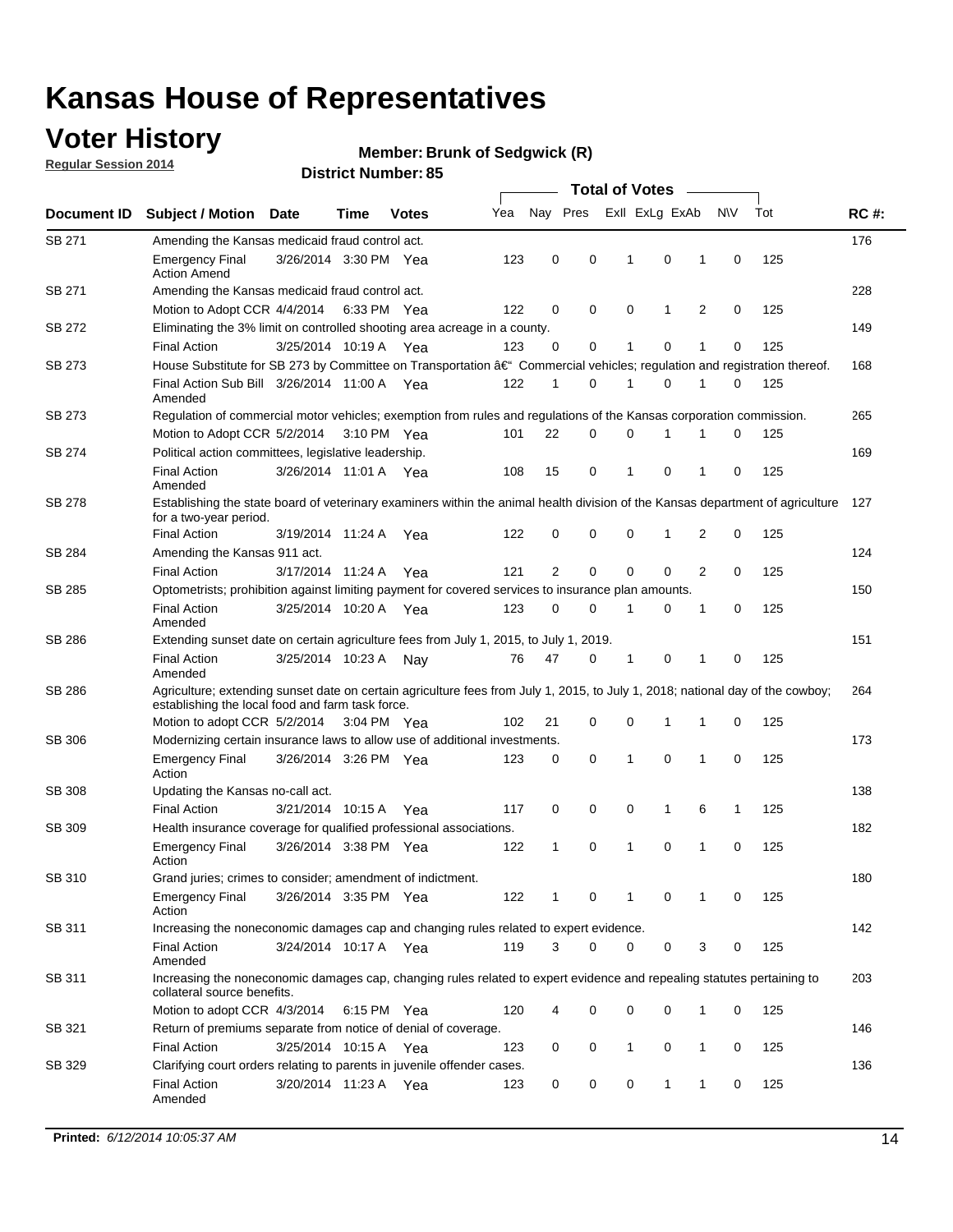## **Voter History**

**Regular Session 2014**

#### **Member: Brunk of Sedgwick (R)**

|               |                                                                                                                                                                                    |                       |             |              | <b>Total of Votes</b> |    |                         |  |             |             |             |             |     |             |
|---------------|------------------------------------------------------------------------------------------------------------------------------------------------------------------------------------|-----------------------|-------------|--------------|-----------------------|----|-------------------------|--|-------------|-------------|-------------|-------------|-----|-------------|
| Document ID   | <b>Subject / Motion</b>                                                                                                                                                            | <b>Date</b>           | Time        | <b>Votes</b> | Yea                   |    | Nay Pres ExII ExLg ExAb |  |             |             |             | <b>NV</b>   | Tot | <b>RC#:</b> |
| SB 271        | Amending the Kansas medicaid fraud control act.                                                                                                                                    |                       |             |              |                       |    |                         |  |             |             |             |             |     | 176         |
|               | <b>Emergency Final</b><br><b>Action Amend</b>                                                                                                                                      | 3/26/2014 3:30 PM Yea |             |              | 123                   | 0  | 0                       |  | 1           | $\mathbf 0$ | 1           | 0           | 125 |             |
| SB 271        | Amending the Kansas medicaid fraud control act.                                                                                                                                    |                       |             |              |                       |    |                         |  |             |             |             |             |     | 228         |
|               | Motion to Adopt CCR 4/4/2014 6:33 PM Yea                                                                                                                                           |                       |             |              | 122                   | 0  | 0                       |  | $\mathbf 0$ | 1           | 2           | 0           | 125 |             |
| SB 272        | Eliminating the 3% limit on controlled shooting area acreage in a county.                                                                                                          |                       |             |              |                       |    |                         |  |             |             |             |             |     | 149         |
|               | <b>Final Action</b>                                                                                                                                                                | 3/25/2014 10:19 A     |             | Yea          | 123                   | 0  | 0                       |  | 1           | $\mathbf 0$ | 1           | 0           | 125 |             |
| SB 273        | House Substitute for SB 273 by Committee on Transportation †Commercial vehicles; regulation and registration thereof.                                                              |                       |             |              |                       |    |                         |  |             |             |             |             |     | 168         |
|               | Final Action Sub Bill 3/26/2014 11:00 A Yea<br>Amended                                                                                                                             |                       |             |              | 122                   | 1  | 0                       |  | 1           | $\mathbf 0$ | 1           | 0           | 125 |             |
| SB 273        | Regulation of commercial motor vehicles; exemption from rules and regulations of the Kansas corporation commission.                                                                |                       |             |              |                       |    |                         |  |             |             |             |             |     | 265         |
|               | Motion to Adopt CCR 5/2/2014                                                                                                                                                       |                       | 3:10 PM Yea |              | 101                   | 22 | 0                       |  | $\mathbf 0$ |             |             | 0           | 125 |             |
| SB 274        | Political action committees, legislative leadership.                                                                                                                               |                       |             |              |                       |    |                         |  |             |             |             |             |     | 169         |
|               | <b>Final Action</b><br>Amended                                                                                                                                                     | 3/26/2014 11:01 A Yea |             |              | 108                   | 15 | 0                       |  | 1           | $\mathbf 0$ | 1           | 0           | 125 |             |
| <b>SB 278</b> | Establishing the state board of veterinary examiners within the animal health division of the Kansas department of agriculture<br>for a two-year period.                           |                       |             |              |                       |    |                         |  |             |             |             |             |     | 127         |
|               | <b>Final Action</b>                                                                                                                                                                | 3/19/2014 11:24 A     |             | Yea          | 122                   | 0  | 0                       |  | 0           | 1           | 2           | 0           | 125 |             |
| SB 284        | Amending the Kansas 911 act.                                                                                                                                                       |                       |             |              |                       |    |                         |  |             |             |             |             |     | 124         |
|               | <b>Final Action</b>                                                                                                                                                                | 3/17/2014 11:24 A     |             | Yea          | 121                   | 2  | 0                       |  | $\mathbf 0$ | $\mathbf 0$ | 2           | $\mathbf 0$ | 125 |             |
| SB 285        | Optometrists; prohibition against limiting payment for covered services to insurance plan amounts.                                                                                 |                       |             |              |                       |    |                         |  |             |             |             |             |     | 150         |
|               | <b>Final Action</b><br>Amended                                                                                                                                                     | 3/25/2014 10:20 A     |             | Yea          | 123                   | 0  | 0                       |  | 1           | 0           | 1           | 0           | 125 |             |
| SB 286        | Extending sunset date on certain agriculture fees from July 1, 2015, to July 1, 2019.                                                                                              |                       |             |              |                       |    |                         |  |             |             |             |             |     | 151         |
|               | <b>Final Action</b><br>Amended                                                                                                                                                     | 3/25/2014 10:23 A     |             | Nav          | 76                    | 47 | 0                       |  | 1           | 0           | 1           | 0           | 125 |             |
| SB 286        | Agriculture; extending sunset date on certain agriculture fees from July 1, 2015, to July 1, 2018; national day of the cowboy;<br>establishing the local food and farm task force. |                       |             |              |                       |    |                         |  |             |             |             |             |     | 264         |
|               | Motion to adopt CCR 5/2/2014 3:04 PM Yea                                                                                                                                           |                       |             |              | 102                   | 21 | 0                       |  | 0           | 1           | 1           | 0           | 125 |             |
| SB 306        | Modernizing certain insurance laws to allow use of additional investments.                                                                                                         |                       |             |              |                       |    |                         |  |             |             |             |             |     | 173         |
|               | <b>Emergency Final</b><br>Action                                                                                                                                                   | 3/26/2014 3:26 PM Yea |             |              | 123                   | 0  | 0                       |  | 1           | 0           | 1           | 0           | 125 |             |
| <b>SB 308</b> | Updating the Kansas no-call act.                                                                                                                                                   |                       |             |              |                       |    |                         |  |             |             |             |             |     | 138         |
|               | <b>Final Action</b>                                                                                                                                                                | 3/21/2014 10:15 A     |             | Yea          | 117                   | 0  | 0                       |  | $\mathbf 0$ | 1           | 6           | 1           | 125 |             |
| SB 309        | Health insurance coverage for qualified professional associations.                                                                                                                 |                       |             |              |                       |    |                         |  |             |             |             |             |     | 182         |
|               | <b>Emergency Final</b><br>Action                                                                                                                                                   | 3/26/2014 3:38 PM Yea |             |              | 122                   | 1  | 0                       |  | 1           | $\mathbf 0$ | 1           | 0           | 125 |             |
| SB 310        | Grand juries; crimes to consider; amendment of indictment.                                                                                                                         |                       |             |              |                       |    |                         |  |             |             |             |             |     | 180         |
|               | <b>Emergency Final</b><br>Action                                                                                                                                                   | 3/26/2014 3:35 PM Yea |             |              | 122                   | 1  | 0                       |  | 1           | 0           | 1           | 0           | 125 |             |
| SB 311        | Increasing the noneconomic damages cap and changing rules related to expert evidence.                                                                                              |                       |             |              |                       |    |                         |  |             |             |             |             |     | 142         |
|               | <b>Final Action</b><br>Amended                                                                                                                                                     | 3/24/2014 10:17 A Yea |             |              | 119                   | 3  | $\Omega$                |  | 0           | 0           | 3           | 0           | 125 |             |
| SB 311        | Increasing the noneconomic damages cap, changing rules related to expert evidence and repealing statutes pertaining to<br>collateral source benefits.                              |                       |             |              |                       |    |                         |  |             |             |             |             |     | 203         |
|               | Motion to adopt CCR 4/3/2014 6:15 PM Yea                                                                                                                                           |                       |             |              | 120                   | 4  | 0                       |  | 0           | 0           | 1           | 0           | 125 |             |
| SB 321        | Return of premiums separate from notice of denial of coverage.                                                                                                                     |                       |             |              |                       |    |                         |  |             |             |             |             |     | 146         |
|               | <b>Final Action</b>                                                                                                                                                                | 3/25/2014 10:15 A Yea |             |              | 123                   | 0  | 0                       |  | 1           | 0           | 1           | 0           | 125 |             |
| SB 329        | Clarifying court orders relating to parents in juvenile offender cases.<br><b>Final Action</b><br>Amended                                                                          | 3/20/2014 11:23 A Yea |             |              | 123                   | 0  | 0                       |  | 0           | 1           | $\mathbf 1$ | 0           | 125 | 136         |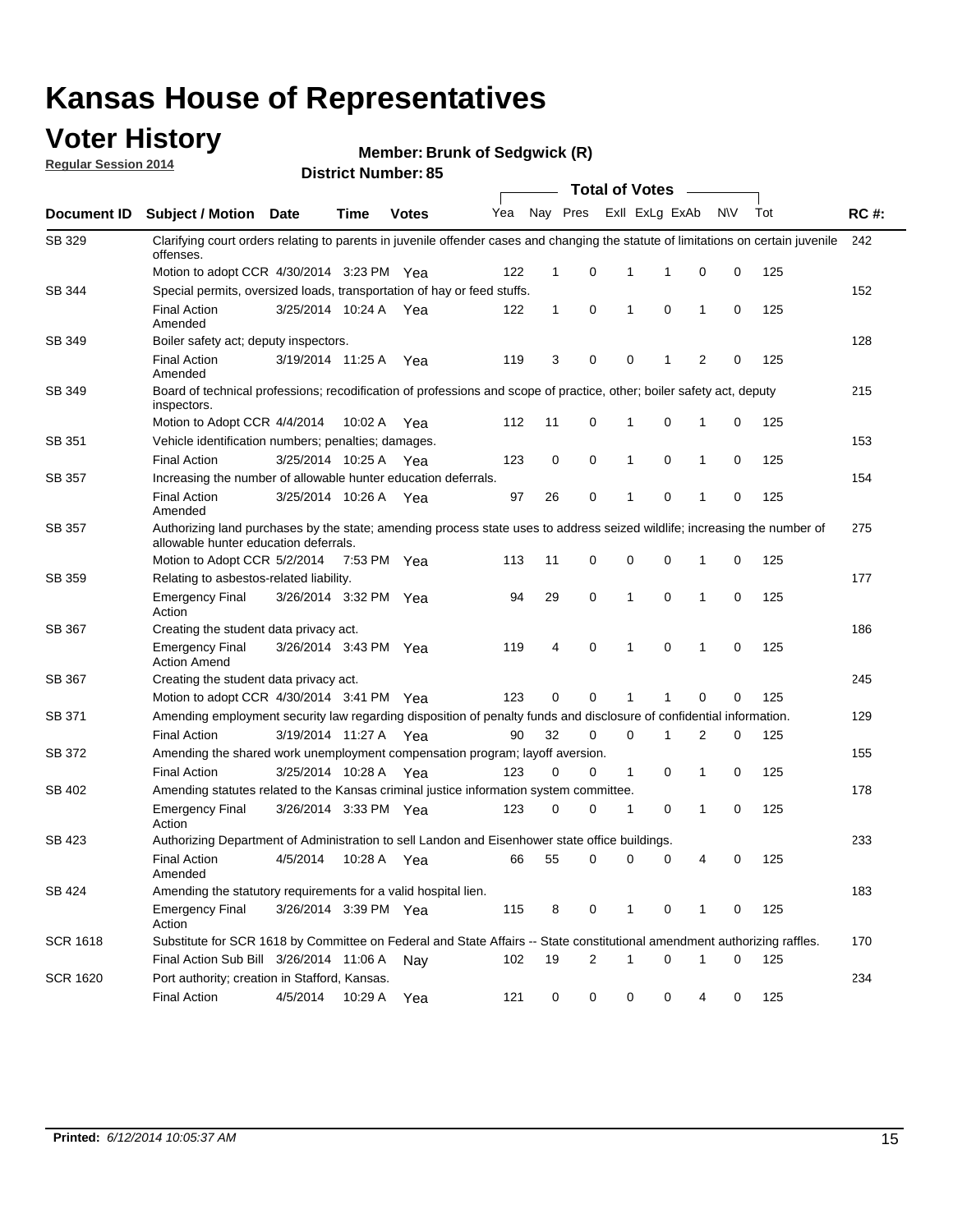### **Voter History**

**Regular Session 2014**

**Member: Brunk of Sedgwick (R)** 

|                    |                                                                                                                                                                    |                       |             |              |     |              |   |             | <b>Total of Votes</b> |              |           |     |             |
|--------------------|--------------------------------------------------------------------------------------------------------------------------------------------------------------------|-----------------------|-------------|--------------|-----|--------------|---|-------------|-----------------------|--------------|-----------|-----|-------------|
| <b>Document ID</b> | <b>Subject / Motion Date</b>                                                                                                                                       |                       | Time        | <b>Votes</b> | Yea | Nay Pres     |   |             | Exll ExLg ExAb        |              | <b>NV</b> | Tot | <b>RC#:</b> |
| SB 329             | Clarifying court orders relating to parents in juvenile offender cases and changing the statute of limitations on certain juvenile<br>offenses.                    |                       |             |              |     |              |   |             |                       |              |           |     | 242         |
|                    | Motion to adopt CCR 4/30/2014 3:23 PM Yea                                                                                                                          |                       |             |              | 122 | 1            | 0 | 1           | 1                     | 0            | 0         | 125 |             |
| <b>SB 344</b>      | Special permits, oversized loads, transportation of hay or feed stuffs.                                                                                            |                       |             |              |     |              |   |             |                       |              |           |     | 152         |
|                    | <b>Final Action</b><br>Amended                                                                                                                                     | 3/25/2014 10:24 A     |             | Yea          | 122 | $\mathbf{1}$ | 0 | 1           | $\mathbf 0$           | 1            | 0         | 125 |             |
| SB 349             | Boiler safety act; deputy inspectors.                                                                                                                              |                       |             |              |     |              |   |             |                       |              |           |     | 128         |
|                    | <b>Final Action</b><br>Amended                                                                                                                                     | 3/19/2014 11:25 A     |             | Yea          | 119 | 3            | 0 | 0           | 1                     | 2            | 0         | 125 |             |
| SB 349             | Board of technical professions; recodification of professions and scope of practice, other; boiler safety act, deputy<br>inspectors.                               |                       |             |              |     |              |   |             |                       |              |           |     | 215         |
|                    | Motion to Adopt CCR 4/4/2014                                                                                                                                       |                       | 10:02 A     | Yea          | 112 | 11           | 0 | 1           | 0                     | 1            | 0         | 125 |             |
| SB 351             | Vehicle identification numbers; penalties; damages.                                                                                                                |                       |             |              |     |              |   |             |                       |              |           |     | 153         |
|                    | <b>Final Action</b>                                                                                                                                                | 3/25/2014 10:25 A     |             | Yea          | 123 | 0            | 0 | 1           | 0                     | 1            | 0         | 125 |             |
| SB 357             | Increasing the number of allowable hunter education deferrals.                                                                                                     |                       |             |              |     |              |   |             |                       |              |           |     | 154         |
|                    | <b>Final Action</b><br>Amended                                                                                                                                     | 3/25/2014 10:26 A     |             | Yea          | 97  | 26           | 0 | 1           | 0                     | 1            | 0         | 125 |             |
| SB 357             | Authorizing land purchases by the state; amending process state uses to address seized wildlife; increasing the number of<br>allowable hunter education deferrals. |                       |             |              |     |              |   |             |                       |              |           |     | 275         |
|                    | Motion to Adopt CCR 5/2/2014                                                                                                                                       |                       | 7:53 PM Yea |              | 113 | 11           | 0 | 0           | $\mathbf 0$           | 1            | 0         | 125 |             |
| SB 359             | Relating to asbestos-related liability.                                                                                                                            |                       |             |              |     |              |   |             |                       |              |           |     | 177         |
|                    | <b>Emergency Final</b><br>Action                                                                                                                                   | 3/26/2014 3:32 PM Yea |             |              | 94  | 29           | 0 | 1           | $\mathbf 0$           | 1            | 0         | 125 |             |
| <b>SB 367</b>      | Creating the student data privacy act.                                                                                                                             |                       |             |              |     |              |   |             |                       |              |           |     | 186         |
|                    | <b>Emergency Final</b><br><b>Action Amend</b>                                                                                                                      | 3/26/2014 3:43 PM Yea |             |              | 119 | 4            | 0 | 1           | $\mathbf 0$           | $\mathbf{1}$ | 0         | 125 |             |
| SB 367             | Creating the student data privacy act.                                                                                                                             |                       |             |              |     |              |   |             |                       |              |           |     | 245         |
|                    | Motion to adopt CCR 4/30/2014 3:41 PM Yea                                                                                                                          |                       |             |              | 123 | 0            | 0 | 1           |                       | $\mathbf 0$  | 0         | 125 |             |
| SB 371             | Amending employment security law regarding disposition of penalty funds and disclosure of confidential information.                                                |                       |             |              |     |              |   |             |                       |              |           |     | 129         |
|                    | <b>Final Action</b>                                                                                                                                                | 3/19/2014 11:27 A     |             | Yea          | 90  | 32           | 0 | $\mathbf 0$ | 1                     | 2            | 0         | 125 |             |
| <b>SB 372</b>      | Amending the shared work unemployment compensation program; layoff aversion.                                                                                       |                       |             |              |     |              |   |             |                       |              |           |     | 155         |
|                    | <b>Final Action</b>                                                                                                                                                | 3/25/2014 10:28 A     |             | Yea          | 123 | 0            | 0 | 1           | 0                     | 1            | 0         | 125 |             |
| SB 402             | Amending statutes related to the Kansas criminal justice information system committee.                                                                             |                       |             |              |     |              |   |             |                       |              |           |     | 178         |
|                    | <b>Emergency Final</b><br>Action                                                                                                                                   | 3/26/2014 3:33 PM Yea |             |              | 123 | 0            | 0 | 1           | 0                     | 1            | 0         | 125 |             |
| SB 423             | Authorizing Department of Administration to sell Landon and Eisenhower state office buildings.                                                                     |                       |             |              |     |              |   |             |                       |              |           |     | 233         |
|                    | <b>Final Action</b><br>Amended                                                                                                                                     | 4/5/2014              | 10:28 A     | Yea          | 66  | 55           | 0 | 0           | 0                     | 4            | 0         | 125 |             |
| SB 424             | Amending the statutory requirements for a valid hospital lien.                                                                                                     |                       |             |              |     |              |   |             |                       |              |           |     | 183         |
|                    | <b>Emergency Final</b><br>Action                                                                                                                                   | 3/26/2014 3:39 PM Yea |             |              | 115 | 8            | 0 | 1           | 0                     | 1            | 0         | 125 |             |
| SCR 1618           | Substitute for SCR 1618 by Committee on Federal and State Affairs -- State constitutional amendment authorizing raffles.                                           |                       |             |              |     |              |   |             |                       |              |           |     | 170         |
|                    | Final Action Sub Bill 3/26/2014 11:06 A                                                                                                                            |                       |             | Nav          | 102 | 19           | 2 | 1           | $\mathbf 0$           | 1            | 0         | 125 |             |
| SCR 1620           | Port authority; creation in Stafford, Kansas.                                                                                                                      |                       |             |              |     |              |   |             |                       |              |           |     | 234         |
|                    | <b>Final Action</b>                                                                                                                                                | 4/5/2014              | 10:29 A     | Yea          | 121 | 0            | 0 | 0           | 0                     | 4            | 0         | 125 |             |